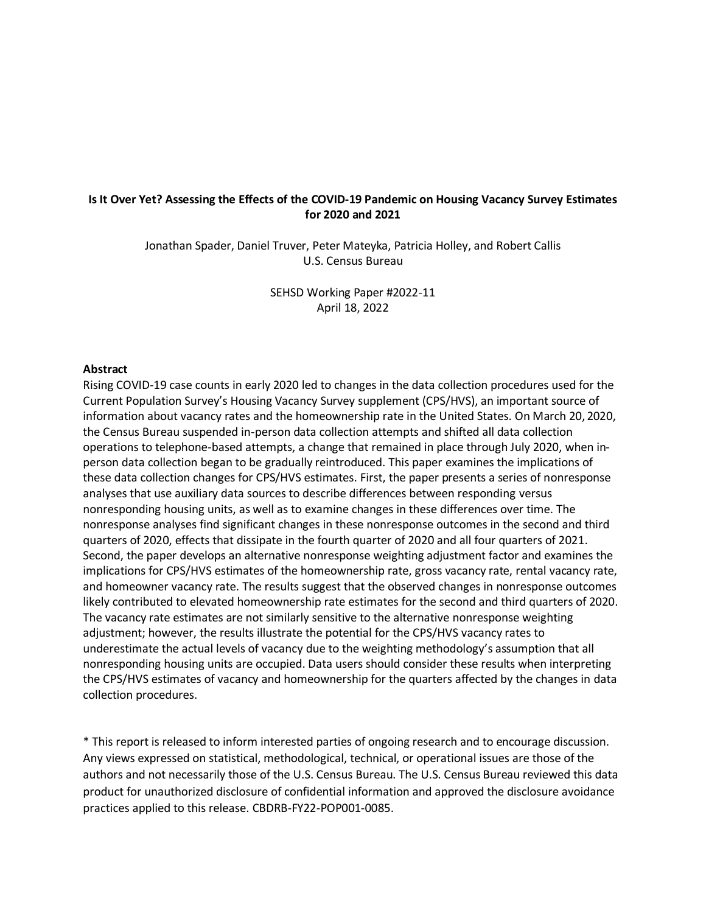# **Is It Over Yet? Assessing the Effects of the COVID-19 Pandemic on Housing Vacancy Survey Estimates for 2020 and 2021**

Jonathan Spader, Daniel Truver, Peter Mateyka, Patricia Holley, and Robert Callis U.S. Census Bureau

> SEHSD Working Paper #2022-11 April 18, 2022

#### **Abstract**

Rising COVID-19 case counts in early 2020 led to changes in the data collection procedures used for the Current Population Survey's Housing Vacancy Survey supplement (CPS/HVS), an important source of information about vacancy rates and the homeownership rate in the United States. On March 20, 2020, the Census Bureau suspended in-person data collection attempts and shifted all data collection operations to telephone-based attempts, a change that remained in place through July 2020, when inperson data collection began to be gradually reintroduced. This paper examines the implications of these data collection changes for CPS/HVS estimates. First, the paper presents a series of nonresponse analyses that use auxiliary data sources to describe differences between responding versus nonresponding housing units, as well as to examine changes in these differences over time. The nonresponse analyses find significant changes in these nonresponse outcomes in the second and third quarters of 2020, effects that dissipate in the fourth quarter of 2020 and all four quarters of 2021. Second, the paper develops an alternative nonresponse weighting adjustment factor and examines the implications for CPS/HVS estimates of the homeownership rate, gross vacancy rate, rental vacancy rate, and homeowner vacancy rate. The results suggest that the observed changes in nonresponse outcomes likely contributed to elevated homeownership rate estimates for the second and third quarters of 2020. The vacancy rate estimates are not similarly sensitive to the alternative nonresponse weighting adjustment; however, the results illustrate the potential for the CPS/HVS vacancy rates to underestimate the actual levels of vacancy due to the weighting methodology's assumption that all nonresponding housing units are occupied. Data users should consider these results when interpreting the CPS/HVS estimates of vacancy and homeownership for the quarters affected by the changes in data collection procedures.

\* This report is released to inform interested parties of ongoing research and to encourage discussion. Any views expressed on statistical, methodological, technical, or operational issues are those of the authors and not necessarily those of the U.S. Census Bureau. The U.S. Census Bureau reviewed this data product for unauthorized disclosure of confidential information and approved the disclosure avoidance practices applied to this release. CBDRB-FY22-POP001-0085.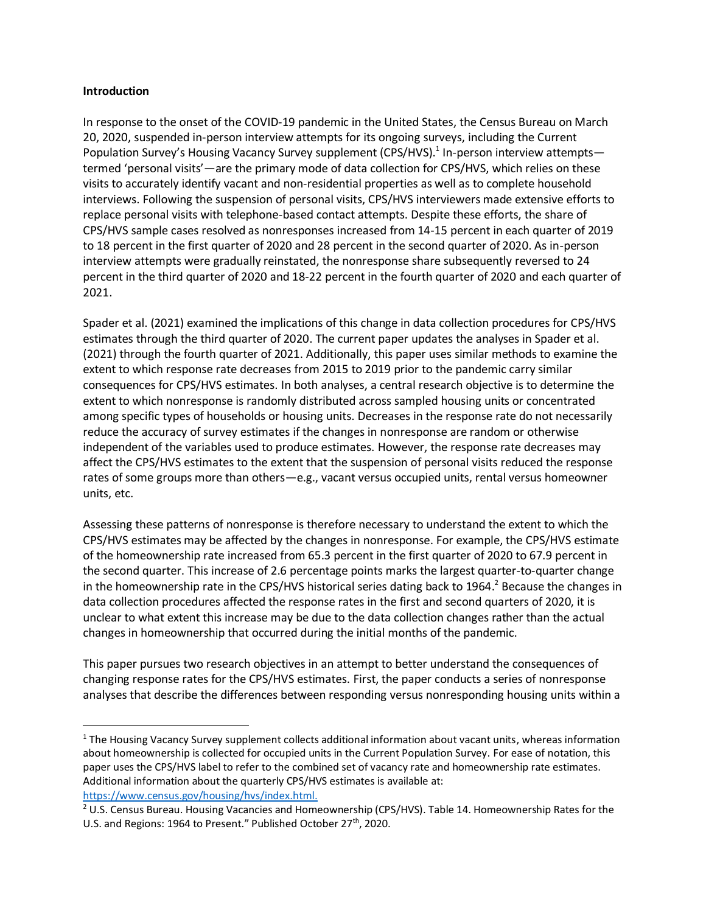#### **Introduction**

In response to the onset of the COVID-19 pandemic in the United States, the Census Bureau on March 20, 2020, suspended in-person interview attempts for its ongoing surveys, including the Current Population Survey's Housing Vacancy Survey supplement (CPS/HVS).<sup>1</sup> In-person interview attempts termed 'personal visits'—are the primary mode of data collection for CPS/HVS, which relies on these visits to accurately identify vacant and non-residential properties as well as to complete household interviews. Following the suspension of personal visits, CPS/HVS interviewers made extensive efforts to replace personal visits with telephone-based contact attempts. Despite these efforts, the share of CPS/HVS sample cases resolved as nonresponses increased from 14-15 percent in each quarter of 2019 to 18 percent in the first quarter of 2020 and 28 percent in the second quarter of 2020. As in-person interview attempts were gradually reinstated, the nonresponse share subsequently reversed to 24 percent in the third quarter of 2020 and 18-22 percent in the fourth quarter of 2020 and each quarter of 2021.

Spader et al. (2021) examined the implications of this change in data collection procedures for CPS/HVS estimates through the third quarter of 2020. The current paper updates the analyses in Spader et al. (2021) through the fourth quarter of 2021. Additionally, this paper uses similar methods to examine the extent to which response rate decreases from 2015 to 2019 prior to the pandemic carry similar consequences for CPS/HVS estimates. In both analyses, a central research objective is to determine the extent to which nonresponse is randomly distributed across sampled housing units or concentrated among specific types of households or housing units. Decreases in the response rate do not necessarily reduce the accuracy of survey estimates if the changes in nonresponse are random or otherwise independent of the variables used to produce estimates. However, the response rate decreases may affect the CPS/HVS estimates to the extent that the suspension of personal visits reduced the response rates of some groups more than others—e.g., vacant versus occupied units, rental versus homeowner units, etc.

Assessing these patterns of nonresponse is therefore necessary to understand the extent to which the CPS/HVS estimates may be affected by the changes in nonresponse. For example, the CPS/HVS estimate of the homeownership rate increased from 65.3 percent in the first quarter of 2020 to 67.9 percent in the second quarter. This increase of 2.6 percentage points marks the largest quarter-to-quarter change in the homeownership rate in the CPS/HVS historical series dating back to 1964.<sup>2</sup> Because the changes in data collection procedures affected the response rates in the first and second quarters of 2020, it is unclear to what extent this increase may be due to the data collection changes rather than the actual changes in homeownership that occurred during the initial months of the pandemic.

This paper pursues two research objectives in an attempt to better understand the consequences of changing response rates for the CPS/HVS estimates. First, the paper conducts a series of nonresponse analyses that describe the differences between responding versus nonresponding housing units within a

<sup>&</sup>lt;sup>1</sup> The Housing Vacancy Survey supplement collects additional information about vacant units, whereas information about homeownership is collected for occupied units in the Current Population Survey. For ease of notation, this paper uses the CPS/HVS label to refer to the combined set of vacancy rate and homeownership rate estimates. Additional information about the quarterly CPS/HVS estimates is available at: [https://www.census.gov/housing/hvs/index.html.](https://www.census.gov/housing/hvs/index.html)

<sup>&</sup>lt;sup>2</sup> U.S. Census Bureau. Housing Vacancies and Homeownership (CPS/HVS). Table 14. Homeownership Rates for the U.S. and Regions: 1964 to Present." Published October 27<sup>th</sup>, 2020.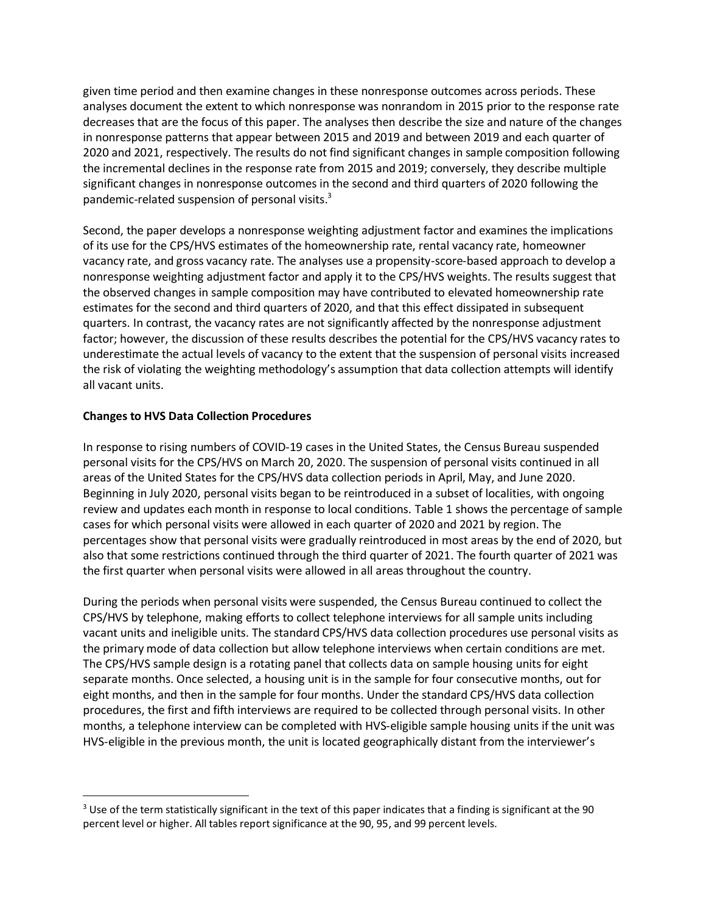given time period and then examine changes in these nonresponse outcomes across periods. These analyses document the extent to which nonresponse was nonrandom in 2015 prior to the response rate decreases that are the focus of this paper. The analyses then describe the size and nature of the changes in nonresponse patterns that appear between 2015 and 2019 and between 2019 and each quarter of 2020 and 2021, respectively. The results do not find significant changes in sample composition following the incremental declines in the response rate from 2015 and 2019; conversely, they describe multiple significant changes in nonresponse outcomes in the second and third quarters of 2020 following the pandemic-related suspension of personal visits.<sup>3</sup>

Second, the paper develops a nonresponse weighting adjustment factor and examines the implications of its use for the CPS/HVS estimates of the homeownership rate, rental vacancy rate, homeowner vacancy rate, and gross vacancy rate. The analyses use a propensity-score-based approach to develop a nonresponse weighting adjustment factor and apply it to the CPS/HVS weights. The results suggest that the observed changes in sample composition may have contributed to elevated homeownership rate estimates for the second and third quarters of 2020, and that this effect dissipated in subsequent quarters. In contrast, the vacancy rates are not significantly affected by the nonresponse adjustment factor; however, the discussion of these results describes the potential for the CPS/HVS vacancy rates to underestimate the actual levels of vacancy to the extent that the suspension of personal visits increased the risk of violating the weighting methodology's assumption that data collection attempts will identify all vacant units.

# **Changes to HVS Data Collection Procedures**

In response to rising numbers of COVID-19 cases in the United States, the Census Bureau suspended personal visits for the CPS/HVS on March 20, 2020. The suspension of personal visits continued in all areas of the United States for the CPS/HVS data collection periods in April, May, and June 2020. Beginning in July 2020, personal visits began to be reintroduced in a subset of localities, with ongoing review and updates each month in response to local conditions. Table 1 shows the percentage of sample cases for which personal visits were allowed in each quarter of 2020 and 2021 by region. The percentages show that personal visits were gradually reintroduced in most areas by the end of 2020, but also that some restrictions continued through the third quarter of 2021. The fourth quarter of 2021 was the first quarter when personal visits were allowed in all areas throughout the country.

During the periods when personal visits were suspended, the Census Bureau continued to collect the CPS/HVS by telephone, making efforts to collect telephone interviews for all sample units including vacant units and ineligible units. The standard CPS/HVS data collection procedures use personal visits as the primary mode of data collection but allow telephone interviews when certain conditions are met. The CPS/HVS sample design is a rotating panel that collects data on sample housing units for eight separate months. Once selected, a housing unit is in the sample for four consecutive months, out for eight months, and then in the sample for four months. Under the standard CPS/HVS data collection procedures, the first and fifth interviews are required to be collected through personal visits. In other months, a telephone interview can be completed with HVS-eligible sample housing units if the unit was HVS-eligible in the previous month, the unit is located geographically distant from the interviewer's

 $3$  Use of the term statistically significant in the text of this paper indicates that a finding is significant at the 90 percent level or higher. All tables report significance at the 90, 95, and 99 percent levels.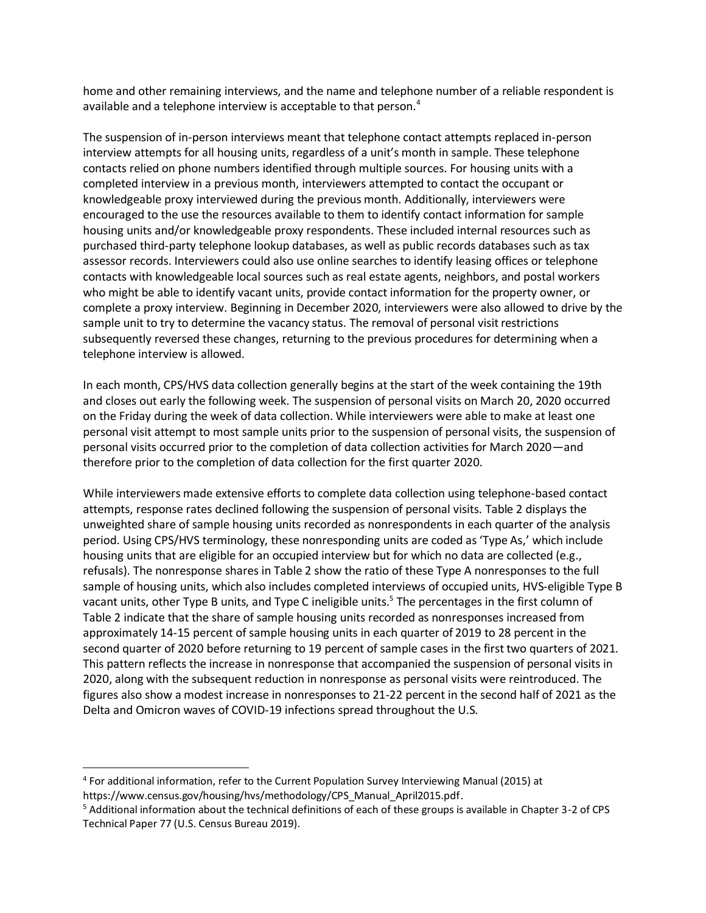home and other remaining interviews, and the name and telephone number of a reliable respondent is available and a telephone interview is acceptable to that person.<sup>4</sup>

The suspension of in-person interviews meant that telephone contact attempts replaced in-person interview attempts for all housing units, regardless of a unit's month in sample. These telephone contacts relied on phone numbers identified through multiple sources. For housing units with a completed interview in a previous month, interviewers attempted to contact the occupant or knowledgeable proxy interviewed during the previous month. Additionally, interviewers were encouraged to the use the resources available to them to identify contact information for sample housing units and/or knowledgeable proxy respondents. These included internal resources such as purchased third-party telephone lookup databases, as well as public records databases such as tax assessor records. Interviewers could also use online searches to identify leasing offices or telephone contacts with knowledgeable local sources such as real estate agents, neighbors, and postal workers who might be able to identify vacant units, provide contact information for the property owner, or complete a proxy interview. Beginning in December 2020, interviewers were also allowed to drive by the sample unit to try to determine the vacancy status. The removal of personal visit restrictions subsequently reversed these changes, returning to the previous procedures for determining when a telephone interview is allowed.

In each month, CPS/HVS data collection generally begins at the start of the week containing the 19th and closes out early the following week. The suspension of personal visits on March 20, 2020 occurred on the Friday during the week of data collection. While interviewers were able to make at least one personal visit attempt to most sample units prior to the suspension of personal visits, the suspension of personal visits occurred prior to the completion of data collection activities for March 2020—and therefore prior to the completion of data collection for the first quarter 2020.

While interviewers made extensive efforts to complete data collection using telephone-based contact attempts, response rates declined following the suspension of personal visits. Table 2 displays the unweighted share of sample housing units recorded as nonrespondents in each quarter of the analysis period. Using CPS/HVS terminology, these nonresponding units are coded as 'Type As,' which include housing units that are eligible for an occupied interview but for which no data are collected (e.g., refusals). The nonresponse shares in Table 2 show the ratio of these Type A nonresponses to the full sample of housing units, which also includes completed interviews of occupied units, HVS-eligible Type B vacant units, other Type B units, and Type C ineligible units.<sup>5</sup> The percentages in the first column of Table 2 indicate that the share of sample housing units recorded as nonresponses increased from approximately 14-15 percent of sample housing units in each quarter of 2019 to 28 percent in the second quarter of 2020 before returning to 19 percent of sample cases in the first two quarters of 2021. This pattern reflects the increase in nonresponse that accompanied the suspension of personal visits in 2020, along with the subsequent reduction in nonresponse as personal visits were reintroduced. The figures also show a modest increase in nonresponses to 21-22 percent in the second half of 2021 as the Delta and Omicron waves of COVID-19 infections spread throughout the U.S.

<sup>4</sup> For additional information, refer to the Current Population Survey Interviewing Manual (2015) at https://www.census.gov/housing/hvs/methodology/CPS\_Manual\_April2015.pdf.

<sup>5</sup> Additional information about the technical definitions of each of these groups is available in Chapter 3-2 of CPS Technical Paper 77 (U.S. Census Bureau 2019).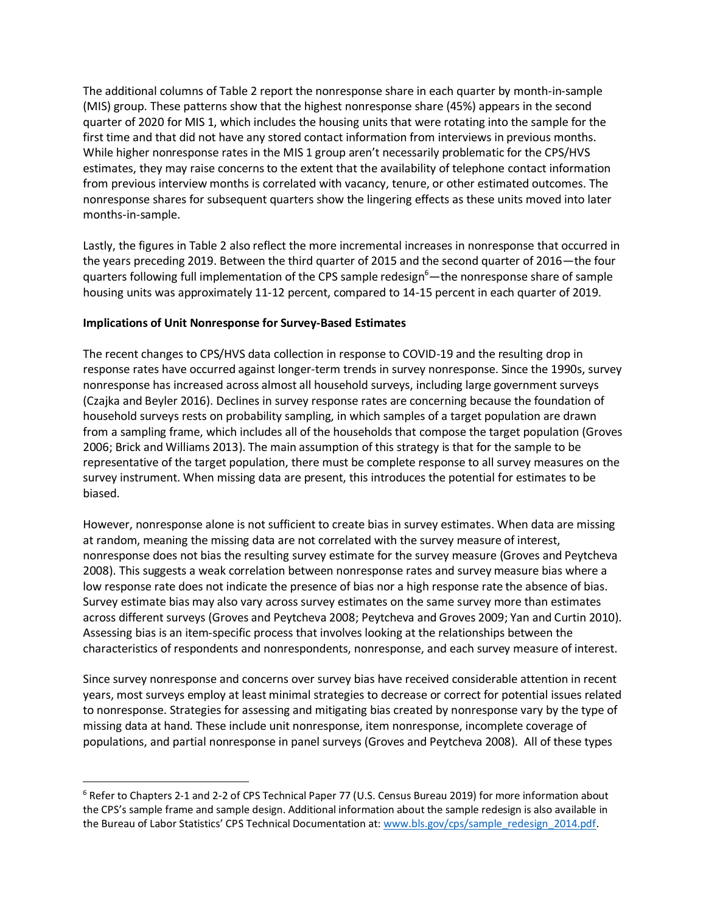The additional columns of Table 2 report the nonresponse share in each quarter by month-in-sample (MIS) group. These patterns show that the highest nonresponse share (45%) appears in the second quarter of 2020 for MIS 1, which includes the housing units that were rotating into the sample for the first time and that did not have any stored contact information from interviews in previous months. While higher nonresponse rates in the MIS 1 group aren't necessarily problematic for the CPS/HVS estimates, they may raise concerns to the extent that the availability of telephone contact information from previous interview months is correlated with vacancy, tenure, or other estimated outcomes. The nonresponse shares for subsequent quarters show the lingering effects as these units moved into later months-in-sample.

Lastly, the figures in Table 2 also reflect the more incremental increases in nonresponse that occurred in the years preceding 2019. Between the third quarter of 2015 and the second quarter of 2016—the four quarters following full implementation of the CPS sample redesign<sup>6</sup>—the nonresponse share of sample housing units was approximately 11-12 percent, compared to 14-15 percent in each quarter of 2019.

## **Implications of Unit Nonresponse for Survey-Based Estimates**

The recent changes to CPS/HVS data collection in response to COVID-19 and the resulting drop in response rates have occurred against longer-term trends in survey nonresponse. Since the 1990s, survey nonresponse has increased across almost all household surveys, including large government surveys (Czajka and Beyler 2016). Declines in survey response rates are concerning because the foundation of household surveys rests on probability sampling, in which samples of a target population are drawn from a sampling frame, which includes all of the households that compose the target population (Groves 2006; Brick and Williams 2013). The main assumption of this strategy is that for the sample to be representative of the target population, there must be complete response to all survey measures on the survey instrument. When missing data are present, this introduces the potential for estimates to be biased.

However, nonresponse alone is not sufficient to create bias in survey estimates. When data are missing at random, meaning the missing data are not correlated with the survey measure of interest, nonresponse does not bias the resulting survey estimate for the survey measure (Groves and Peytcheva 2008). This suggests a weak correlation between nonresponse rates and survey measure bias where a low response rate does not indicate the presence of bias nor a high response rate the absence of bias. Survey estimate bias may also vary across survey estimates on the same survey more than estimates across different surveys (Groves and Peytcheva 2008; Peytcheva and Groves 2009; Yan and Curtin 2010). Assessing bias is an item-specific process that involves looking at the relationships between the characteristics of respondents and nonrespondents, nonresponse, and each survey measure of interest.

Since survey nonresponse and concerns over survey bias have received considerable attention in recent years, most surveys employ at least minimal strategies to decrease or correct for potential issues related to nonresponse. Strategies for assessing and mitigating bias created by nonresponse vary by the type of missing data at hand. These include unit nonresponse, item nonresponse, incomplete coverage of populations, and partial nonresponse in panel surveys (Groves and Peytcheva 2008). All of these types

<sup>6</sup> Refer to Chapters 2-1 and 2-2 of CPS Technical Paper 77 (U.S. Census Bureau 2019) for more information about the CPS's sample frame and sample design. Additional information about the sample redesign is also available in the Bureau of Labor Statistics' CPS Technical Documentation at[: www.bls.gov/cps/sample\\_redesign\\_2014.pdf.](http://www.bls.gov/cps/sample_redesign_2014.pdf)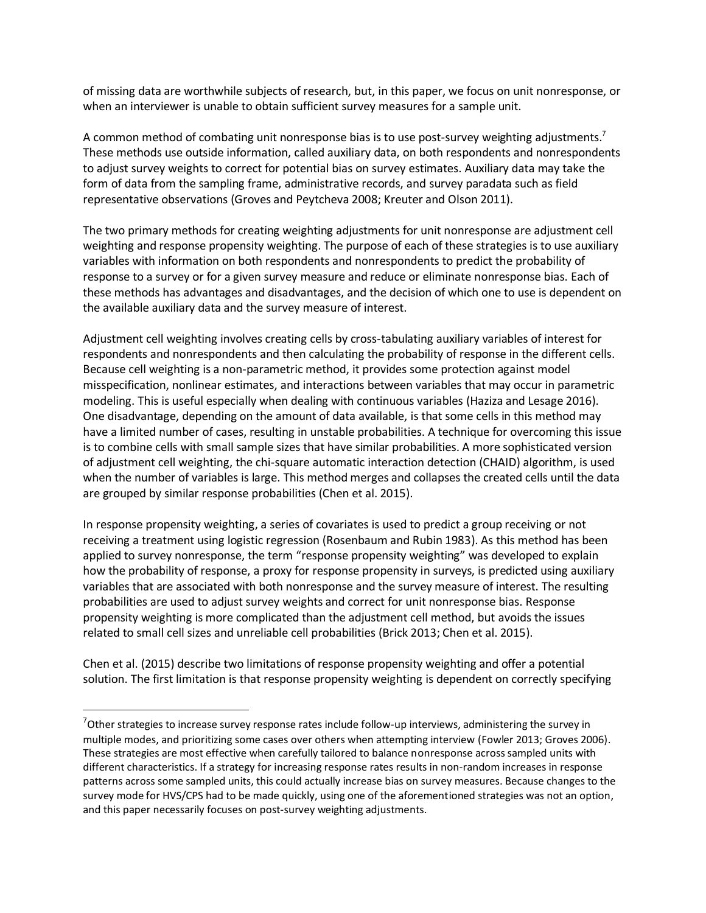of missing data are worthwhile subjects of research, but, in this paper, we focus on unit nonresponse, or when an interviewer is unable to obtain sufficient survey measures for a sample unit.

A common method of combating unit nonresponse bias is to use post-survey weighting adjustments.<sup>7</sup> These methods use outside information, called auxiliary data, on both respondents and nonrespondents to adjust survey weights to correct for potential bias on survey estimates. Auxiliary data may take the form of data from the sampling frame, administrative records, and survey paradata such as field representative observations (Groves and Peytcheva 2008; Kreuter and Olson 2011).

The two primary methods for creating weighting adjustments for unit nonresponse are adjustment cell weighting and response propensity weighting. The purpose of each of these strategies is to use auxiliary variables with information on both respondents and nonrespondents to predict the probability of response to a survey or for a given survey measure and reduce or eliminate nonresponse bias. Each of these methods has advantages and disadvantages, and the decision of which one to use is dependent on the available auxiliary data and the survey measure of interest.

Adjustment cell weighting involves creating cells by cross-tabulating auxiliary variables of interest for respondents and nonrespondents and then calculating the probability of response in the different cells. Because cell weighting is a non-parametric method, it provides some protection against model misspecification, nonlinear estimates, and interactions between variables that may occur in parametric modeling. This is useful especially when dealing with continuous variables (Haziza and Lesage 2016). One disadvantage, depending on the amount of data available, is that some cells in this method may have a limited number of cases, resulting in unstable probabilities. A technique for overcoming this issue is to combine cells with small sample sizes that have similar probabilities. A more sophisticated version of adjustment cell weighting, the chi-square automatic interaction detection (CHAID) algorithm, is used when the number of variables is large. This method merges and collapses the created cells until the data are grouped by similar response probabilities (Chen et al. 2015).

In response propensity weighting, a series of covariates is used to predict a group receiving or not receiving a treatment using logistic regression (Rosenbaum and Rubin 1983). As this method has been applied to survey nonresponse, the term "response propensity weighting" was developed to explain how the probability of response, a proxy for response propensity in surveys, is predicted using auxiliary variables that are associated with both nonresponse and the survey measure of interest. The resulting probabilities are used to adjust survey weights and correct for unit nonresponse bias. Response propensity weighting is more complicated than the adjustment cell method, but avoids the issues related to small cell sizes and unreliable cell probabilities (Brick 2013; Chen et al. 2015).

Chen et al. (2015) describe two limitations of response propensity weighting and offer a potential solution. The first limitation is that response propensity weighting is dependent on correctly specifying

 $7$ Other strategies to increase survey response rates include follow-up interviews, administering the survey in multiple modes, and prioritizing some cases over others when attempting interview (Fowler 2013; Groves 2006). These strategies are most effective when carefully tailored to balance nonresponse across sampled units with different characteristics. If a strategy for increasing response rates results in non-random increases in response patterns across some sampled units, this could actually increase bias on survey measures. Because changes to the survey mode for HVS/CPS had to be made quickly, using one of the aforementioned strategies was not an option, and this paper necessarily focuses on post-survey weighting adjustments.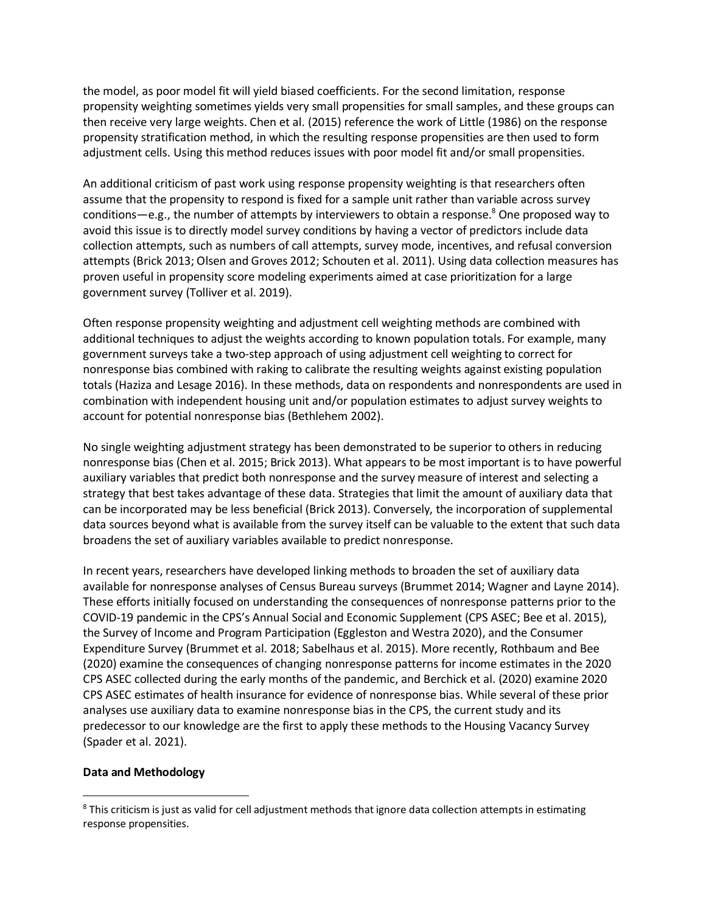the model, as poor model fit will yield biased coefficients. For the second limitation, response propensity weighting sometimes yields very small propensities for small samples, and these groups can then receive very large weights. Chen et al. (2015) reference the work of Little (1986) on the response propensity stratification method, in which the resulting response propensities are then used to form adjustment cells. Using this method reduces issues with poor model fit and/or small propensities.

An additional criticism of past work using response propensity weighting is that researchers often assume that the propensity to respond is fixed for a sample unit rather than variable across survey conditions—e.g., the number of attempts by interviewers to obtain a response. $8$  One proposed way to avoid this issue is to directly model survey conditions by having a vector of predictors include data collection attempts, such as numbers of call attempts, survey mode, incentives, and refusal conversion attempts (Brick 2013; Olsen and Groves 2012; Schouten et al. 2011). Using data collection measures has proven useful in propensity score modeling experiments aimed at case prioritization for a large government survey (Tolliver et al. 2019).

Often response propensity weighting and adjustment cell weighting methods are combined with additional techniques to adjust the weights according to known population totals. For example, many government surveys take a two-step approach of using adjustment cell weighting to correct for nonresponse bias combined with raking to calibrate the resulting weights against existing population totals (Haziza and Lesage 2016). In these methods, data on respondents and nonrespondents are used in combination with independent housing unit and/or population estimates to adjust survey weights to account for potential nonresponse bias (Bethlehem 2002).

No single weighting adjustment strategy has been demonstrated to be superior to others in reducing nonresponse bias (Chen et al. 2015; Brick 2013). What appears to be most important is to have powerful auxiliary variables that predict both nonresponse and the survey measure of interest and selecting a strategy that best takes advantage of these data. Strategies that limit the amount of auxiliary data that can be incorporated may be less beneficial (Brick 2013). Conversely, the incorporation of supplemental data sources beyond what is available from the survey itself can be valuable to the extent that such data broadens the set of auxiliary variables available to predict nonresponse.

In recent years, researchers have developed linking methods to broaden the set of auxiliary data available for nonresponse analyses of Census Bureau surveys (Brummet 2014; Wagner and Layne 2014). These efforts initially focused on understanding the consequences of nonresponse patterns prior to the COVID-19 pandemic in the CPS's Annual Social and Economic Supplement (CPS ASEC; Bee et al. 2015), the Survey of Income and Program Participation (Eggleston and Westra 2020), and the Consumer Expenditure Survey (Brummet et al. 2018; Sabelhaus et al. 2015). More recently, Rothbaum and Bee (2020) examine the consequences of changing nonresponse patterns for income estimates in the 2020 CPS ASEC collected during the early months of the pandemic, and Berchick et al. (2020) examine 2020 CPS ASEC estimates of health insurance for evidence of nonresponse bias. While several of these prior analyses use auxiliary data to examine nonresponse bias in the CPS, the current study and its predecessor to our knowledge are the first to apply these methods to the Housing Vacancy Survey (Spader et al. 2021).

#### **Data and Methodology**

<sup>&</sup>lt;sup>8</sup> This criticism is just as valid for cell adjustment methods that ignore data collection attempts in estimating response propensities.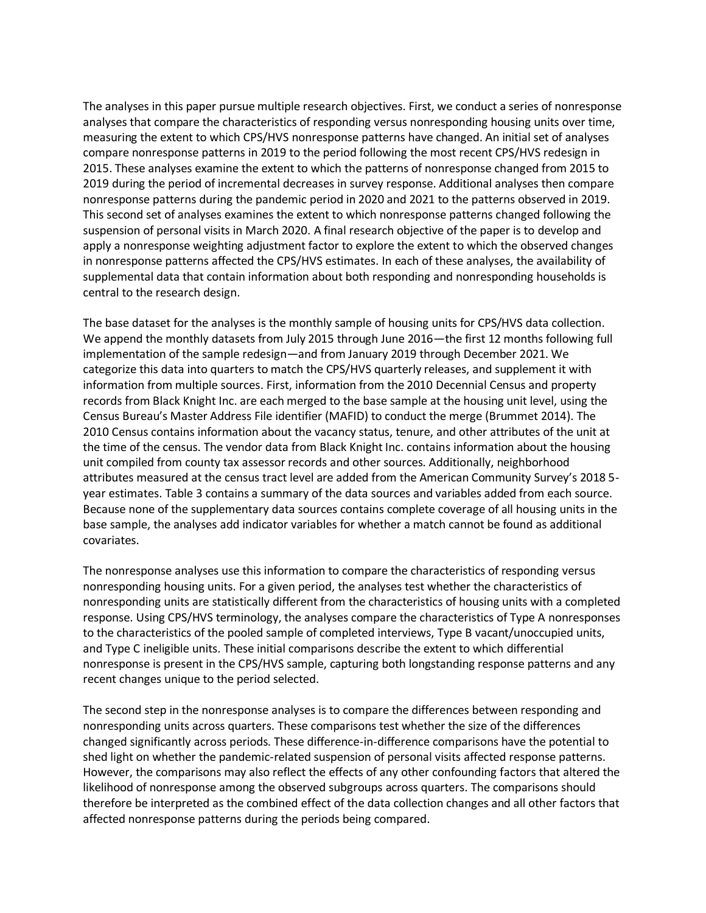The analyses in this paper pursue multiple research objectives. First, we conduct a series of nonresponse analyses that compare the characteristics of responding versus nonresponding housing units over time, measuring the extent to which CPS/HVS nonresponse patterns have changed. An initial set of analyses compare nonresponse patterns in 2019 to the period following the most recent CPS/HVS redesign in 2015. These analyses examine the extent to which the patterns of nonresponse changed from 2015 to 2019 during the period of incremental decreases in survey response. Additional analyses then compare nonresponse patterns during the pandemic period in 2020 and 2021 to the patterns observed in 2019. This second set of analyses examines the extent to which nonresponse patterns changed following the suspension of personal visits in March 2020. A final research objective of the paper is to develop and apply a nonresponse weighting adjustment factor to explore the extent to which the observed changes in nonresponse patterns affected the CPS/HVS estimates. In each of these analyses, the availability of supplemental data that contain information about both responding and nonresponding households is central to the research design.

The base dataset for the analyses is the monthly sample of housing units for CPS/HVS data collection. We append the monthly datasets from July 2015 through June 2016—the first 12 months following full implementation of the sample redesign—and from January 2019 through December 2021. We categorize this data into quarters to match the CPS/HVS quarterly releases, and supplement it with information from multiple sources. First, information from the 2010 Decennial Census and property records from Black Knight Inc. are each merged to the base sample at the housing unit level, using the Census Bureau's Master Address File identifier (MAFID) to conduct the merge (Brummet 2014). The 2010 Census contains information about the vacancy status, tenure, and other attributes of the unit at the time of the census. The vendor data from Black Knight Inc. contains information about the housing unit compiled from county tax assessor records and other sources. Additionally, neighborhood attributes measured at the census tract level are added from the American Community Survey's 2018 5 year estimates. Table 3 contains a summary of the data sources and variables added from each source. Because none of the supplementary data sources contains complete coverage of all housing units in the base sample, the analyses add indicator variables for whether a match cannot be found as additional covariates.

The nonresponse analyses use this information to compare the characteristics of responding versus nonresponding housing units. For a given period, the analyses test whether the characteristics of nonresponding units are statistically different from the characteristics of housing units with a completed response. Using CPS/HVS terminology, the analyses compare the characteristics of Type A nonresponses to the characteristics of the pooled sample of completed interviews, Type B vacant/unoccupied units, and Type C ineligible units. These initial comparisons describe the extent to which differential nonresponse is present in the CPS/HVS sample, capturing both longstanding response patterns and any recent changes unique to the period selected.

The second step in the nonresponse analyses is to compare the differences between responding and nonresponding units across quarters. These comparisons test whether the size of the differences changed significantly across periods. These difference-in-difference comparisons have the potential to shed light on whether the pandemic-related suspension of personal visits affected response patterns. However, the comparisons may also reflect the effects of any other confounding factors that altered the likelihood of nonresponse among the observed subgroups across quarters. The comparisons should therefore be interpreted as the combined effect of the data collection changes and all other factors that affected nonresponse patterns during the periods being compared.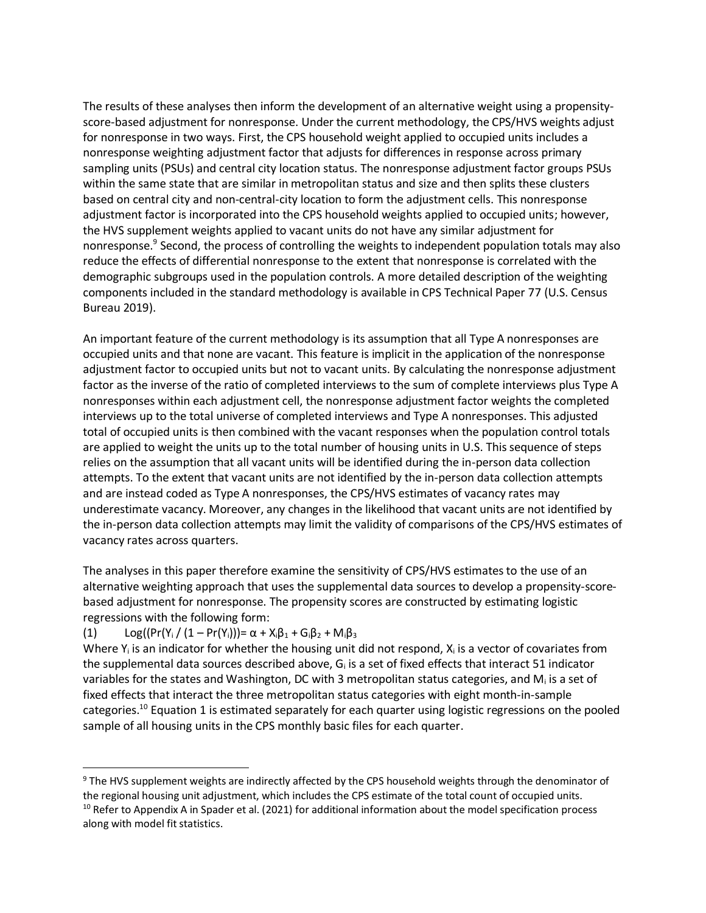The results of these analyses then inform the development of an alternative weight using a propensityscore-based adjustment for nonresponse. Under the current methodology, the CPS/HVS weights adjust for nonresponse in two ways. First, the CPS household weight applied to occupied units includes a nonresponse weighting adjustment factor that adjusts for differences in response across primary sampling units (PSUs) and central city location status. The nonresponse adjustment factor groups PSUs within the same state that are similar in metropolitan status and size and then splits these clusters based on central city and non-central-city location to form the adjustment cells. This nonresponse adjustment factor is incorporated into the CPS household weights applied to occupied units; however, the HVS supplement weights applied to vacant units do not have any similar adjustment for nonresponse.<sup>9</sup> Second, the process of controlling the weights to independent population totals may also reduce the effects of differential nonresponse to the extent that nonresponse is correlated with the demographic subgroups used in the population controls. A more detailed description of the weighting components included in the standard methodology is available in CPS Technical Paper 77 (U.S. Census Bureau 2019).

An important feature of the current methodology is its assumption that all Type A nonresponses are occupied units and that none are vacant. This feature is implicit in the application of the nonresponse adjustment factor to occupied units but not to vacant units. By calculating the nonresponse adjustment factor as the inverse of the ratio of completed interviews to the sum of complete interviews plus Type A nonresponses within each adjustment cell, the nonresponse adjustment factor weights the completed interviews up to the total universe of completed interviews and Type A nonresponses. This adjusted total of occupied units is then combined with the vacant responses when the population control totals are applied to weight the units up to the total number of housing units in U.S. This sequence of steps relies on the assumption that all vacant units will be identified during the in-person data collection attempts. To the extent that vacant units are not identified by the in-person data collection attempts and are instead coded as Type A nonresponses, the CPS/HVS estimates of vacancy rates may underestimate vacancy. Moreover, any changes in the likelihood that vacant units are not identified by the in-person data collection attempts may limit the validity of comparisons of the CPS/HVS estimates of vacancy rates across quarters.

The analyses in this paper therefore examine the sensitivity of CPS/HVS estimates to the use of an alternative weighting approach that uses the supplemental data sources to develop a propensity-scorebased adjustment for nonresponse. The propensity scores are constructed by estimating logistic regressions with the following form:

# (1)  $Log((Pr(Y_i / (1 - Pr(Y_i))) = \alpha + X_i \beta_1 + G_i \beta_2 + M_i \beta_3)$

Where  $Y_i$  is an indicator for whether the housing unit did not respond,  $X_i$  is a vector of covariates from the supplemental data sources described above,  $G_i$  is a set of fixed effects that interact 51 indicator variables for the states and Washington, DC with 3 metropolitan status categories, and  $M<sub>i</sub>$  is a set of fixed effects that interact the three metropolitan status categories with eight month-in-sample categories.<sup>10</sup> Equation 1 is estimated separately for each quarter using logistic regressions on the pooled sample of all housing units in the CPS monthly basic files for each quarter.

<sup>&</sup>lt;sup>9</sup> The HVS supplement weights are indirectly affected by the CPS household weights through the denominator of the regional housing unit adjustment, which includes the CPS estimate of the total count of occupied units. <sup>10</sup> Refer to Appendix A in Spader et al. (2021) for additional information about the model specification process along with model fit statistics.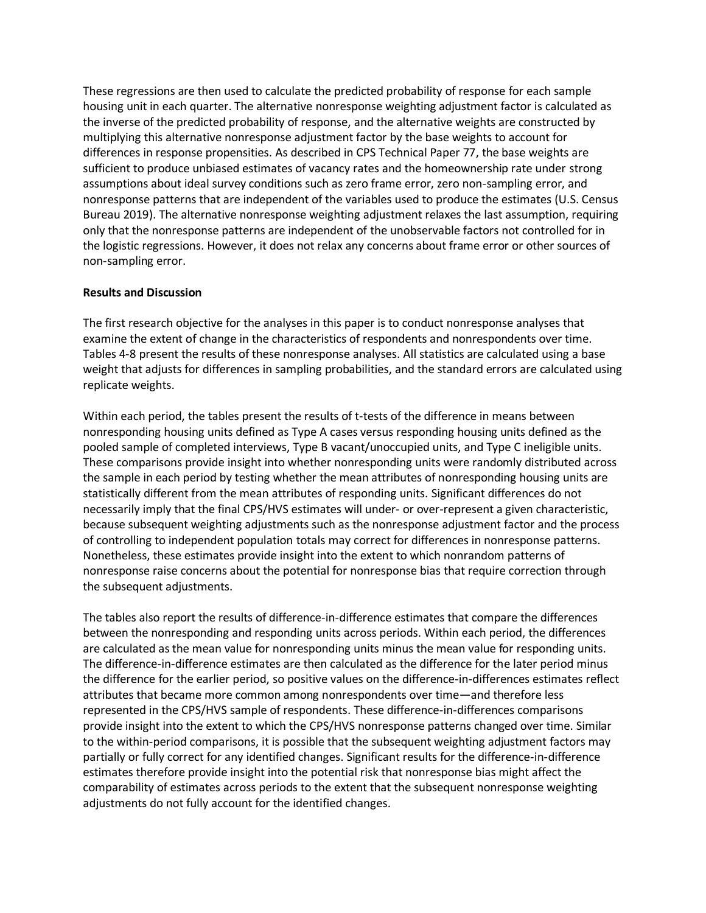These regressions are then used to calculate the predicted probability of response for each sample housing unit in each quarter. The alternative nonresponse weighting adjustment factor is calculated as the inverse of the predicted probability of response, and the alternative weights are constructed by multiplying this alternative nonresponse adjustment factor by the base weights to account for differences in response propensities. As described in CPS Technical Paper 77, the base weights are sufficient to produce unbiased estimates of vacancy rates and the homeownership rate under strong assumptions about ideal survey conditions such as zero frame error, zero non-sampling error, and nonresponse patterns that are independent of the variables used to produce the estimates (U.S. Census Bureau 2019). The alternative nonresponse weighting adjustment relaxes the last assumption, requiring only that the nonresponse patterns are independent of the unobservable factors not controlled for in the logistic regressions. However, it does not relax any concerns about frame error or other sources of non-sampling error.

### **Results and Discussion**

The first research objective for the analyses in this paper is to conduct nonresponse analyses that examine the extent of change in the characteristics of respondents and nonrespondents over time. Tables 4-8 present the results of these nonresponse analyses. All statistics are calculated using a base weight that adjusts for differences in sampling probabilities, and the standard errors are calculated using replicate weights.

Within each period, the tables present the results of t-tests of the difference in means between nonresponding housing units defined as Type A cases versus responding housing units defined as the pooled sample of completed interviews, Type B vacant/unoccupied units, and Type C ineligible units. These comparisons provide insight into whether nonresponding units were randomly distributed across the sample in each period by testing whether the mean attributes of nonresponding housing units are statistically different from the mean attributes of responding units. Significant differences do not necessarily imply that the final CPS/HVS estimates will under- or over-represent a given characteristic, because subsequent weighting adjustments such as the nonresponse adjustment factor and the process of controlling to independent population totals may correct for differences in nonresponse patterns. Nonetheless, these estimates provide insight into the extent to which nonrandom patterns of nonresponse raise concerns about the potential for nonresponse bias that require correction through the subsequent adjustments.

The tables also report the results of difference-in-difference estimates that compare the differences between the nonresponding and responding units across periods. Within each period, the differences are calculated as the mean value for nonresponding units minus the mean value for responding units. The difference-in-difference estimates are then calculated as the difference for the later period minus the difference for the earlier period, so positive values on the difference-in-differences estimates reflect attributes that became more common among nonrespondents over time—and therefore less represented in the CPS/HVS sample of respondents. These difference-in-differences comparisons provide insight into the extent to which the CPS/HVS nonresponse patterns changed over time. Similar to the within-period comparisons, it is possible that the subsequent weighting adjustment factors may partially or fully correct for any identified changes. Significant results for the difference-in-difference estimates therefore provide insight into the potential risk that nonresponse bias might affect the comparability of estimates across periods to the extent that the subsequent nonresponse weighting adjustments do not fully account for the identified changes.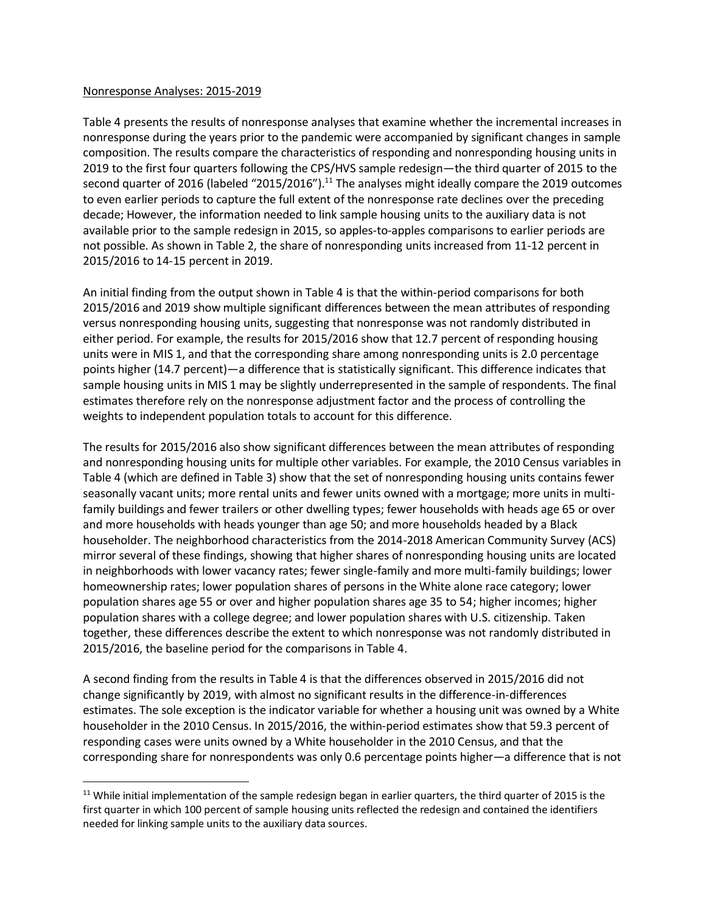#### Nonresponse Analyses: 2015-2019

Table 4 presents the results of nonresponse analyses that examine whether the incremental increases in nonresponse during the years prior to the pandemic were accompanied by significant changes in sample composition. The results compare the characteristics of responding and nonresponding housing units in 2019 to the first four quarters following the CPS/HVS sample redesign—the third quarter of 2015 to the second quarter of 2016 (labeled "2015/2016"). $^{11}$  The analyses might ideally compare the 2019 outcomes to even earlier periods to capture the full extent of the nonresponse rate declines over the preceding decade; However, the information needed to link sample housing units to the auxiliary data is not available prior to the sample redesign in 2015, so apples-to-apples comparisons to earlier periods are not possible. As shown in Table 2, the share of nonresponding units increased from 11-12 percent in 2015/2016 to 14-15 percent in 2019.

An initial finding from the output shown in Table 4 is that the within-period comparisons for both 2015/2016 and 2019 show multiple significant differences between the mean attributes of responding versus nonresponding housing units, suggesting that nonresponse was not randomly distributed in either period. For example, the results for 2015/2016 show that 12.7 percent of responding housing units were in MIS 1, and that the corresponding share among nonresponding units is 2.0 percentage points higher (14.7 percent)—a difference that is statistically significant. This difference indicates that sample housing units in MIS 1 may be slightly underrepresented in the sample of respondents. The final estimates therefore rely on the nonresponse adjustment factor and the process of controlling the weights to independent population totals to account for this difference.

The results for 2015/2016 also show significant differences between the mean attributes of responding and nonresponding housing units for multiple other variables. For example, the 2010 Census variables in Table 4 (which are defined in Table 3) show that the set of nonresponding housing units contains fewer seasonally vacant units; more rental units and fewer units owned with a mortgage; more units in multifamily buildings and fewer trailers or other dwelling types; fewer households with heads age 65 or over and more households with heads younger than age 50; and more households headed by a Black householder. The neighborhood characteristics from the 2014-2018 American Community Survey (ACS) mirror several of these findings, showing that higher shares of nonresponding housing units are located in neighborhoods with lower vacancy rates; fewer single-family and more multi-family buildings; lower homeownership rates; lower population shares of persons in the White alone race category; lower population shares age 55 or over and higher population shares age 35 to 54; higher incomes; higher population shares with a college degree; and lower population shares with U.S. citizenship. Taken together, these differences describe the extent to which nonresponse was not randomly distributed in 2015/2016, the baseline period for the comparisons in Table 4.

A second finding from the results in Table 4 is that the differences observed in 2015/2016 did not change significantly by 2019, with almost no significant results in the difference-in-differences estimates. The sole exception is the indicator variable for whether a housing unit was owned by a White householder in the 2010 Census. In 2015/2016, the within-period estimates show that 59.3 percent of responding cases were units owned by a White householder in the 2010 Census, and that the corresponding share for nonrespondents was only 0.6 percentage points higher—a difference that is not

 $11$  While initial implementation of the sample redesign began in earlier quarters, the third quarter of 2015 is the first quarter in which 100 percent of sample housing units reflected the redesign and contained the identifiers needed for linking sample units to the auxiliary data sources.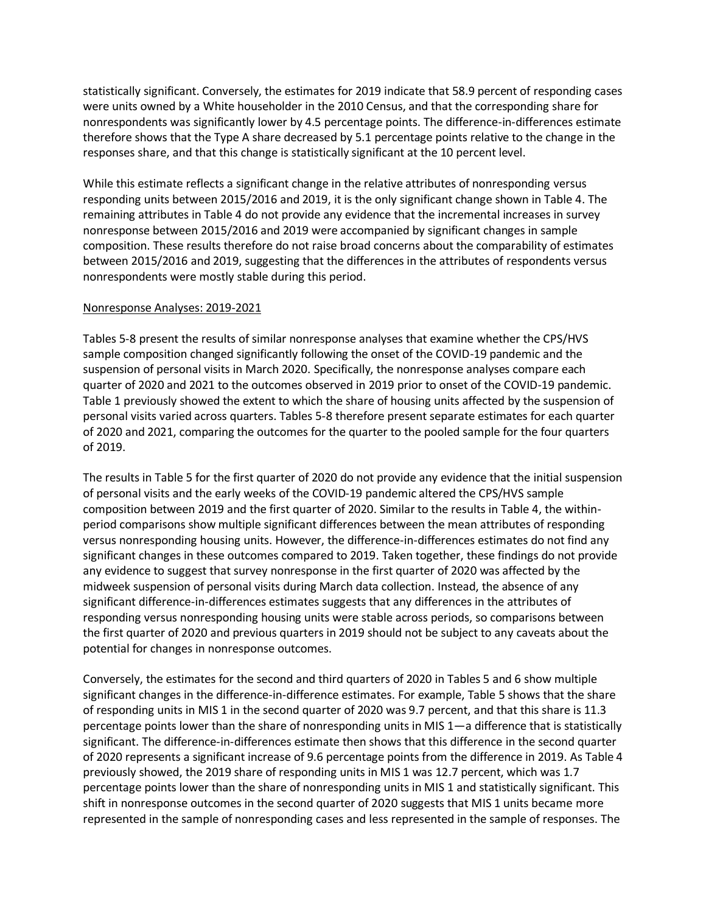statistically significant. Conversely, the estimates for 2019 indicate that 58.9 percent of responding cases were units owned by a White householder in the 2010 Census, and that the corresponding share for nonrespondents was significantly lower by 4.5 percentage points. The difference-in-differences estimate therefore shows that the Type A share decreased by 5.1 percentage points relative to the change in the responses share, and that this change is statistically significant at the 10 percent level.

While this estimate reflects a significant change in the relative attributes of nonresponding versus responding units between 2015/2016 and 2019, it is the only significant change shown in Table 4. The remaining attributes in Table 4 do not provide any evidence that the incremental increases in survey nonresponse between 2015/2016 and 2019 were accompanied by significant changes in sample composition. These results therefore do not raise broad concerns about the comparability of estimates between 2015/2016 and 2019, suggesting that the differences in the attributes of respondents versus nonrespondents were mostly stable during this period.

## Nonresponse Analyses: 2019-2021

Tables 5-8 present the results of similar nonresponse analyses that examine whether the CPS/HVS sample composition changed significantly following the onset of the COVID-19 pandemic and the suspension of personal visits in March 2020. Specifically, the nonresponse analyses compare each quarter of 2020 and 2021 to the outcomes observed in 2019 prior to onset of the COVID-19 pandemic. Table 1 previously showed the extent to which the share of housing units affected by the suspension of personal visits varied across quarters. Tables 5-8 therefore present separate estimates for each quarter of 2020 and 2021, comparing the outcomes for the quarter to the pooled sample for the four quarters of 2019.

The results in Table 5 for the first quarter of 2020 do not provide any evidence that the initial suspension of personal visits and the early weeks of the COVID-19 pandemic altered the CPS/HVS sample composition between 2019 and the first quarter of 2020. Similar to the results in Table 4, the withinperiod comparisons show multiple significant differences between the mean attributes of responding versus nonresponding housing units. However, the difference-in-differences estimates do not find any significant changes in these outcomes compared to 2019. Taken together, these findings do not provide any evidence to suggest that survey nonresponse in the first quarter of 2020 was affected by the midweek suspension of personal visits during March data collection. Instead, the absence of any significant difference-in-differences estimates suggests that any differences in the attributes of responding versus nonresponding housing units were stable across periods, so comparisons between the first quarter of 2020 and previous quarters in 2019 should not be subject to any caveats about the potential for changes in nonresponse outcomes.

Conversely, the estimates for the second and third quarters of 2020 in Tables 5 and 6 show multiple significant changes in the difference-in-difference estimates. For example, Table 5 shows that the share of responding units in MIS 1 in the second quarter of 2020 was 9.7 percent, and that this share is 11.3 percentage points lower than the share of nonresponding units in MIS 1—a difference that is statistically significant. The difference-in-differences estimate then shows that this difference in the second quarter of 2020 represents a significant increase of 9.6 percentage points from the difference in 2019. As Table 4 previously showed, the 2019 share of responding units in MIS 1 was 12.7 percent, which was 1.7 percentage points lower than the share of nonresponding units in MIS 1 and statistically significant. This shift in nonresponse outcomes in the second quarter of 2020 suggests that MIS 1 units became more represented in the sample of nonresponding cases and less represented in the sample of responses. The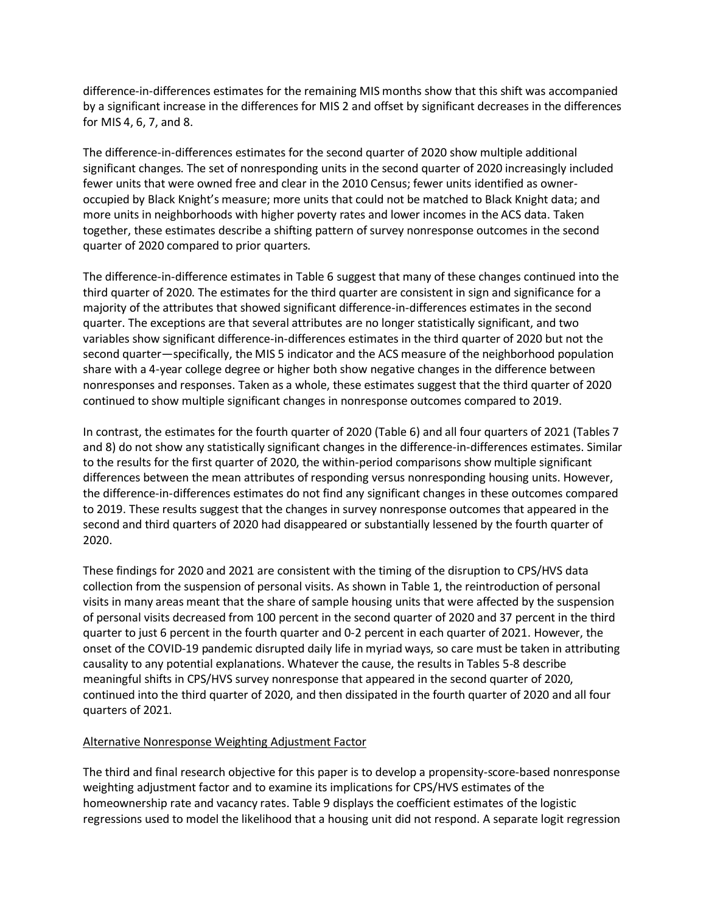difference-in-differences estimates for the remaining MIS months show that this shift was accompanied by a significant increase in the differences for MIS 2 and offset by significant decreases in the differences for MIS 4, 6, 7, and 8.

The difference-in-differences estimates for the second quarter of 2020 show multiple additional significant changes. The set of nonresponding units in the second quarter of 2020 increasingly included fewer units that were owned free and clear in the 2010 Census; fewer units identified as owneroccupied by Black Knight's measure; more units that could not be matched to Black Knight data; and more units in neighborhoods with higher poverty rates and lower incomes in the ACS data. Taken together, these estimates describe a shifting pattern of survey nonresponse outcomes in the second quarter of 2020 compared to prior quarters.

The difference-in-difference estimates in Table 6 suggest that many of these changes continued into the third quarter of 2020. The estimates for the third quarter are consistent in sign and significance for a majority of the attributes that showed significant difference-in-differences estimates in the second quarter. The exceptions are that several attributes are no longer statistically significant, and two variables show significant difference-in-differences estimates in the third quarter of 2020 but not the second quarter—specifically, the MIS 5 indicator and the ACS measure of the neighborhood population share with a 4-year college degree or higher both show negative changes in the difference between nonresponses and responses. Taken as a whole, these estimates suggest that the third quarter of 2020 continued to show multiple significant changes in nonresponse outcomes compared to 2019.

In contrast, the estimates for the fourth quarter of 2020 (Table 6) and all four quarters of 2021 (Tables 7 and 8) do not show any statistically significant changes in the difference-in-differences estimates. Similar to the results for the first quarter of 2020, the within-period comparisons show multiple significant differences between the mean attributes of responding versus nonresponding housing units. However, the difference-in-differences estimates do not find any significant changes in these outcomes compared to 2019. These results suggest that the changes in survey nonresponse outcomes that appeared in the second and third quarters of 2020 had disappeared or substantially lessened by the fourth quarter of 2020.

These findings for 2020 and 2021 are consistent with the timing of the disruption to CPS/HVS data collection from the suspension of personal visits. As shown in Table 1, the reintroduction of personal visits in many areas meant that the share of sample housing units that were affected by the suspension of personal visits decreased from 100 percent in the second quarter of 2020 and 37 percent in the third quarter to just 6 percent in the fourth quarter and 0-2 percent in each quarter of 2021. However, the onset of the COVID-19 pandemic disrupted daily life in myriad ways, so care must be taken in attributing causality to any potential explanations. Whatever the cause, the results in Tables 5-8 describe meaningful shifts in CPS/HVS survey nonresponse that appeared in the second quarter of 2020, continued into the third quarter of 2020, and then dissipated in the fourth quarter of 2020 and all four quarters of 2021.

## Alternative Nonresponse Weighting Adjustment Factor

The third and final research objective for this paper is to develop a propensity-score-based nonresponse weighting adjustment factor and to examine its implications for CPS/HVS estimates of the homeownership rate and vacancy rates. Table 9 displays the coefficient estimates of the logistic regressions used to model the likelihood that a housing unit did not respond. A separate logit regression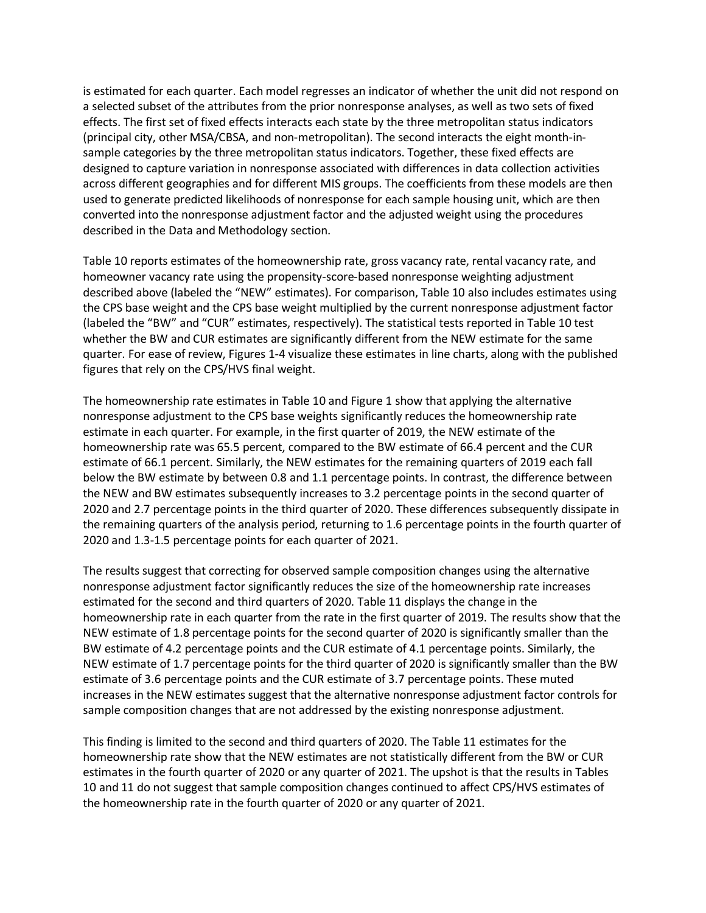is estimated for each quarter. Each model regresses an indicator of whether the unit did not respond on a selected subset of the attributes from the prior nonresponse analyses, as well as two sets of fixed effects. The first set of fixed effects interacts each state by the three metropolitan status indicators (principal city, other MSA/CBSA, and non-metropolitan). The second interacts the eight month-insample categories by the three metropolitan status indicators. Together, these fixed effects are designed to capture variation in nonresponse associated with differences in data collection activities across different geographies and for different MIS groups. The coefficients from these models are then used to generate predicted likelihoods of nonresponse for each sample housing unit, which are then converted into the nonresponse adjustment factor and the adjusted weight using the procedures described in the Data and Methodology section.

Table 10 reports estimates of the homeownership rate, gross vacancy rate, rental vacancy rate, and homeowner vacancy rate using the propensity-score-based nonresponse weighting adjustment described above (labeled the "NEW" estimates). For comparison, Table 10 also includes estimates using the CPS base weight and the CPS base weight multiplied by the current nonresponse adjustment factor (labeled the "BW" and "CUR" estimates, respectively). The statistical tests reported in Table 10 test whether the BW and CUR estimates are significantly different from the NEW estimate for the same quarter. For ease of review, Figures 1-4 visualize these estimates in line charts, along with the published figures that rely on the CPS/HVS final weight.

The homeownership rate estimates in Table 10 and Figure 1 show that applying the alternative nonresponse adjustment to the CPS base weights significantly reduces the homeownership rate estimate in each quarter. For example, in the first quarter of 2019, the NEW estimate of the homeownership rate was 65.5 percent, compared to the BW estimate of 66.4 percent and the CUR estimate of 66.1 percent. Similarly, the NEW estimates for the remaining quarters of 2019 each fall below the BW estimate by between 0.8 and 1.1 percentage points. In contrast, the difference between the NEW and BW estimates subsequently increases to 3.2 percentage points in the second quarter of 2020 and 2.7 percentage points in the third quarter of 2020. These differences subsequently dissipate in the remaining quarters of the analysis period, returning to 1.6 percentage points in the fourth quarter of 2020 and 1.3-1.5 percentage points for each quarter of 2021.

The results suggest that correcting for observed sample composition changes using the alternative nonresponse adjustment factor significantly reduces the size of the homeownership rate increases estimated for the second and third quarters of 2020. Table 11 displays the change in the homeownership rate in each quarter from the rate in the first quarter of 2019. The results show that the NEW estimate of 1.8 percentage points for the second quarter of 2020 is significantly smaller than the BW estimate of 4.2 percentage points and the CUR estimate of 4.1 percentage points. Similarly, the NEW estimate of 1.7 percentage points for the third quarter of 2020 is significantly smaller than the BW estimate of 3.6 percentage points and the CUR estimate of 3.7 percentage points. These muted increases in the NEW estimates suggest that the alternative nonresponse adjustment factor controls for sample composition changes that are not addressed by the existing nonresponse adjustment.

This finding is limited to the second and third quarters of 2020. The Table 11 estimates for the homeownership rate show that the NEW estimates are not statistically different from the BW or CUR estimates in the fourth quarter of 2020 or any quarter of 2021. The upshot is that the results in Tables 10 and 11 do not suggest that sample composition changes continued to affect CPS/HVS estimates of the homeownership rate in the fourth quarter of 2020 or any quarter of 2021.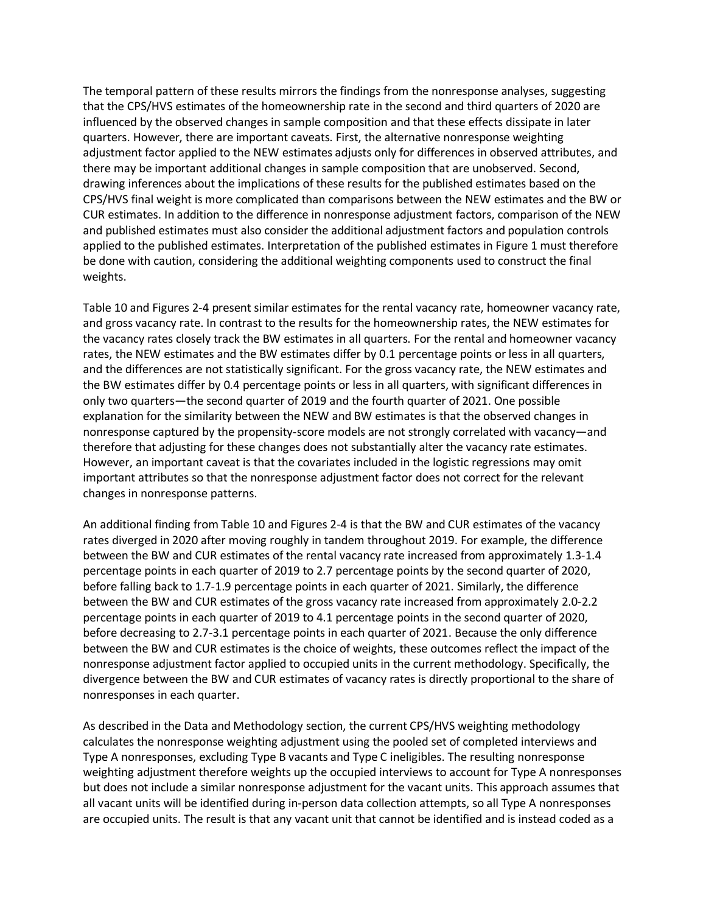The temporal pattern of these results mirrors the findings from the nonresponse analyses, suggesting that the CPS/HVS estimates of the homeownership rate in the second and third quarters of 2020 are influenced by the observed changes in sample composition and that these effects dissipate in later quarters. However, there are important caveats. First, the alternative nonresponse weighting adjustment factor applied to the NEW estimates adjusts only for differences in observed attributes, and there may be important additional changes in sample composition that are unobserved. Second, drawing inferences about the implications of these results for the published estimates based on the CPS/HVS final weight is more complicated than comparisons between the NEW estimates and the BW or CUR estimates. In addition to the difference in nonresponse adjustment factors, comparison of the NEW and published estimates must also consider the additional adjustment factors and population controls applied to the published estimates. Interpretation of the published estimates in Figure 1 must therefore be done with caution, considering the additional weighting components used to construct the final weights.

Table 10 and Figures 2-4 present similar estimates for the rental vacancy rate, homeowner vacancy rate, and gross vacancy rate. In contrast to the results for the homeownership rates, the NEW estimates for the vacancy rates closely track the BW estimates in all quarters. For the rental and homeowner vacancy rates, the NEW estimates and the BW estimates differ by 0.1 percentage points or less in all quarters, and the differences are not statistically significant. For the gross vacancy rate, the NEW estimates and the BW estimates differ by 0.4 percentage points or less in all quarters, with significant differences in only two quarters—the second quarter of 2019 and the fourth quarter of 2021. One possible explanation for the similarity between the NEW and BW estimates is that the observed changes in nonresponse captured by the propensity-score models are not strongly correlated with vacancy—and therefore that adjusting for these changes does not substantially alter the vacancy rate estimates. However, an important caveat is that the covariates included in the logistic regressions may omit important attributes so that the nonresponse adjustment factor does not correct for the relevant changes in nonresponse patterns.

An additional finding from Table 10 and Figures 2-4 is that the BW and CUR estimates of the vacancy rates diverged in 2020 after moving roughly in tandem throughout 2019. For example, the difference between the BW and CUR estimates of the rental vacancy rate increased from approximately 1.3-1.4 percentage points in each quarter of 2019 to 2.7 percentage points by the second quarter of 2020, before falling back to 1.7-1.9 percentage points in each quarter of 2021. Similarly, the difference between the BW and CUR estimates of the gross vacancy rate increased from approximately 2.0-2.2 percentage points in each quarter of 2019 to 4.1 percentage points in the second quarter of 2020, before decreasing to 2.7-3.1 percentage points in each quarter of 2021. Because the only difference between the BW and CUR estimates is the choice of weights, these outcomes reflect the impact of the nonresponse adjustment factor applied to occupied units in the current methodology. Specifically, the divergence between the BW and CUR estimates of vacancy rates is directly proportional to the share of nonresponses in each quarter.

As described in the Data and Methodology section, the current CPS/HVS weighting methodology calculates the nonresponse weighting adjustment using the pooled set of completed interviews and Type A nonresponses, excluding Type B vacants and Type C ineligibles. The resulting nonresponse weighting adjustment therefore weights up the occupied interviews to account for Type A nonresponses but does not include a similar nonresponse adjustment for the vacant units. This approach assumes that all vacant units will be identified during in-person data collection attempts, so all Type A nonresponses are occupied units. The result is that any vacant unit that cannot be identified and is instead coded as a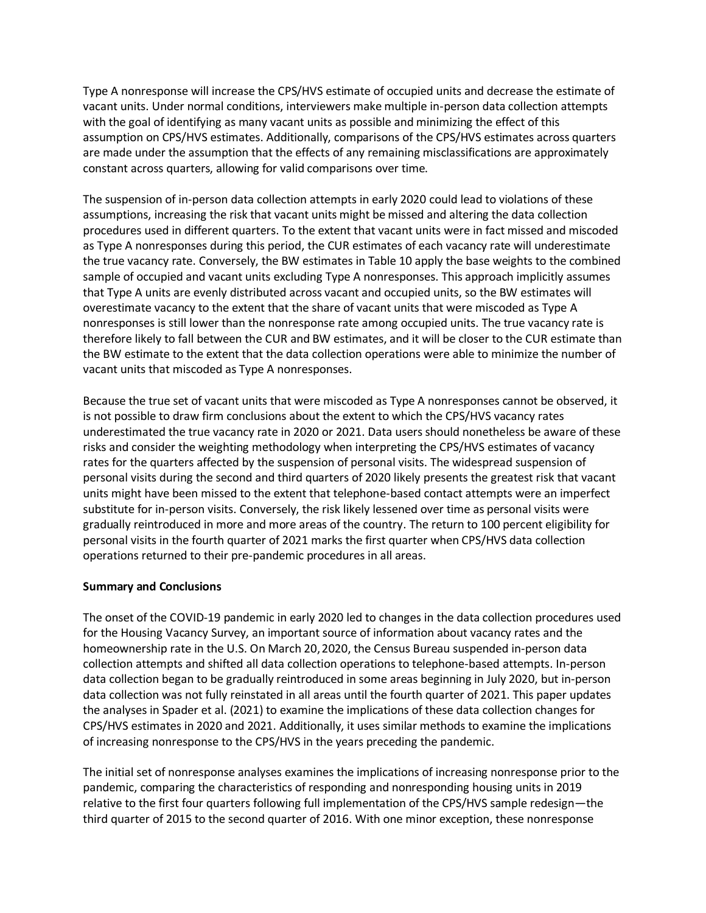Type A nonresponse will increase the CPS/HVS estimate of occupied units and decrease the estimate of vacant units. Under normal conditions, interviewers make multiple in-person data collection attempts with the goal of identifying as many vacant units as possible and minimizing the effect of this assumption on CPS/HVS estimates. Additionally, comparisons of the CPS/HVS estimates across quarters are made under the assumption that the effects of any remaining misclassifications are approximately constant across quarters, allowing for valid comparisons over time.

The suspension of in-person data collection attempts in early 2020 could lead to violations of these assumptions, increasing the risk that vacant units might be missed and altering the data collection procedures used in different quarters. To the extent that vacant units were in fact missed and miscoded as Type A nonresponses during this period, the CUR estimates of each vacancy rate will underestimate the true vacancy rate. Conversely, the BW estimates in Table 10 apply the base weights to the combined sample of occupied and vacant units excluding Type A nonresponses. This approach implicitly assumes that Type A units are evenly distributed across vacant and occupied units, so the BW estimates will overestimate vacancy to the extent that the share of vacant units that were miscoded as Type A nonresponses is still lower than the nonresponse rate among occupied units. The true vacancy rate is therefore likely to fall between the CUR and BW estimates, and it will be closer to the CUR estimate than the BW estimate to the extent that the data collection operations were able to minimize the number of vacant units that miscoded as Type A nonresponses.

Because the true set of vacant units that were miscoded as Type A nonresponses cannot be observed, it is not possible to draw firm conclusions about the extent to which the CPS/HVS vacancy rates underestimated the true vacancy rate in 2020 or 2021. Data users should nonetheless be aware of these risks and consider the weighting methodology when interpreting the CPS/HVS estimates of vacancy rates for the quarters affected by the suspension of personal visits. The widespread suspension of personal visits during the second and third quarters of 2020 likely presents the greatest risk that vacant units might have been missed to the extent that telephone-based contact attempts were an imperfect substitute for in-person visits. Conversely, the risk likely lessened over time as personal visits were gradually reintroduced in more and more areas of the country. The return to 100 percent eligibility for personal visits in the fourth quarter of 2021 marks the first quarter when CPS/HVS data collection operations returned to their pre-pandemic procedures in all areas.

## **Summary and Conclusions**

The onset of the COVID-19 pandemic in early 2020 led to changes in the data collection procedures used for the Housing Vacancy Survey, an important source of information about vacancy rates and the homeownership rate in the U.S. On March 20,2020, the Census Bureau suspended in-person data collection attempts and shifted all data collection operations to telephone-based attempts. In-person data collection began to be gradually reintroduced in some areas beginning in July 2020, but in-person data collection was not fully reinstated in all areas until the fourth quarter of 2021. This paper updates the analyses in Spader et al. (2021) to examine the implications of these data collection changes for CPS/HVS estimates in 2020 and 2021. Additionally, it uses similar methods to examine the implications of increasing nonresponse to the CPS/HVS in the years preceding the pandemic.

The initial set of nonresponse analyses examines the implications of increasing nonresponse prior to the pandemic, comparing the characteristics of responding and nonresponding housing units in 2019 relative to the first four quarters following full implementation of the CPS/HVS sample redesign—the third quarter of 2015 to the second quarter of 2016. With one minor exception, these nonresponse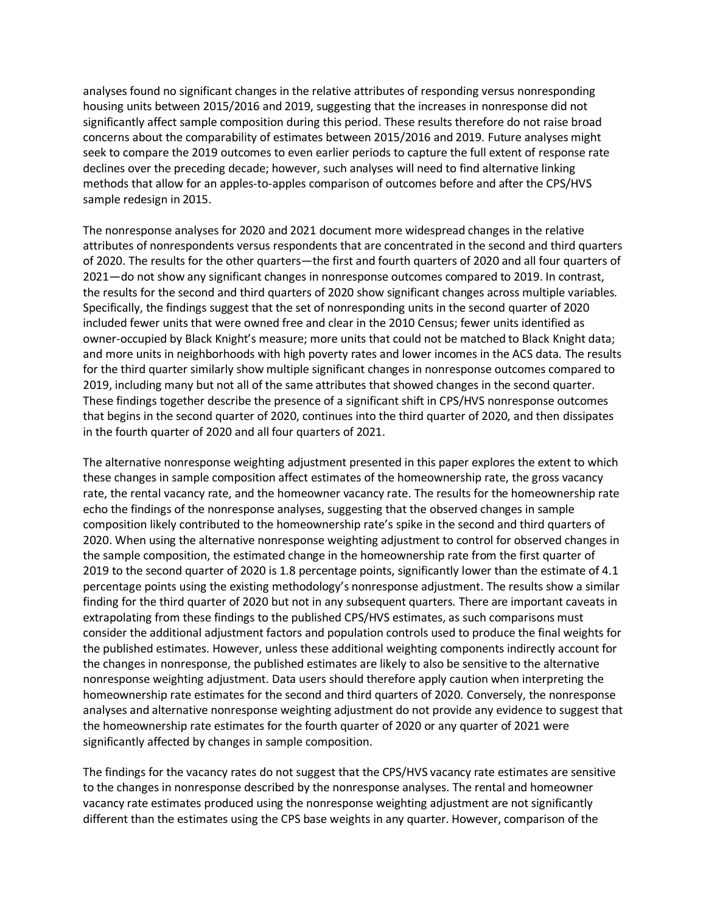analyses found no significant changes in the relative attributes of responding versus nonresponding housing units between 2015/2016 and 2019, suggesting that the increases in nonresponse did not significantly affect sample composition during this period. These results therefore do not raise broad concerns about the comparability of estimates between 2015/2016 and 2019. Future analyses might seek to compare the 2019 outcomes to even earlier periods to capture the full extent of response rate declines over the preceding decade; however, such analyses will need to find alternative linking methods that allow for an apples-to-apples comparison of outcomes before and after the CPS/HVS sample redesign in 2015.

The nonresponse analyses for 2020 and 2021 document more widespread changes in the relative attributes of nonrespondents versus respondents that are concentrated in the second and third quarters of 2020. The results for the other quarters—the first and fourth quarters of 2020 and all four quarters of 2021—do not show any significant changes in nonresponse outcomes compared to 2019. In contrast, the results for the second and third quarters of 2020 show significant changes across multiple variables. Specifically, the findings suggest that the set of nonresponding units in the second quarter of 2020 included fewer units that were owned free and clear in the 2010 Census; fewer units identified as owner-occupied by Black Knight's measure; more units that could not be matched to Black Knight data; and more units in neighborhoods with high poverty rates and lower incomes in the ACS data. The results for the third quarter similarly show multiple significant changes in nonresponse outcomes compared to 2019, including many but not all of the same attributes that showed changes in the second quarter. These findings together describe the presence of a significant shift in CPS/HVS nonresponse outcomes that begins in the second quarter of 2020, continues into the third quarter of 2020, and then dissipates in the fourth quarter of 2020 and all four quarters of 2021.

The alternative nonresponse weighting adjustment presented in this paper explores the extent to which these changes in sample composition affect estimates of the homeownership rate, the gross vacancy rate, the rental vacancy rate, and the homeowner vacancy rate. The results for the homeownership rate echo the findings of the nonresponse analyses, suggesting that the observed changes in sample composition likely contributed to the homeownership rate's spike in the second and third quarters of 2020. When using the alternative nonresponse weighting adjustment to control for observed changes in the sample composition, the estimated change in the homeownership rate from the first quarter of 2019 to the second quarter of 2020 is 1.8 percentage points, significantly lower than the estimate of 4.1 percentage points using the existing methodology's nonresponse adjustment. The results show a similar finding for the third quarter of 2020 but not in any subsequent quarters. There are important caveats in extrapolating from these findings to the published CPS/HVS estimates, as such comparisons must consider the additional adjustment factors and population controls used to produce the final weights for the published estimates. However, unless these additional weighting components indirectly account for the changes in nonresponse, the published estimates are likely to also be sensitive to the alternative nonresponse weighting adjustment. Data users should therefore apply caution when interpreting the homeownership rate estimates for the second and third quarters of 2020. Conversely, the nonresponse analyses and alternative nonresponse weighting adjustment do not provide any evidence to suggest that the homeownership rate estimates for the fourth quarter of 2020 or any quarter of 2021 were significantly affected by changes in sample composition.

The findings for the vacancy rates do not suggest that the CPS/HVS vacancy rate estimates are sensitive to the changes in nonresponse described by the nonresponse analyses. The rental and homeowner vacancy rate estimates produced using the nonresponse weighting adjustment are not significantly different than the estimates using the CPS base weights in any quarter. However, comparison of the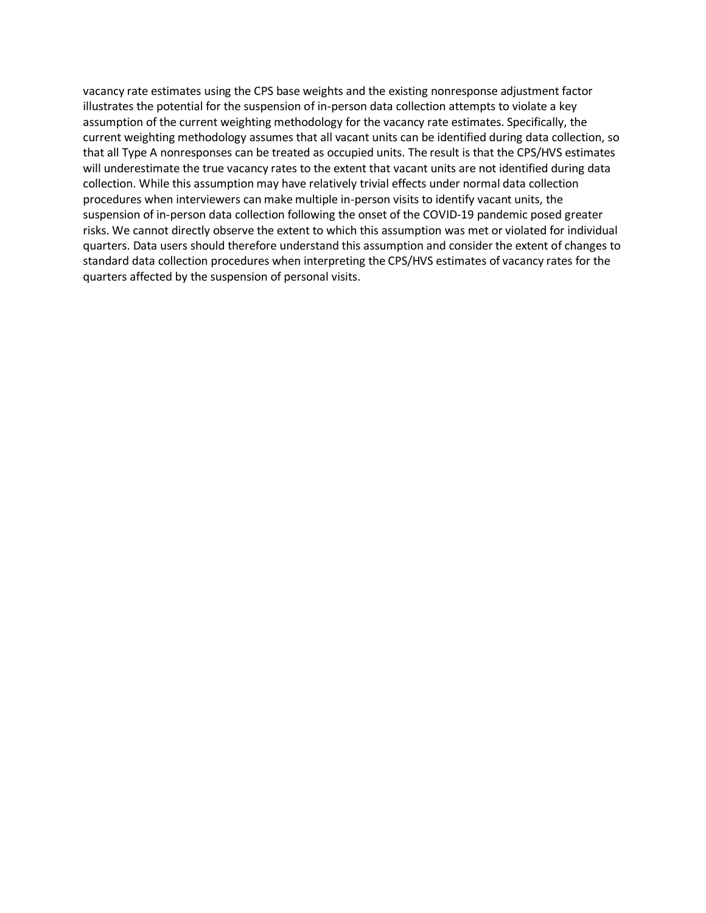vacancy rate estimates using the CPS base weights and the existing nonresponse adjustment factor illustrates the potential for the suspension of in-person data collection attempts to violate a key assumption of the current weighting methodology for the vacancy rate estimates. Specifically, the current weighting methodology assumes that all vacant units can be identified during data collection, so that all Type A nonresponses can be treated as occupied units. The result is that the CPS/HVS estimates will underestimate the true vacancy rates to the extent that vacant units are not identified during data collection. While this assumption may have relatively trivial effects under normal data collection procedures when interviewers can make multiple in-person visits to identify vacant units, the suspension of in-person data collection following the onset of the COVID-19 pandemic posed greater risks. We cannot directly observe the extent to which this assumption was met or violated for individual quarters. Data users should therefore understand this assumption and consider the extent of changes to standard data collection procedures when interpreting the CPS/HVS estimates of vacancy rates for the quarters affected by the suspension of personal visits.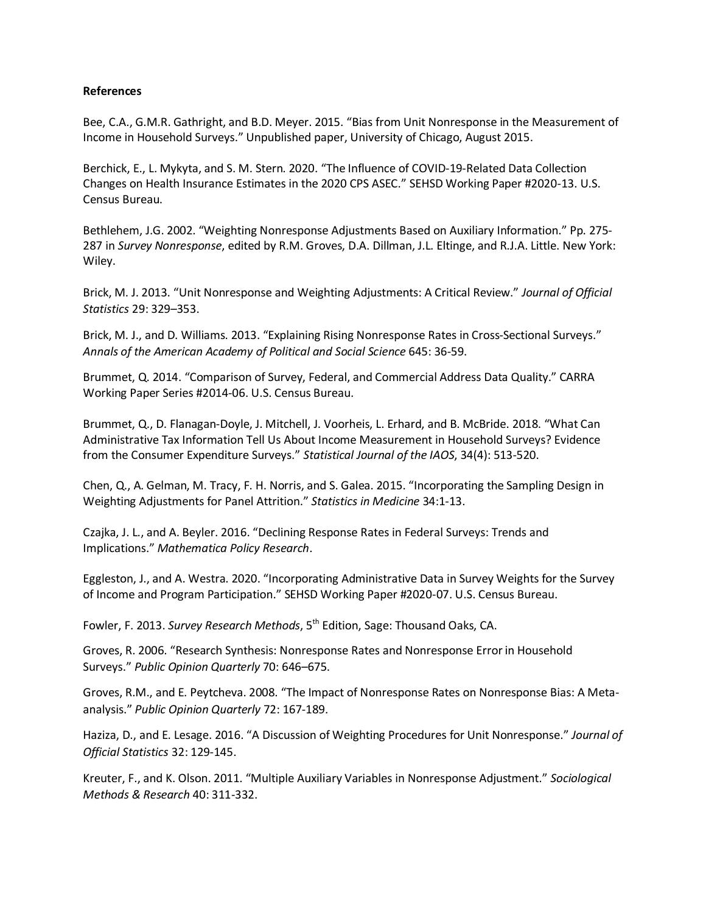### **References**

Bee, C.A., G.M.R. Gathright, and B.D. Meyer. 2015. "Bias from Unit Nonresponse in the Measurement of Income in Household Surveys." Unpublished paper, University of Chicago, August 2015.

Berchick, E., L. Mykyta, and S. M. Stern. 2020. "The Influence of COVID-19-Related Data Collection Changes on Health Insurance Estimates in the 2020 CPS ASEC." SEHSD Working Paper #2020-13. U.S. Census Bureau.

Bethlehem, J.G. 2002. "Weighting Nonresponse Adjustments Based on Auxiliary Information." Pp. 275- 287 in *Survey Nonresponse*, edited by R.M. Groves, D.A. Dillman, J.L. Eltinge, and R.J.A. Little. New York: Wiley.

Brick, M. J. 2013. "Unit Nonresponse and Weighting Adjustments: A Critical Review." *Journal of Official Statistics* 29: 329–353.

Brick, M. J., and D. Williams. 2013. "Explaining Rising Nonresponse Rates in Cross-Sectional Surveys." *Annals of the American Academy of Political and Social Science* 645: 36-59.

Brummet, Q. 2014. "Comparison of Survey, Federal, and Commercial Address Data Quality." CARRA Working Paper Series #2014-06. U.S. Census Bureau.

Brummet, Q., D. Flanagan-Doyle, J. Mitchell, J. Voorheis, L. Erhard, and B. McBride. 2018. "What Can Administrative Tax Information Tell Us About Income Measurement in Household Surveys? Evidence from the Consumer Expenditure Surveys." *Statistical Journal of the IAOS*, 34(4): 513-520.

Chen, Q., A. Gelman, M. Tracy, F. H. Norris, and S. Galea. 2015. "Incorporating the Sampling Design in Weighting Adjustments for Panel Attrition." *Statistics in Medicine* 34:1-13.

Czajka, J. L., and A. Beyler. 2016. "Declining Response Rates in Federal Surveys: Trends and Implications." *Mathematica Policy Research*.

Eggleston, J., and A. Westra. 2020. "Incorporating Administrative Data in Survey Weights for the Survey of Income and Program Participation." SEHSD Working Paper #2020-07. U.S. Census Bureau.

Fowler, F. 2013. *Survey Research Methods*, 5<sup>th</sup> Edition, Sage: Thousand Oaks, CA.

Groves, R. 2006. "Research Synthesis: Nonresponse Rates and Nonresponse Error in Household Surveys." *Public Opinion Quarterly* 70: 646–675.

Groves, R.M., and E. Peytcheva. 2008. "The Impact of Nonresponse Rates on Nonresponse Bias: A Metaanalysis." *Public Opinion Quarterly* 72: 167-189.

Haziza, D., and E. Lesage. 2016. "A Discussion of Weighting Procedures for Unit Nonresponse." *Journal of Official Statistics* 32: 129-145.

Kreuter, F., and K. Olson. 2011. "Multiple Auxiliary Variables in Nonresponse Adjustment." *Sociological Methods & Research* 40: 311-332.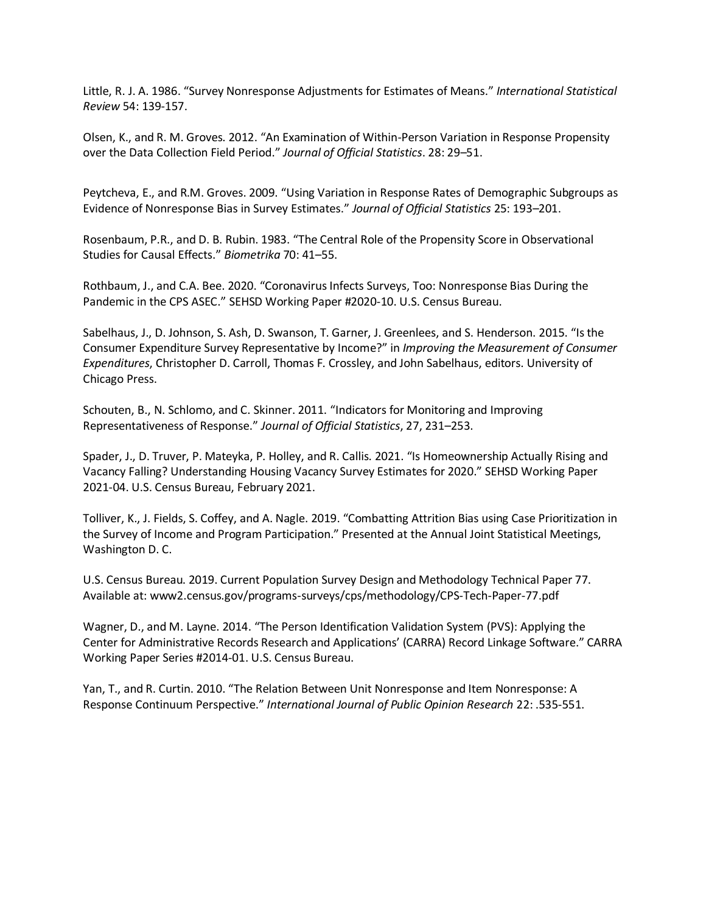Little, R. J. A. 1986. "Survey Nonresponse Adjustments for Estimates of Means." *International Statistical Review* 54: 139-157.

Olsen, K., and R. M. Groves. 2012. "An Examination of Within-Person Variation in Response Propensity over the Data Collection Field Period." *Journal of Official Statistics*. 28: 29–51.

Peytcheva, E., and R.M. Groves. 2009. "Using Variation in Response Rates of Demographic Subgroups as Evidence of Nonresponse Bias in Survey Estimates." *Journal of Official Statistics* 25: 193–201.

Rosenbaum, P.R., and D. B. Rubin. 1983. "The Central Role of the Propensity Score in Observational Studies for Causal Effects." *Biometrika* 70: 41–55.

Rothbaum, J., and C.A. Bee. 2020. "Coronavirus Infects Surveys, Too: Nonresponse Bias During the Pandemic in the CPS ASEC." SEHSD Working Paper #2020-10. U.S. Census Bureau.

Sabelhaus, J., D. Johnson, S. Ash, D. Swanson, T. Garner, J. Greenlees, and S. Henderson. 2015. "Is the Consumer Expenditure Survey Representative by Income?" in *Improving the Measurement of Consumer Expenditures*, Christopher D. Carroll, Thomas F. Crossley, and John Sabelhaus, editors. University of Chicago Press.

Schouten, B., N. Schlomo, and C. Skinner. 2011. "Indicators for Monitoring and Improving Representativeness of Response." *Journal of Official Statistics*, 27, 231–253.

Spader, J., D. Truver, P. Mateyka, P. Holley, and R. Callis. 2021. "Is Homeownership Actually Rising and Vacancy Falling? Understanding Housing Vacancy Survey Estimates for 2020." SEHSD Working Paper 2021-04. U.S. Census Bureau, February 2021.

Tolliver, K., J. Fields, S. Coffey, and A. Nagle. 2019. "Combatting Attrition Bias using Case Prioritization in the Survey of Income and Program Participation." Presented at the Annual Joint Statistical Meetings, Washington D. C.

U.S. Census Bureau. 2019. Current Population Survey Design and Methodology Technical Paper 77. Available at: www2.census.gov/programs-surveys/cps/methodology/CPS-Tech-Paper-77.pdf

Wagner, D., and M. Layne. 2014. "The Person Identification Validation System (PVS): Applying the Center for Administrative Records Research and Applications' (CARRA) Record Linkage Software." CARRA Working Paper Series #2014-01. U.S. Census Bureau.

Yan, T., and R. Curtin. 2010. "The Relation Between Unit Nonresponse and Item Nonresponse: A Response Continuum Perspective." *International Journal of Public Opinion Research* 22: .535-551.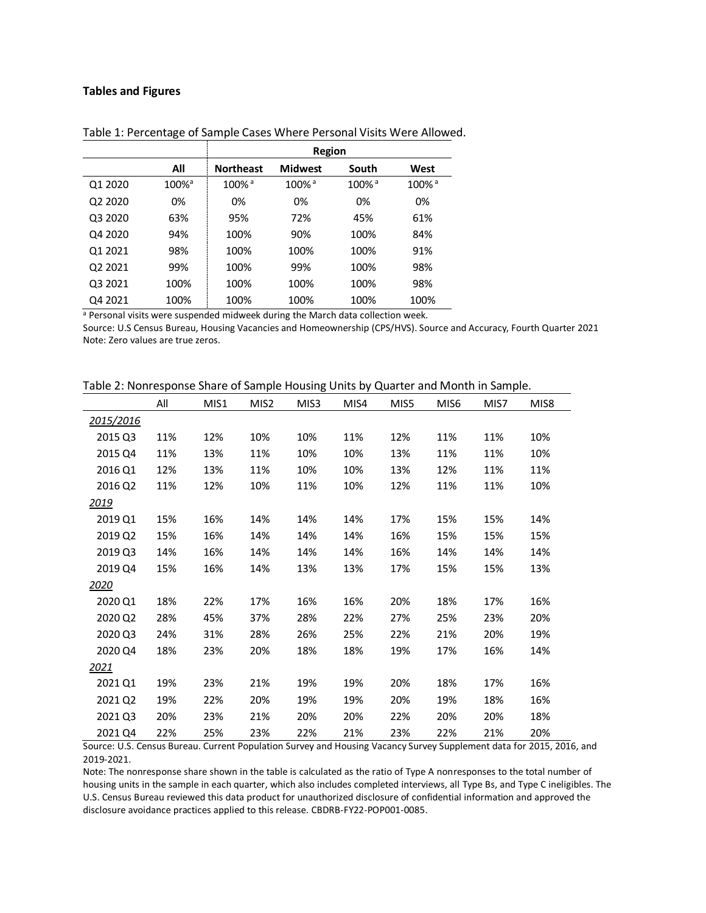#### **Tables and Figures**

|                                 |                      |                      | Region               |                      |                      |
|---------------------------------|----------------------|----------------------|----------------------|----------------------|----------------------|
|                                 | All                  | <b>Northeast</b>     | <b>Midwest</b>       | South                | West                 |
| Q1 2020                         | $100\%$ <sup>a</sup> | $100\%$ <sup>a</sup> | $100\%$ <sup>a</sup> | $100\%$ <sup>a</sup> | $100\%$ <sup>a</sup> |
| Q <sub>2</sub> 20 <sub>20</sub> | 0%                   | 0%                   | 0%                   | 0%                   | 0%                   |
| Q3 2020                         | 63%                  | 95%                  | 72%                  | 45%                  | 61%                  |
| Q4 2020                         | 94%                  | 100%                 | 90%                  | 100%                 | 84%                  |
| Q1 2021                         | 98%                  | 100%                 | 100%                 | 100%                 | 91%                  |
| Q2 2021                         | 99%                  | 100%                 | 99%                  | 100%                 | 98%                  |
| Q3 2021                         | 100%                 | 100%                 | 100%                 | 100%                 | 98%                  |
| Q4 2021                         | 100%                 | 100%                 | 100%                 | 100%                 | 100%                 |

Table 1: Percentage of Sample Cases Where Personal Visits Were Allowed.

a Personal visits were suspended midweek during the March data collection week.

Source: U.S Census Bureau, Housing Vacancies and Homeownership (CPS/HVS). Source and Accuracy, Fourth Quarter 2021 Note: Zero values are true zeros.

|               | All | MIS1 | MIS <sub>2</sub> | MIS3 | MIS4 | MIS5 | MIS <sub>6</sub> | MIS7 | MIS8 |
|---------------|-----|------|------------------|------|------|------|------------------|------|------|
| 2015/2016     |     |      |                  |      |      |      |                  |      |      |
| 2015 Q3       | 11% | 12%  | 10%              | 10%  | 11%  | 12%  | 11%              | 11%  | 10%  |
| 2015 Q4       | 11% | 13%  | 11%              | 10%  | 10%  | 13%  | 11%              | 11%  | 10%  |
| 2016 Q1       | 12% | 13%  | 11%              | 10%  | 10%  | 13%  | 12%              | 11%  | 11%  |
| 2016 Q2       | 11% | 12%  | 10%              | 11%  | 10%  | 12%  | 11%              | 11%  | 10%  |
| <u> 2019 </u> |     |      |                  |      |      |      |                  |      |      |
| 2019 Q1       | 15% | 16%  | 14%              | 14%  | 14%  | 17%  | 15%              | 15%  | 14%  |
| 2019 Q2       | 15% | 16%  | 14%              | 14%  | 14%  | 16%  | 15%              | 15%  | 15%  |
| 2019 Q3       | 14% | 16%  | 14%              | 14%  | 14%  | 16%  | 14%              | 14%  | 14%  |
| 2019 Q4       | 15% | 16%  | 14%              | 13%  | 13%  | 17%  | 15%              | 15%  | 13%  |
| <u> 2020 </u> |     |      |                  |      |      |      |                  |      |      |
| 2020 Q1       | 18% | 22%  | 17%              | 16%  | 16%  | 20%  | 18%              | 17%  | 16%  |
| 2020 Q2       | 28% | 45%  | 37%              | 28%  | 22%  | 27%  | 25%              | 23%  | 20%  |
| 2020 Q3       | 24% | 31%  | 28%              | 26%  | 25%  | 22%  | 21%              | 20%  | 19%  |
| 2020 Q4       | 18% | 23%  | 20%              | 18%  | 18%  | 19%  | 17%              | 16%  | 14%  |
| <u> 2021 </u> |     |      |                  |      |      |      |                  |      |      |
| 2021 Q1       | 19% | 23%  | 21%              | 19%  | 19%  | 20%  | 18%              | 17%  | 16%  |
| 2021 Q2       | 19% | 22%  | 20%              | 19%  | 19%  | 20%  | 19%              | 18%  | 16%  |
| 2021 Q3       | 20% | 23%  | 21%              | 20%  | 20%  | 22%  | 20%              | 20%  | 18%  |
| 2021 Q4       | 22% | 25%  | 23%              | 22%  | 21%  | 23%  | 22%              | 21%  | 20%  |

Table 2: Nonresponse Share of Sample Housing Units by Quarter and Month in Sample.

Source: U.S. Census Bureau. Current Population Survey and Housing Vacancy Survey Supplement data for 2015, 2016, and 2019-2021.

Note: The nonresponse share shown in the table is calculated as the ratio of Type A nonresponses to the total number of housing units in the sample in each quarter, which also includes completed interviews, all Type Bs, and Type C ineligibles. The U.S. Census Bureau reviewed this data product for unauthorized disclosure of confidential information and approved the disclosure avoidance practices applied to this release. CBDRB-FY22-POP001-0085.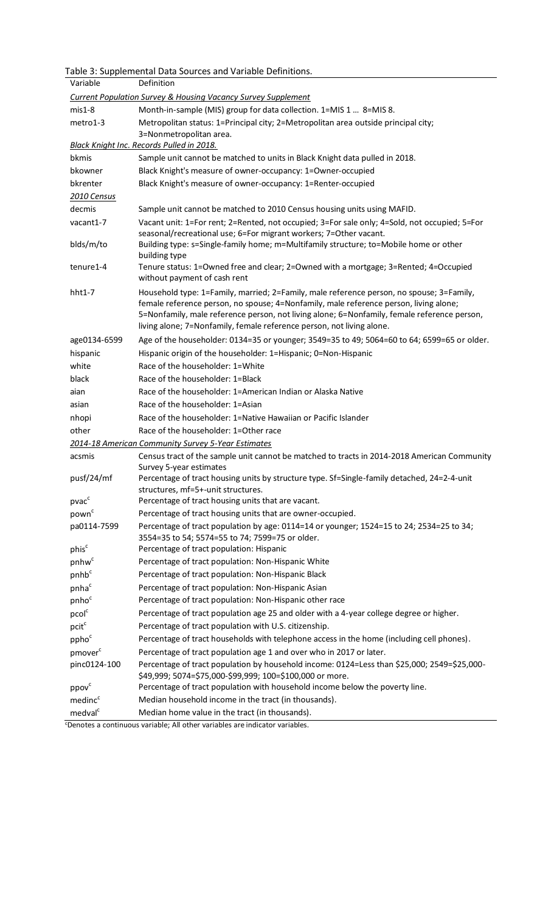|                     | Table 3: Supplemental Data Sources and Variable Definitions.                                                                                                                                                                                                                                                                                              |
|---------------------|-----------------------------------------------------------------------------------------------------------------------------------------------------------------------------------------------------------------------------------------------------------------------------------------------------------------------------------------------------------|
| Variable            | Definition                                                                                                                                                                                                                                                                                                                                                |
|                     | <b>Current Population Survey &amp; Housing Vacancy Survey Supplement</b>                                                                                                                                                                                                                                                                                  |
| $mis1-8$            | Month-in-sample (MIS) group for data collection. 1=MIS 1  8=MIS 8.                                                                                                                                                                                                                                                                                        |
| metro1-3            | Metropolitan status: 1=Principal city; 2=Metropolitan area outside principal city;<br>3=Nonmetropolitan area.                                                                                                                                                                                                                                             |
|                     | Black Knight Inc. Records Pulled in 2018.                                                                                                                                                                                                                                                                                                                 |
| bkmis               | Sample unit cannot be matched to units in Black Knight data pulled in 2018.                                                                                                                                                                                                                                                                               |
| bkowner             | Black Knight's measure of owner-occupancy: 1=Owner-occupied                                                                                                                                                                                                                                                                                               |
| bkrenter            | Black Knight's measure of owner-occupancy: 1=Renter-occupied                                                                                                                                                                                                                                                                                              |
| 2010 Census         |                                                                                                                                                                                                                                                                                                                                                           |
| decmis              | Sample unit cannot be matched to 2010 Census housing units using MAFID.                                                                                                                                                                                                                                                                                   |
| vacant1-7           | Vacant unit: 1=For rent; 2=Rented, not occupied; 3=For sale only; 4=Sold, not occupied; 5=For                                                                                                                                                                                                                                                             |
|                     | seasonal/recreational use; 6=For migrant workers; 7=Other vacant.                                                                                                                                                                                                                                                                                         |
| blds/m/to           | Building type: s=Single-family home; m=Multifamily structure; to=Mobile home or other<br>building type                                                                                                                                                                                                                                                    |
| tenure1-4           | Tenure status: 1=Owned free and clear; 2=Owned with a mortgage; 3=Rented; 4=Occupied<br>without payment of cash rent                                                                                                                                                                                                                                      |
| $hht1-7$            | Household type: 1=Family, married; 2=Family, male reference person, no spouse; 3=Family,<br>female reference person, no spouse; 4=Nonfamily, male reference person, living alone;<br>5=Nonfamily, male reference person, not living alone; 6=Nonfamily, female reference person,<br>living alone; 7=Nonfamily, female reference person, not living alone. |
| age0134-6599        | Age of the householder: 0134=35 or younger; 3549=35 to 49; 5064=60 to 64; 6599=65 or older.                                                                                                                                                                                                                                                               |
| hispanic            | Hispanic origin of the householder: 1=Hispanic; 0=Non-Hispanic                                                                                                                                                                                                                                                                                            |
| white               | Race of the householder: 1=White                                                                                                                                                                                                                                                                                                                          |
| black               | Race of the householder: 1=Black                                                                                                                                                                                                                                                                                                                          |
| aian                | Race of the householder: 1=American Indian or Alaska Native                                                                                                                                                                                                                                                                                               |
| asian               | Race of the householder: 1=Asian                                                                                                                                                                                                                                                                                                                          |
| nhopi               | Race of the householder: 1=Native Hawaiian or Pacific Islander                                                                                                                                                                                                                                                                                            |
| other               | Race of the householder: 1=Other race                                                                                                                                                                                                                                                                                                                     |
|                     | 2014-18 American Community Survey 5-Year Estimates                                                                                                                                                                                                                                                                                                        |
| acsmis              | Census tract of the sample unit cannot be matched to tracts in 2014-2018 American Community<br>Survey 5-year estimates                                                                                                                                                                                                                                    |
| pusf/24/mf          | Percentage of tract housing units by structure type. Sf=Single-family detached, 24=2-4-unit<br>structures, mf=5+-unit structures.                                                                                                                                                                                                                         |
| pvac <sup>c</sup>   | Percentage of tract housing units that are vacant.                                                                                                                                                                                                                                                                                                        |
| pown <sup>c</sup>   | Percentage of tract housing units that are owner-occupied.                                                                                                                                                                                                                                                                                                |
| pa0114-7599         | Percentage of tract population by age: 0114=14 or younger; 1524=15 to 24; 2534=25 to 34;                                                                                                                                                                                                                                                                  |
|                     | 3554=35 to 54; 5574=55 to 74; 7599=75 or older.                                                                                                                                                                                                                                                                                                           |
| phis <sup>c</sup>   | Percentage of tract population: Hispanic                                                                                                                                                                                                                                                                                                                  |
| pnhw <sup>c</sup>   | Percentage of tract population: Non-Hispanic White                                                                                                                                                                                                                                                                                                        |
| pnhb <sup>c</sup>   | Percentage of tract population: Non-Hispanic Black                                                                                                                                                                                                                                                                                                        |
| pnha <sup>c</sup>   | Percentage of tract population: Non-Hispanic Asian                                                                                                                                                                                                                                                                                                        |
| pnho <sup>c</sup>   | Percentage of tract population: Non-Hispanic other race                                                                                                                                                                                                                                                                                                   |
| pcol <sup>c</sup>   | Percentage of tract population age 25 and older with a 4-year college degree or higher.                                                                                                                                                                                                                                                                   |
| pcit <sup>c</sup>   | Percentage of tract population with U.S. citizenship.                                                                                                                                                                                                                                                                                                     |
| ppho <sup>c</sup>   | Percentage of tract households with telephone access in the home (including cell phones).                                                                                                                                                                                                                                                                 |
| pmover <sup>c</sup> | Percentage of tract population age 1 and over who in 2017 or later.                                                                                                                                                                                                                                                                                       |
| pinc0124-100        | Percentage of tract population by household income: 0124=Less than \$25,000; 2549=\$25,000-                                                                                                                                                                                                                                                               |
|                     | \$49,999; 5074=\$75,000-\$99,999; 100=\$100,000 or more.                                                                                                                                                                                                                                                                                                  |
| ppov <sup>c</sup>   | Percentage of tract population with household income below the poverty line.                                                                                                                                                                                                                                                                              |
| medinc <sup>c</sup> | Median household income in the tract (in thousands).                                                                                                                                                                                                                                                                                                      |
| medval <sup>c</sup> | Median home value in the tract (in thousands).                                                                                                                                                                                                                                                                                                            |

cDenotes a continuous variable; All other variables are indicator variables.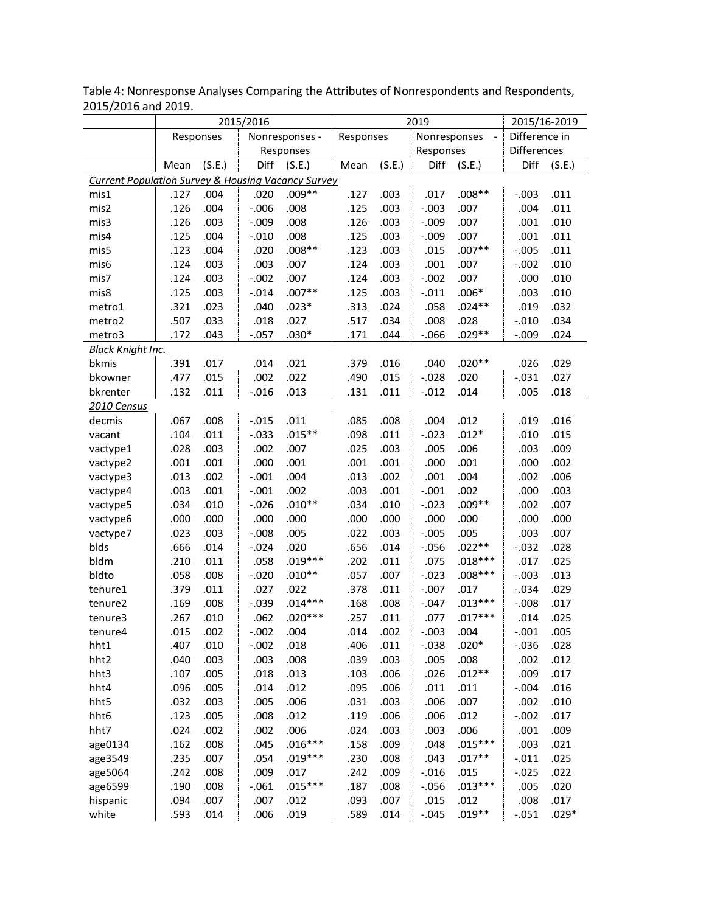|                                                               | 2015/2016<br>Responses<br>Nonresponses - |        |          |           |           | 2019   |              | 2015/16-2019   |                 |         |
|---------------------------------------------------------------|------------------------------------------|--------|----------|-----------|-----------|--------|--------------|----------------|-----------------|---------|
|                                                               |                                          |        |          |           | Responses |        | Nonresponses | $\blacksquare$ | Difference in   |         |
|                                                               |                                          |        |          | Responses |           |        | Responses    |                | Differences     |         |
|                                                               | Mean                                     | (S.E.) | Diff     | (S.E.)    | Mean      | (S.E.) | Diff         | (S.E.)         | Diff            | (S.E.)  |
| <b>Current Population Survey &amp; Housing Vacancy Survey</b> |                                          |        |          |           |           |        |              |                |                 |         |
| mis1                                                          | .127                                     | .004   | .020     | $.009**$  | .127      | .003   | .017         | $.008**$       | $-.003$         | .011    |
| mis2                                                          | .126                                     | .004   | $-0.006$ | .008      | .125      | .003   | $-.003$      | .007           | .004            | .011    |
| mis3                                                          | .126                                     | .003   | $-.009$  | .008      | .126      | .003   | $-.009$      | .007           | .001            | .010    |
| mis4                                                          | .125                                     | .004   | $-.010$  | .008      | .125      | .003   | $-.009$      | .007           | .001            | .011    |
| mis5                                                          | .123                                     | .004   | .020     | $.008**$  | .123      | .003   | .015         | $.007**$       | $-0.005$        | .011    |
| mis6                                                          | .124                                     | .003   | .003     | .007      | .124      | .003   | .001         | .007           | $-.002$         | .010    |
| mis7                                                          | .124                                     | .003   | $-.002$  | .007      | .124      | .003   | $-.002$      | .007           | .000            | .010    |
| mis8                                                          | .125                                     | .003   | $-.014$  | $.007**$  | .125      | .003   | $-.011$      | $.006*$        | .003            | .010    |
| metro1                                                        | .321                                     | .023   | .040     | $.023*$   | .313      | .024   | .058         | $.024**$       | .019            | .032    |
| metro2                                                        | .507                                     | .033   | .018     | .027      | .517      | .034   | .008         | .028           | $-.010$         | .034    |
| metro3                                                        | .172                                     | .043   | $-.057$  | $.030*$   | .171      | .044   | $-0.066$     | $.029**$       | $-0.009$        | .024    |
| <b>Black Knight Inc.</b>                                      |                                          |        |          |           |           |        |              |                |                 |         |
| bkmis                                                         | .391                                     | .017   | .014     | .021      | .379      | .016   | .040         | $.020**$       | .026            | .029    |
| bkowner                                                       | .477                                     | .015   | .002     | .022      | .490      | .015   | $-.028$      | .020           | $-.031$         | .027    |
| bkrenter                                                      | .132                                     | .011   | $-.016$  | .013      | .131      | .011   | $-.012$      | .014           | .005            | .018    |
| 2010 Census                                                   |                                          |        |          |           |           |        |              |                |                 |         |
| decmis                                                        | .067                                     | .008   | $-.015$  | .011      | .085      | .008   | .004         | .012           | .019            | .016    |
| vacant                                                        | .104                                     | .011   | $-.033$  | $.015**$  | .098      | .011   | $-.023$      | $.012*$        | .010            | .015    |
| vactype1                                                      | .028                                     | .003   | .002     | .007      | .025      | .003   | .005         | .006           | .003            | .009    |
| vactype2                                                      | .001                                     | .001   | .000     | .001      | .001      | .001   | .000         | .001           | .000            | .002    |
| vactype3                                                      | .013                                     | .002   | $-.001$  | .004      | .013      | .002   | .001         | .004           | .002            | .006    |
| vactype4                                                      | .003                                     | .001   | $-.001$  | .002      | .003      | .001   | $-.001$      | .002           | .000            | .003    |
| vactype5                                                      | .034                                     | .010   | $-.026$  | $.010**$  | .034      | .010   | $-.023$      | $.009**$       | .002            | .007    |
| vactype6                                                      | .000                                     | .000   | .000     | .000      | .000      | .000   | .000         | .000           | .000            | .000    |
| vactype7                                                      | .023                                     | .003   | $-.008$  | .005      | .022      | .003   | $-.005$      | .005           | .003            | .007    |
| blds                                                          | .666                                     | .014   | $-.024$  | .020      | .656      | .014   | $-0.056$     | $.022**$       | $-.032$         | .028    |
| bldm                                                          | .210                                     | .011   | .058     | $.019***$ | .202      | .011   | .075         | $.018***$      | .017            | .025    |
| bldto                                                         | .058                                     | .008   | $-.020$  | $.010**$  | .057      | .007   | $-0.023$     | $.008***$      | $-.003$         | .013    |
| tenure1                                                       | .379                                     | .011   | .027     | .022      | .378      | .011   | $-.007$      | .017           | $-.034$         | .029    |
| tenure2                                                       | .169                                     | .008   | $-.039$  | $.014***$ | .168      | .008   | $-.047$      | $.013***$      | $-.008$         | .017    |
| tenure3                                                       | .267                                     | .010   | .062     | $.020***$ | .257      | .011   | .077         | $.017***$      | .014            | .025    |
| tenure4                                                       | .015                                     | .002   | $-.002$  | .004      | .014      | .002   | $-.003$      | .004           | $-.001$         | .005    |
| hht1                                                          | .407                                     | .010   | $-.002$  | .018      | .406      | .011   | $-.038$      | $.020*$        | $-0.036$        | .028    |
| hht2                                                          | .040                                     | .003   | .003     | .008      | .039      | .003   | .005         | .008           | .002            | .012    |
| hht3                                                          | .107                                     | .005   | .018     | .013      | .103      | .006   | .026         | $.012**$       | .009            | .017    |
|                                                               | .096                                     | .005   | .014     | .012      | .095      | .006   | .011         |                | $-.004$         | .016    |
| hht4                                                          |                                          |        |          |           |           |        |              | .011           |                 |         |
| hht5                                                          | .032                                     | .003   | .005     | .006      | .031      | .003   | .006         | .007           | .002<br>$-.002$ | .010    |
| hht6                                                          | .123                                     | .005   | .008     | .012      | .119      | .006   | .006         | .012           |                 | .017    |
| hht7                                                          | .024                                     | .002   | .002     | .006      | .024      | .003   | .003         | .006           | .001            | .009    |
| age0134                                                       | .162                                     | .008   | .045     | $.016***$ | .158      | .009   | .048         | $.015***$      | .003            | .021    |
| age3549                                                       | .235                                     | .007   | .054     | $.019***$ | .230      | .008   | .043         | $.017**$       | $-.011$         | .025    |
| age5064                                                       | .242                                     | .008   | .009     | .017      | .242      | .009   | $-.016$      | .015           | $-0.025$        | .022    |
| age6599                                                       | .190                                     | .008   | $-.061$  | $.015***$ | .187      | .008   | $-.056$      | $.013***$      | .005            | .020    |
| hispanic                                                      | .094                                     | .007   | .007     | .012      | .093      | .007   | .015         | .012           | .008            | .017    |
| white                                                         | .593                                     | .014   | .006     | .019      | .589      | .014   | $-.045$      | $.019**$       | $-.051$         | $.029*$ |

Table 4: Nonresponse Analyses Comparing the Attributes of Nonrespondents and Respondents, 2015/2016 and 2019.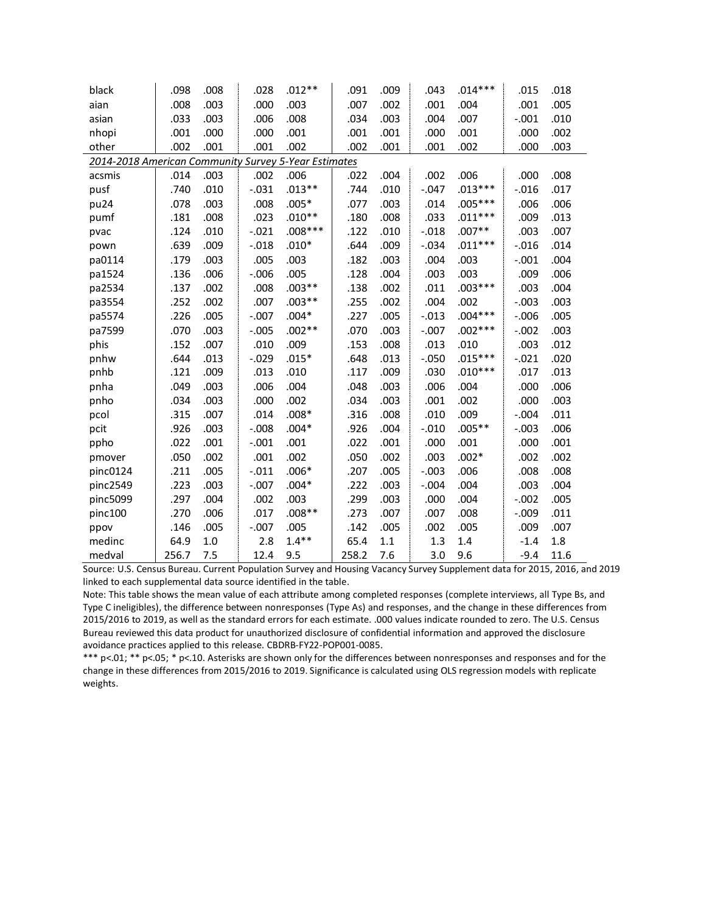| black                                                | .098  | .008 | .028    | $.012**$  | .091  | .009 | .043    | $.014***$ | .015     | .018 |
|------------------------------------------------------|-------|------|---------|-----------|-------|------|---------|-----------|----------|------|
| aian                                                 | .008  | .003 | .000    | .003      | .007  | .002 | .001    | .004      | .001     | .005 |
| asian                                                | .033  | .003 | .006    | .008      | .034  | .003 | .004    | .007      | $-.001$  | .010 |
| nhopi                                                | .001  | .000 | .000    | .001      | .001  | .001 | .000    | .001      | .000     | .002 |
| other                                                | .002  | .001 | .001    | .002      | .002  | .001 | .001    | .002      | .000     | .003 |
| 2014-2018 American Community Survey 5-Year Estimates |       |      |         |           |       |      |         |           |          |      |
| acsmis                                               | .014  | .003 | .002    | .006      | .022  | .004 | .002    | .006      | .000     | .008 |
| pusf                                                 | .740  | .010 | $-.031$ | $.013**$  | .744  | .010 | $-.047$ | $.013***$ | $-.016$  | .017 |
| pu24                                                 | .078  | .003 | .008    | $.005*$   | .077  | .003 | .014    | $.005***$ | .006     | .006 |
| pumf                                                 | .181  | .008 | .023    | $.010**$  | .180  | .008 | .033    | $.011***$ | .009     | .013 |
| pvac                                                 | .124  | .010 | $-.021$ | $.008***$ | .122  | .010 | $-.018$ | $.007**$  | .003     | .007 |
| pown                                                 | .639  | .009 | $-.018$ | $.010*$   | .644  | .009 | $-.034$ | $.011***$ | $-.016$  | .014 |
| pa0114                                               | .179  | .003 | .005    | .003      | .182  | .003 | .004    | .003      | $-.001$  | .004 |
| pa1524                                               | .136  | .006 | $-.006$ | .005      | .128  | .004 | .003    | .003      | .009     | .006 |
| pa2534                                               | .137  | .002 | .008    | $.003**$  | .138  | .002 | .011    | $.003***$ | .003     | .004 |
| pa3554                                               | .252  | .002 | .007    | $.003**$  | .255  | .002 | .004    | .002      | $-.003$  | .003 |
| pa5574                                               | .226  | .005 | $-.007$ | $.004*$   | .227  | .005 | $-.013$ | $.004***$ | $-0.006$ | .005 |
| pa7599                                               | .070  | .003 | $-.005$ | $.002**$  | .070  | .003 | $-.007$ | $.002***$ | $-.002$  | .003 |
| phis                                                 | .152  | .007 | .010    | .009      | .153  | .008 | .013    | .010      | .003     | .012 |
| pnhw                                                 | .644  | .013 | $-.029$ | $.015*$   | .648  | .013 | $-.050$ | $.015***$ | $-.021$  | .020 |
| pnhb                                                 | .121  | .009 | .013    | .010      | .117  | .009 | .030    | $.010***$ | .017     | .013 |
| pnha                                                 | .049  | .003 | .006    | .004      | .048  | .003 | .006    | .004      | .000     | .006 |
| pnho                                                 | .034  | .003 | .000    | .002      | .034  | .003 | .001    | .002      | .000     | .003 |
| pcol                                                 | .315  | .007 | .014    | $.008*$   | .316  | .008 | .010    | .009      | $-.004$  | .011 |
| pcit                                                 | .926  | .003 | $-.008$ | $.004*$   | .926  | .004 | $-.010$ | $.005**$  | $-.003$  | .006 |
| ppho                                                 | .022  | .001 | $-.001$ | .001      | .022  | .001 | .000    | .001      | .000     | .001 |
| pmover                                               | .050  | .002 | .001    | .002      | .050  | .002 | .003    | $.002*$   | .002     | .002 |
| pinc0124                                             | .211  | .005 | $-.011$ | $.006*$   | .207  | .005 | $-.003$ | .006      | .008     | .008 |
| pinc2549                                             | .223  | .003 | $-.007$ | $.004*$   | .222  | .003 | $-.004$ | .004      | .003     | .004 |
| pinc5099                                             | .297  | .004 | .002    | .003      | .299  | .003 | .000    | .004      | $-.002$  | .005 |
| pinc100                                              | .270  | .006 | .017    | $.008**$  | .273  | .007 | .007    | .008      | $-.009$  | .011 |
| ppov                                                 | .146  | .005 | $-.007$ | .005      | .142  | .005 | .002    | .005      | .009     | .007 |
| medinc                                               | 64.9  | 1.0  | 2.8     | $1.4***$  | 65.4  | 1.1  | 1.3     | 1.4       | $-1.4$   | 1.8  |
| medval                                               | 256.7 | 7.5  | 12.4    | 9.5       | 258.2 | 7.6  | 3.0     | 9.6       | $-9.4$   | 11.6 |

Source: U.S. Census Bureau. Current Population Survey and Housing Vacancy Survey Supplement data for 2015, 2016, and 2019 linked to each supplemental data source identified in the table.

Note: This table shows the mean value of each attribute among completed responses (complete interviews, all Type Bs, and Type C ineligibles), the difference between nonresponses (Type As) and responses, and the change in these differences from 2015/2016 to 2019, as well as the standard errors for each estimate. .000 values indicate rounded to zero. The U.S. Census Bureau reviewed this data product for unauthorized disclosure of confidential information and approved the disclosure avoidance practices applied to this release. CBDRB-FY22-POP001-0085.

\*\*\* p<.01; \*\* p<.05; \* p<.10. Asterisks are shown only for the differences between nonresponses and responses and for the change in these differences from 2015/2016 to 2019. Significance is calculated using OLS regression models with replicate weights.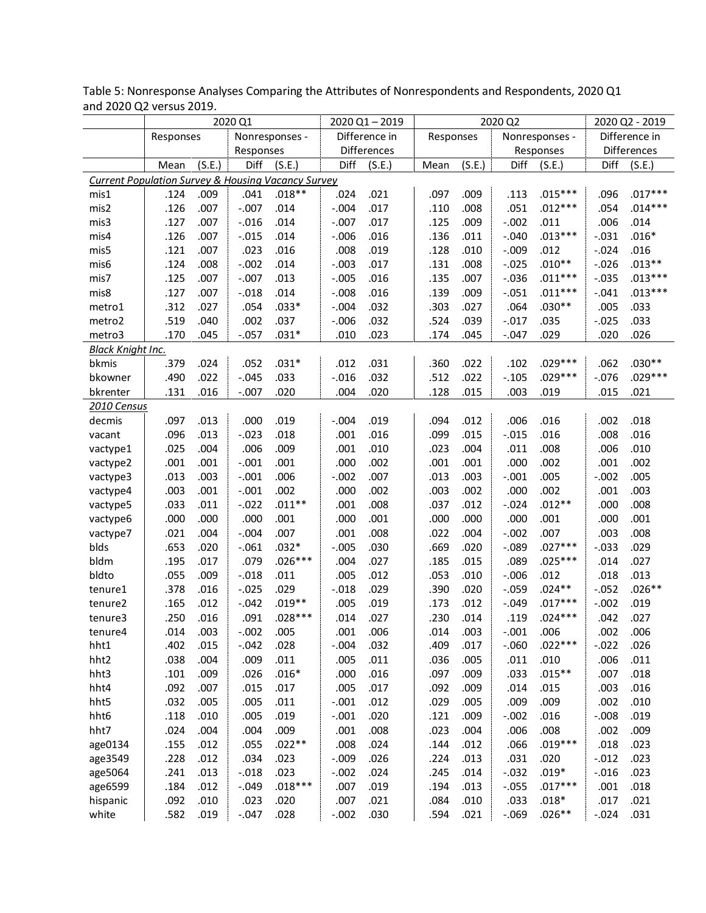|                                                               |           |        | 2020 Q1   |                |         | 2020 Q1-2019  |           |        | 2020 Q2 |                |         | 2020 Q2 - 2019 |
|---------------------------------------------------------------|-----------|--------|-----------|----------------|---------|---------------|-----------|--------|---------|----------------|---------|----------------|
|                                                               | Responses |        |           | Nonresponses - |         | Difference in | Responses |        |         | Nonresponses - |         | Difference in  |
|                                                               |           |        | Responses |                |         | Differences   |           |        |         | Responses      |         | Differences    |
|                                                               | Mean      | (S.E.) | Diff      | (S.E.)         | Diff    | (S.E.)        | Mean      | (S.E.) | Diff    | (S.E.)         | Diff    | (S.E.)         |
| <b>Current Population Survey &amp; Housing Vacancy Survey</b> |           |        |           |                |         |               |           |        |         |                |         |                |
| mis1                                                          | .124      | .009   | .041      | $.018**$       | .024    | .021          | .097      | .009   | .113    | $.015***$      | .096    | $.017***$      |
| mis2                                                          | .126      | .007   | $-.007$   | .014           | $-.004$ | .017          | .110      | .008   | .051    | $.012***$      | .054    | $.014***$      |
| mis3                                                          | .127      | .007   | $-.016$   | .014           | $-.007$ | .017          | .125      | .009   | $-.002$ | .011           | .006    | .014           |
| mis4                                                          | .126      | .007   | $-.015$   | .014           | $-.006$ | .016          | .136      | .011   | $-.040$ | $.013***$      | $-.031$ | $.016*$        |
| mis5                                                          | .121      | .007   | .023      | .016           | .008    | .019          | .128      | .010   | $-.009$ | .012           | $-.024$ | .016           |
| mis6                                                          | .124      | .008   | $-.002$   | .014           | $-.003$ | .017          | .131      | .008   | $-.025$ | $.010**$       | $-.026$ | $.013**$       |
| mis7                                                          | .125      | .007   | $-.007$   | .013           | $-.005$ | .016          | .135      | .007   | $-.036$ | $.011***$      | $-.035$ | $.013***$      |
| mis8                                                          | .127      | .007   | $-.018$   | .014           | $-.008$ | .016          | .139      | .009   | $-.051$ | $.011***$      | $-.041$ | $.013***$      |
| metro1                                                        | .312      | .027   | .054      | $.033*$        | $-.004$ | .032          | .303      | .027   | .064    | $.030**$       | .005    | .033           |
| metro2                                                        | .519      | .040   | .002      | .037           | $-.006$ | .032          | .524      | .039   | $-.017$ | .035           | $-.025$ | .033           |
| metro3                                                        | .170      | .045   | $-.057$   | $.031*$        | .010    | .023          | .174      | .045   | $-.047$ | .029           | .020    | .026           |
| <b>Black Knight Inc.</b>                                      |           |        |           |                |         |               |           |        |         |                |         |                |
| bkmis                                                         | .379      | .024   | .052      | $.031*$        | .012    | .031          | .360      | .022   | .102    | $.029***$      | .062    | $.030**$       |
| bkowner                                                       | .490      | .022   | $-.045$   | .033           | $-.016$ | .032          | .512      | .022   | $-.105$ | $.029***$      | $-.076$ | $.029***$      |
| bkrenter                                                      | .131      | .016   | $-.007$   | .020           | .004    | .020          | .128      | .015   | .003    | .019           | .015    | .021           |
| 2010 Census                                                   |           |        |           |                |         |               |           |        |         |                |         |                |
| decmis                                                        | .097      | .013   | .000      | .019           | $-.004$ | .019          | .094      | .012   | .006    | .016           | .002    | .018           |
| vacant                                                        | .096      | .013   | $-.023$   | .018           | .001    | .016          | .099      | .015   | $-.015$ | .016           | .008    | .016           |
| vactype1                                                      | .025      | .004   | .006      | .009           | .001    | .010          | .023      | .004   | .011    | .008           | .006    | .010           |
| vactype2                                                      | .001      | .001   | $-.001$   | .001           | .000    | .002          | .001      | .001   | .000    | .002           | .001    | .002           |
| vactype3                                                      | .013      | .003   | $-.001$   | .006           | $-.002$ | .007          | .013      | .003   | $-.001$ | .005           | $-.002$ | .005           |
| vactype4                                                      | .003      | .001   | $-.001$   | .002           | .000    | .002          | .003      | .002   | .000    | .002           | .001    | .003           |
| vactype5                                                      | .033      | .011   | $-.022$   | $.011**$       | .001    | .008          | .037      | .012   | $-.024$ | $.012**$       | .000    | .008           |
| vactype6                                                      | .000      | .000   | .000      | .001           | .000    | .001          | .000      | .000   | .000    | .001           | .000    | .001           |
| vactype7                                                      | .021      | .004   | $-.004$   | .007           | .001    | .008          | .022      | .004   | $-.002$ | .007           | .003    | .008           |
| blds                                                          | .653      | .020   | $-.061$   | $.032*$        | $-.005$ | .030          | .669      | .020   | $-0.89$ | $.027***$      | $-.033$ | .029           |
| bldm                                                          | .195      | .017   | .079      | $.026***$      | .004    | .027          | .185      | .015   | .089    | $.025***$      | .014    | .027           |
| bldto                                                         | .055      | .009   | $-.018$   | .011           | .005    | .012          | .053      | .010   | $-.006$ | .012           | .018    | .013           |
| tenure1                                                       | .378      | .016   | $-.025$   | .029           | $-.018$ | .029          | .390      | .020   | $-.059$ | $.024**$       | $-.052$ | $.026**$       |
| tenure2                                                       | .165      | .012   | $-.042$   | $.019**$       | .005    | .019          | .173      | .012   | $-.049$ | $.017***$      | $-.002$ | .019           |
| tenure3                                                       | .250      | .016   | .091      | $.028***$      | .014    | .027          | .230      | .014   | .119    | $.024***$      | .042    | .027           |
| tenure4                                                       | .014      | .003   | $-.002$   | .005           | .001    | .006          | .014      | .003   | $-.001$ | .006           | .002    | .006           |
| hht1                                                          | .402      | .015   | $-.042$   | .028           | $-.004$ | .032          | .409      | .017   | $-.060$ | $.022***$      | $-.022$ | .026           |
| hht2                                                          | .038      | .004   | .009      | .011           | .005    | .011          | .036      | .005   | .011    | .010           | .006    | .011           |
| hht3                                                          | .101      | .009   | .026      | $.016*$        | .000    | .016          | .097      | .009   | .033    | $.015**$       | .007    | .018           |
| hht4                                                          | .092      | .007   | .015      | .017           | .005    | .017          | .092      | .009   | .014    | .015           | .003    | .016           |
| hht5                                                          | .032      | .005   | .005      | .011           | $-.001$ | .012          | .029      | .005   | .009    | .009           | .002    | .010           |
| hht6                                                          | .118      | .010   | .005      | .019           | $-.001$ | .020          | .121      | .009   | $-.002$ | .016           | $-.008$ | .019           |
| hht7                                                          | .024      | .004   | .004      | .009           | .001    | .008          | .023      | .004   | .006    | .008           | .002    | .009           |
| age0134                                                       | .155      | .012   | .055      | $.022**$       | .008    | .024          | .144      | .012   | .066    | $.019***$      | .018    | .023           |
| age3549                                                       | .228      | .012   | .034      | .023           | $-.009$ | .026          | .224      | .013   | .031    | .020           | $-.012$ | .023           |
| age5064                                                       | .241      | .013   | $-.018$   | .023           | $-.002$ | .024          | .245      | .014   | $-.032$ | $.019*$        | $-.016$ | .023           |
| age6599                                                       | .184      | .012   | $-.049$   | $.018***$      | .007    | .019          | .194      | .013   | $-.055$ | $.017***$      | .001    | .018           |
| hispanic                                                      | .092      | .010   | .023      | .020           | .007    | .021          | .084      | .010   | .033    | $.018*$        | .017    | .021           |
| white                                                         | .582      | .019   | $-.047$   | .028           | $-.002$ | .030          | .594      | .021   | $-0.69$ | $.026**$       | $-.024$ | .031           |

Table 5: Nonresponse Analyses Comparing the Attributes of Nonrespondents and Respondents, 2020 Q1 and 2020 Q2 versus 2019.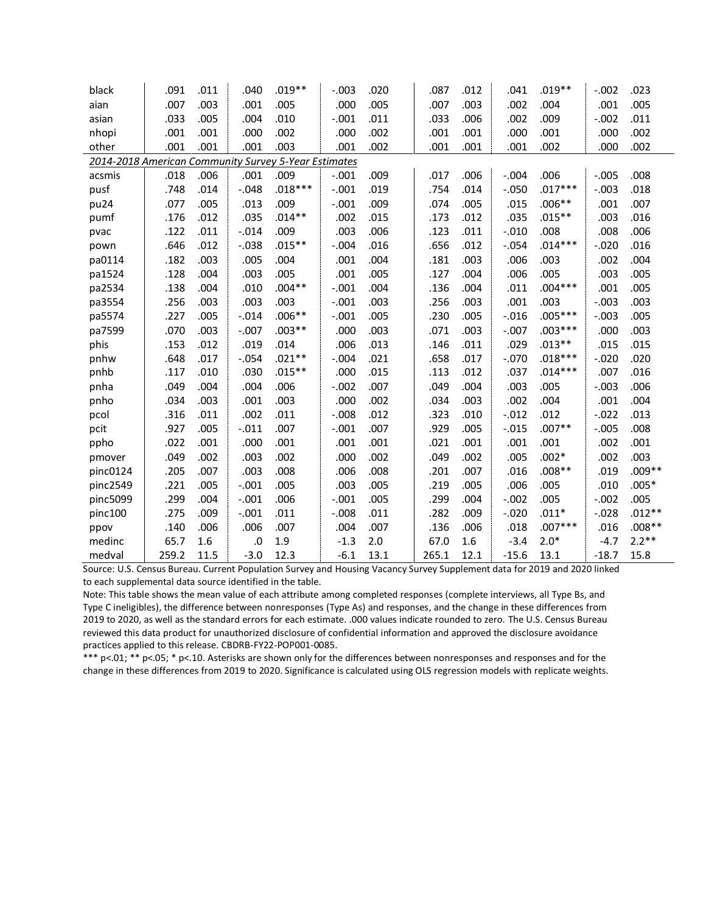| black                                                | .091  | .011 | .040     | $.019**$  | $-.003$ | .020 | .087  | .012 | .041     | $.019**$  | $-.002$ | .023     |
|------------------------------------------------------|-------|------|----------|-----------|---------|------|-------|------|----------|-----------|---------|----------|
| aian                                                 | .007  | .003 | .001     | .005      | .000    | .005 | .007  | .003 | .002     | .004      | .001    | .005     |
| asian                                                | .033  | .005 | .004     | .010      | $-.001$ | .011 | .033  | .006 | .002     | .009      | $-.002$ | .011     |
| nhopi                                                | .001  | .001 | .000     | .002      | .000    | .002 | .001  | .001 | .000     | .001      | .000    | .002     |
| other                                                | .001  | .001 | .001     | .003      | .001    | .002 | .001  | .001 | .001     | .002      | .000    | .002     |
| 2014-2018 American Community Survey 5-Year Estimates |       |      |          |           |         |      |       |      |          |           |         |          |
| acsmis                                               | .018  | .006 | .001     | .009      | $-.001$ | .009 | .017  | .006 | $-.004$  | .006      | $-.005$ | .008     |
| pusf                                                 | .748  | .014 | $-.048$  | $.018***$ | $-.001$ | .019 | .754  | .014 | $-.050$  | $.017***$ | $-.003$ | .018     |
| pu24                                                 | .077  | .005 | .013     | .009      | $-.001$ | .009 | .074  | .005 | .015     | $.006**$  | .001    | .007     |
| pumf                                                 | .176  | .012 | .035     | $.014**$  | .002    | .015 | .173  | .012 | .035     | $.015***$ | .003    | .016     |
| pvac                                                 | .122  | .011 | $-.014$  | .009      | .003    | .006 | .123  | .011 | $-.010$  | .008      | .008    | .006     |
| pown                                                 | .646  | .012 | $-.038$  | $.015**$  | $-.004$ | .016 | .656  | .012 | $-.054$  | $.014***$ | $-.020$ | .016     |
| pa0114                                               | .182  | .003 | .005     | .004      | .001    | .004 | .181  | .003 | .006     | .003      | .002    | .004     |
| pa1524                                               | .128  | .004 | .003     | .005      | .001    | .005 | .127  | .004 | .006     | .005      | .003    | .005     |
| pa2534                                               | .138  | .004 | .010     | $.004**$  | $-.001$ | .004 | .136  | .004 | .011     | $.004***$ | .001    | .005     |
| pa3554                                               | .256  | .003 | .003     | .003      | $-.001$ | .003 | .256  | .003 | .001     | .003      | $-.003$ | .003     |
| pa5574                                               | .227  | .005 | $-.014$  | $.006**$  | $-.001$ | .005 | .230  | .005 | $-0.016$ | $.005***$ | $-.003$ | .005     |
| pa7599                                               | .070  | .003 | $-.007$  | $.003**$  | .000    | .003 | .071  | .003 | $-.007$  | $.003***$ | .000    | .003     |
| phis                                                 | .153  | .012 | .019     | .014      | .006    | .013 | .146  | .011 | .029     | $.013**$  | .015    | .015     |
| pnhw                                                 | .648  | .017 | $-0.054$ | $.021**$  | $-.004$ | .021 | .658  | .017 | $-.070$  | $.018***$ | $-.020$ | .020     |
| pnhb                                                 | .117  | .010 | .030     | $.015***$ | .000    | .015 | .113  | .012 | .037     | $.014***$ | .007    | .016     |
| pnha                                                 | .049  | .004 | .004     | .006      | $-.002$ | .007 | .049  | .004 | .003     | .005      | $-.003$ | .006     |
| pnho                                                 | .034  | .003 | .001     | .003      | .000    | .002 | .034  | .003 | .002     | .004      | .001    | .004     |
| pcol                                                 | .316  | .011 | .002     | .011      | $-.008$ | .012 | .323  | .010 | $-.012$  | .012      | $-.022$ | .013     |
| pcit                                                 | .927  | .005 | $-.011$  | .007      | $-.001$ | .007 | .929  | .005 | $-0.015$ | $.007**$  | $-.005$ | .008     |
| ppho                                                 | .022  | .001 | .000     | .001      | .001    | .001 | .021  | .001 | .001     | .001      | .002    | .001     |
| pmover                                               | .049  | .002 | .003     | .002      | .000    | .002 | .049  | .002 | .005     | $.002*$   | .002    | .003     |
| pinc0124                                             | .205  | .007 | .003     | .008      | .006    | .008 | .201  | .007 | .016     | $.008**$  | .019    | $.009**$ |
| pinc2549                                             | .221  | .005 | $-.001$  | .005      | .003    | .005 | .219  | .005 | .006     | .005      | .010    | $.005*$  |
| pinc5099                                             | .299  | .004 | $-.001$  | .006      | $-.001$ | .005 | .299  | .004 | $-.002$  | .005      | $-.002$ | .005     |
| pinc100                                              | .275  | .009 | $-.001$  | .011      | $-.008$ | .011 | .282  | .009 | $-.020$  | $.011*$   | $-.028$ | $.012**$ |
| ppov                                                 | .140  | .006 | .006     | .007      | .004    | .007 | .136  | .006 | .018     | $.007***$ | .016    | $.008**$ |
| medinc                                               | 65.7  | 1.6  | .0       | 1.9       | $-1.3$  | 2.0  | 67.0  | 1.6  | $-3.4$   | $2.0*$    | $-4.7$  | $2.2**$  |
| medval                                               | 259.2 | 11.5 | $-3.0$   | 12.3      | $-6.1$  | 13.1 | 265.1 | 12.1 | $-15.6$  | 13.1      | $-18.7$ | 15.8     |

Source: U.S. Census Bureau. Current Population Survey and Housing Vacancy Survey Supplement data for 2019 and 2020 linked to each supplemental data source identified in the table.

Note: This table shows the mean value of each attribute among completed responses (complete interviews, all Type Bs, and Type C ineligibles), the difference between nonresponses (Type As) and responses, and the change in these differences from 2019 to 2020, as well as the standard errors for each estimate. .000 values indicate rounded to zero. The U.S. Census Bureau reviewed this data product for unauthorized disclosure of confidential information and approved the disclosure avoidance practices applied to this release. CBDRB-FY22-POP001-0085.

\*\*\* p<.01; \*\* p<.05; \* p<.10. Asterisks are shown only for the differences between nonresponses and responses and for the change in these differences from 2019 to 2020. Significance is calculated using OLS regression models with replicate weights.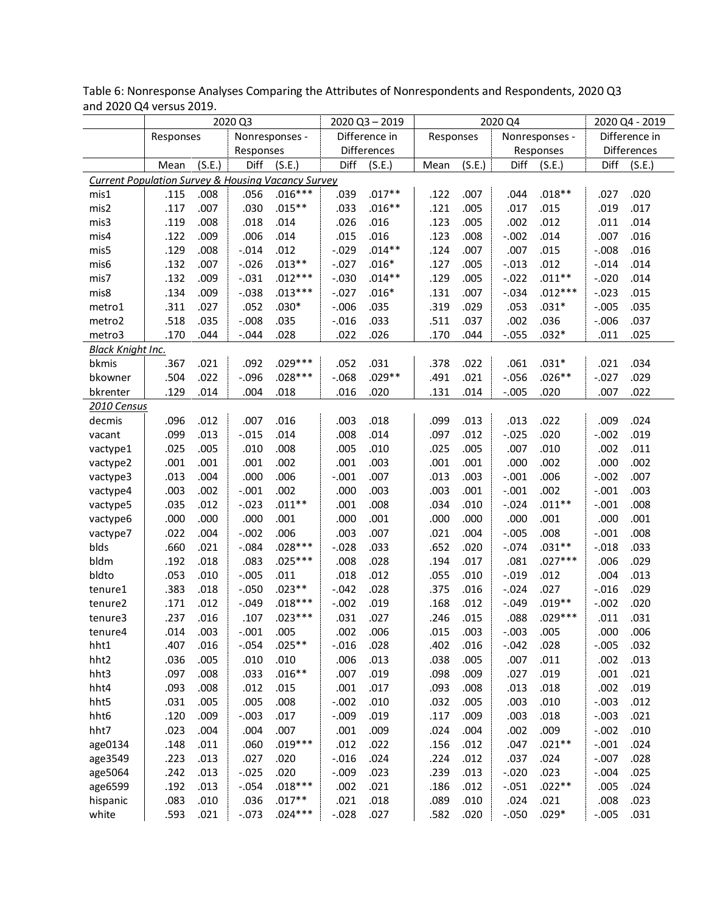|                                                               |           |        | 2020 Q3   |                |          | 2020 Q3-2019  |           |        | 2020 Q4  |                |         | 2020 Q4 - 2019 |
|---------------------------------------------------------------|-----------|--------|-----------|----------------|----------|---------------|-----------|--------|----------|----------------|---------|----------------|
|                                                               | Responses |        |           | Nonresponses - |          | Difference in | Responses |        |          | Nonresponses - |         | Difference in  |
|                                                               |           |        | Responses |                |          | Differences   |           |        |          | Responses      |         | Differences    |
|                                                               | Mean      | (S.E.) | Diff      | (S.E.)         | Diff     | (S.E.)        | Mean      | (S.E.) | Diff     | (S.E.)         | Diff    | (S.E.)         |
| <b>Current Population Survey &amp; Housing Vacancy Survey</b> |           |        |           |                |          |               |           |        |          |                |         |                |
| mis1                                                          | .115      | .008   | .056      | $.016***$      | .039     | $.017**$      | .122      | .007   | .044     | $.018**$       | .027    | .020           |
| mis2                                                          | .117      | .007   | .030      | $.015**$       | .033     | $.016**$      | .121      | .005   | .017     | .015           | .019    | .017           |
| mis3                                                          | .119      | .008   | .018      | .014           | .026     | .016          | .123      | .005   | .002     | .012           | .011    | .014           |
| mis4                                                          | .122      | .009   | .006      | .014           | .015     | .016          | .123      | .008   | $-.002$  | .014           | .007    | .016           |
| mis5                                                          | .129      | .008   | $-.014$   | .012           | $-.029$  | $.014**$      | .124      | .007   | .007     | .015           | $-.008$ | .016           |
| mis6                                                          | .132      | .007   | $-.026$   | $.013**$       | $-.027$  | $.016*$       | .127      | .005   | $-.013$  | .012           | $-.014$ | .014           |
| mis7                                                          | .132      | .009   | $-.031$   | $.012***$      | $-.030$  | $.014**$      | .129      | .005   | $-.022$  | $.011**$       | $-.020$ | .014           |
| mis8                                                          | .134      | .009   | $-.038$   | $.013***$      | $-.027$  | $.016*$       | .131      | .007   | $-.034$  | $.012***$      | $-.023$ | .015           |
| metro1                                                        | .311      | .027   | .052      | $.030*$        | $-0.006$ | .035          | .319      | .029   | .053     | $.031*$        | $-.005$ | .035           |
| metro2                                                        | .518      | .035   | $-.008$   | .035           | $-.016$  | .033          | .511      | .037   | .002     | .036           | $-.006$ | .037           |
| metro3                                                        | .170      | .044   | $-.044$   | .028           | .022     | .026          | .170      | .044   | $-.055$  | $.032*$        | .011    | .025           |
| <b>Black Knight Inc.</b>                                      |           |        |           |                |          |               |           |        |          |                |         |                |
| bkmis                                                         | .367      | .021   | .092      | $.029***$      | .052     | .031          | .378      | .022   | .061     | $.031*$        | .021    | .034           |
| bkowner                                                       | .504      | .022   | $-.096$   | $.028***$      | $-0.068$ | $.029**$      | .491      | .021   | $-0.056$ | $.026**$       | $-.027$ | .029           |
| bkrenter                                                      | .129      | .014   | .004      | .018           | .016     | .020          | .131      | .014   | $-.005$  | .020           | .007    | .022           |
| 2010 Census                                                   |           |        |           |                |          |               |           |        |          |                |         |                |
| decmis                                                        | .096      | .012   | .007      | .016           | .003     | .018          | .099      | .013   | .013     | .022           | .009    | .024           |
| vacant                                                        | .099      | .013   | $-.015$   | .014           | .008     | .014          | .097      | .012   | $-0.025$ | .020           | $-.002$ | .019           |
| vactype1                                                      | .025      | .005   | .010      | .008           | .005     | .010          | .025      | .005   | .007     | .010           | .002    | .011           |
| vactype2                                                      | .001      | .001   | .001      | .002           | .001     | .003          | .001      | .001   | .000     | .002           | .000    | .002           |
| vactype3                                                      | .013      | .004   | .000      | .006           | $-.001$  | .007          | .013      | .003   | $-.001$  | .006           | $-.002$ | .007           |
| vactype4                                                      | .003      | .002   | $-.001$   | .002           | .000     | .003          | .003      | .001   | $-.001$  | .002           | $-.001$ | .003           |
| vactype5                                                      | .035      | .012   | $-.023$   | $.011**$       | .001     | .008          | .034      | .010   | $-.024$  | $.011**$       | $-.001$ | .008           |
| vactype6                                                      | .000      | .000   | .000      | .001           | .000     | .001          | .000      | .000   | .000     | .001           | .000    | .001           |
| vactype7                                                      | .022      | .004   | $-.002$   | .006           | .003     | .007          | .021      | .004   | $-.005$  | .008           | $-.001$ | .008           |
| blds                                                          | .660      | .021   | $-.084$   | $.028***$      | $-.028$  | .033          | .652      | .020   | $-.074$  | $.031**$       | $-.018$ | .033           |
| bldm                                                          | .192      | .018   | .083      | $.025***$      | .008     | .028          | .194      | .017   | .081     | $.027***$      | .006    | .029           |
| bldto                                                         | .053      | .010   | $-.005$   | .011           | .018     | .012          | .055      | .010   | $-.019$  | .012           | .004    | .013           |
| tenure1                                                       | .383      | .018   | $-.050$   | $.023**$       | $-.042$  | .028          | .375      | .016   | $-.024$  | .027           | $-.016$ | .029           |
| tenure2                                                       | .171      | .012   | $-.049$   | $.018***$      | $-.002$  | .019          | .168      | .012   | $-.049$  | $.019**$       | $-.002$ | .020           |
| tenure3                                                       | .237      | .016   | .107      | $.023***$      | .031     | .027          | .246      | .015   | .088     | $.029***$      | .011    | .031           |
| tenure4                                                       | .014      | .003   | $-.001$   | .005           | .002     | .006          | .015      | .003   | $-.003$  | .005           | .000    | .006           |
| hht1                                                          | .407      | .016   | $-.054$   | $.025**$       | $-.016$  | .028          | .402      | .016   | $-.042$  | .028           | $-.005$ | .032           |
| hht2                                                          | .036      | .005   | .010      | .010           | .006     | .013          | .038      | .005   | .007     | .011           | .002    | .013           |
| hht3                                                          | .097      | .008   | .033      | $.016**$       | .007     | .019          | .098      | .009   | .027     | .019           | .001    | .021           |
| hht4                                                          | .093      | .008   | .012      | .015           | .001     | .017          | .093      | .008   | .013     | .018           | .002    | .019           |
| hht5                                                          | .031      | .005   | .005      | .008           | $-.002$  | .010          | .032      | .005   | .003     | .010           | $-.003$ | .012           |
| hht6                                                          | .120      | .009   | $-.003$   | .017           | $-.009$  | .019          | .117      | .009   | .003     | .018           | $-.003$ | .021           |
| hht7                                                          | .023      | .004   | .004      | .007           | .001     | .009          | .024      | .004   | .002     | .009           | $-.002$ | .010           |
| age0134                                                       | .148      | .011   | .060      | $.019***$      | .012     | .022          | .156      | .012   | .047     | $.021**$       | $-.001$ | .024           |
| age3549                                                       | .223      | .013   | .027      | .020           | $-.016$  | .024          | .224      | .012   | .037     | .024           | $-.007$ | .028           |
| age5064                                                       | .242      | .013   | $-.025$   | .020           | $-.009$  | .023          | .239      | .013   | $-.020$  | .023           | $-.004$ | .025           |
| age6599                                                       | .192      | .013   | $-.054$   | $.018***$      | .002     | .021          | .186      | .012   | $-.051$  | $.022**$       | .005    | .024           |
| hispanic                                                      | .083      | .010   | .036      | $.017**$       | .021     | .018          | .089      | .010   | .024     | .021           | .008    | .023           |
| white                                                         | .593      | .021   | $-.073$   | $.024***$      | $-.028$  | .027          | .582      | .020   | $-.050$  | $.029*$        | $-.005$ | .031           |

Table 6: Nonresponse Analyses Comparing the Attributes of Nonrespondents and Respondents, 2020 Q3 and 2020 Q4 versus 2019.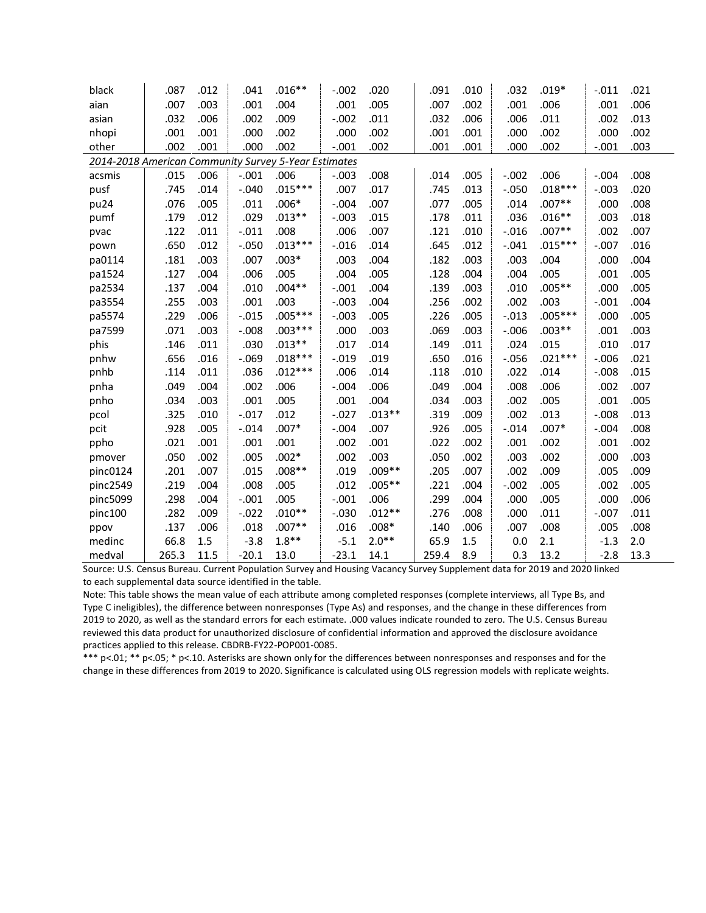| black                                                | .087  | .012 | .041    | $.016***$ | $-.002$  | .020     | .091  | .010 | .032     | $.019*$   | $-.011$ | .021 |
|------------------------------------------------------|-------|------|---------|-----------|----------|----------|-------|------|----------|-----------|---------|------|
| aian                                                 | .007  | .003 | .001    | .004      | .001     | .005     | .007  | .002 | .001     | .006      | .001    | .006 |
| asian                                                | .032  | .006 | .002    | .009      | $-.002$  | .011     | .032  | .006 | .006     | .011      | .002    | .013 |
| nhopi                                                | .001  | .001 | .000    | .002      | .000     | .002     | .001  | .001 | .000     | .002      | .000    | .002 |
| other                                                | .002  | .001 | .000    | .002      | $-.001$  | .002     | .001  | .001 | .000     | .002      | $-.001$ | .003 |
| 2014-2018 American Community Survey 5-Year Estimates |       |      |         |           |          |          |       |      |          |           |         |      |
| acsmis                                               | .015  | .006 | $-.001$ | .006      | $-.003$  | .008     | .014  | .005 | $-.002$  | .006      | $-.004$ | .008 |
| pusf                                                 | .745  | .014 | $-.040$ | $.015***$ | .007     | .017     | .745  | .013 | $-.050$  | $.018***$ | $-.003$ | .020 |
| pu24                                                 | .076  | .005 | .011    | $.006*$   | $-.004$  | .007     | .077  | .005 | .014     | $.007**$  | .000    | .008 |
| pumf                                                 | .179  | .012 | .029    | $.013**$  | $-.003$  | .015     | .178  | .011 | .036     | $.016**$  | .003    | .018 |
| pvac                                                 | .122  | .011 | $-.011$ | .008      | .006     | .007     | .121  | .010 | $-0.016$ | $.007**$  | .002    | .007 |
| pown                                                 | .650  | .012 | $-.050$ | $.013***$ | $-0.016$ | .014     | .645  | .012 | $-.041$  | $.015***$ | $-.007$ | .016 |
| pa0114                                               | .181  | .003 | .007    | $.003*$   | .003     | .004     | .182  | .003 | .003     | .004      | .000    | .004 |
| pa1524                                               | .127  | .004 | .006    | .005      | .004     | .005     | .128  | .004 | .004     | .005      | .001    | .005 |
| pa2534                                               | .137  | .004 | .010    | $.004**$  | $-.001$  | .004     | .139  | .003 | .010     | $.005**$  | .000    | .005 |
| pa3554                                               | .255  | .003 | .001    | .003      | $-.003$  | .004     | .256  | .002 | .002     | .003      | $-.001$ | .004 |
| pa5574                                               | .229  | .006 | $-.015$ | $.005***$ | $-.003$  | .005     | .226  | .005 | $-.013$  | $.005***$ | .000    | .005 |
| pa7599                                               | .071  | .003 | $-.008$ | $.003***$ | .000     | .003     | .069  | .003 | $-.006$  | $.003**$  | .001    | .003 |
| phis                                                 | .146  | .011 | .030    | $.013**$  | .017     | .014     | .149  | .011 | .024     | .015      | .010    | .017 |
| pnhw                                                 | .656  | .016 | $-0.69$ | $.018***$ | $-.019$  | .019     | .650  | .016 | $-0.056$ | $.021***$ | $-.006$ | .021 |
| pnhb                                                 | .114  | .011 | .036    | $.012***$ | .006     | .014     | .118  | .010 | .022     | .014      | $-.008$ | .015 |
| pnha                                                 | .049  | .004 | .002    | .006      | $-.004$  | .006     | .049  | .004 | .008     | .006      | .002    | .007 |
| pnho                                                 | .034  | .003 | .001    | .005      | .001     | .004     | .034  | .003 | .002     | .005      | .001    | .005 |
| pcol                                                 | .325  | .010 | $-.017$ | .012      | $-.027$  | $.013**$ | .319  | .009 | .002     | .013      | $-.008$ | .013 |
| pcit                                                 | .928  | .005 | $-.014$ | $.007*$   | $-.004$  | .007     | .926  | .005 | $-.014$  | $.007*$   | $-.004$ | .008 |
| ppho                                                 | .021  | .001 | .001    | .001      | .002     | .001     | .022  | .002 | .001     | .002      | .001    | .002 |
| pmover                                               | .050  | .002 | .005    | $.002*$   | .002     | .003     | .050  | .002 | .003     | .002      | .000    | .003 |
| pinc0124                                             | .201  | .007 | .015    | $.008**$  | .019     | $.009**$ | .205  | .007 | .002     | .009      | .005    | .009 |
| pinc2549                                             | .219  | .004 | .008    | .005      | .012     | $.005**$ | .221  | .004 | $-.002$  | .005      | .002    | .005 |
| pinc5099                                             | .298  | .004 | $-.001$ | .005      | $-.001$  | .006     | .299  | .004 | .000     | .005      | .000    | .006 |
| pinc100                                              | .282  | .009 | $-.022$ | $.010**$  | $-.030$  | $.012**$ | .276  | .008 | .000     | .011      | $-.007$ | .011 |
| ppov                                                 | .137  | .006 | .018    | $.007**$  | .016     | $.008*$  | .140  | .006 | .007     | .008      | .005    | .008 |
| medinc                                               | 66.8  | 1.5  | $-3.8$  | $1.8**$   | $-5.1$   | $2.0**$  | 65.9  | 1.5  | 0.0      | 2.1       | $-1.3$  | 2.0  |
| medval                                               | 265.3 | 11.5 | $-20.1$ | 13.0      | $-23.1$  | 14.1     | 259.4 | 8.9  | 0.3      | 13.2      | $-2.8$  | 13.3 |

Source: U.S. Census Bureau. Current Population Survey and Housing Vacancy Survey Supplement data for 2019 and 2020 linked to each supplemental data source identified in the table.

Note: This table shows the mean value of each attribute among completed responses (complete interviews, all Type Bs, and Type C ineligibles), the difference between nonresponses (Type As) and responses, and the change in these differences from 2019 to 2020, as well as the standard errors for each estimate. .000 values indicate rounded to zero. The U.S. Census Bureau reviewed this data product for unauthorized disclosure of confidential information and approved the disclosure avoidance practices applied to this release. CBDRB-FY22-POP001-0085.

\*\*\* p<.01; \*\* p<.05; \* p<.10. Asterisks are shown only for the differences between nonresponses and responses and for the change in these differences from 2019 to 2020. Significance is calculated using OLS regression models with replicate weights.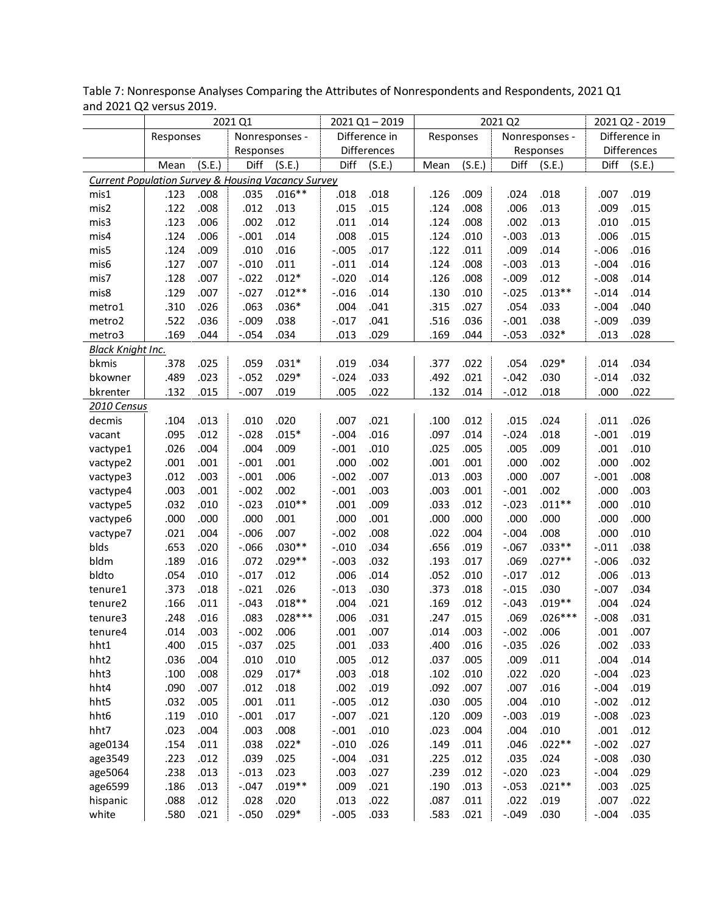|                                                               |           |        | 2021 Q1   |                |         | 2021 Q1-2019  |           |        | 2021 Q2 |                |         | 2021 Q2 - 2019 |
|---------------------------------------------------------------|-----------|--------|-----------|----------------|---------|---------------|-----------|--------|---------|----------------|---------|----------------|
|                                                               | Responses |        |           | Nonresponses - |         | Difference in | Responses |        |         | Nonresponses - |         | Difference in  |
|                                                               |           |        | Responses |                |         | Differences   |           |        |         | Responses      |         | Differences    |
|                                                               | Mean      | (S.E.) | Diff      | (S.E.)         | Diff    | (S.E.)        | Mean      | (S.E.) | Diff    | (S.E.)         | Diff    | (S.E.)         |
| <b>Current Population Survey &amp; Housing Vacancy Survey</b> |           |        |           |                |         |               |           |        |         |                |         |                |
| mis1                                                          | .123      | .008   | .035      | $.016**$       | .018    | .018          | .126      | .009   | .024    | .018           | .007    | .019           |
| mis2                                                          | .122      | .008   | .012      | .013           | .015    | .015          | .124      | .008   | .006    | .013           | .009    | .015           |
| mis3                                                          | .123      | .006   | .002      | .012           | .011    | .014          | .124      | .008   | .002    | .013           | .010    | .015           |
| mis4                                                          | .124      | .006   | $-.001$   | .014           | .008    | .015          | .124      | .010   | $-.003$ | .013           | .006    | .015           |
| mis5                                                          | .124      | .009   | .010      | .016           | $-.005$ | .017          | .122      | .011   | .009    | .014           | $-.006$ | .016           |
| mis6                                                          | .127      | .007   | $-.010$   | .011           | $-.011$ | .014          | .124      | .008   | $-.003$ | .013           | $-.004$ | .016           |
| mis7                                                          | .128      | .007   | $-.022$   | $.012*$        | $-.020$ | .014          | .126      | .008   | $-.009$ | .012           | $-.008$ | .014           |
| mis8                                                          | .129      | .007   | $-.027$   | $.012**$       | $-.016$ | .014          | .130      | .010   | $-.025$ | $.013**$       | $-.014$ | .014           |
| metro1                                                        | .310      | .026   | .063      | $.036*$        | .004    | .041          | .315      | .027   | .054    | .033           | $-.004$ | .040           |
| metro2                                                        | .522      | .036   | $-.009$   | .038           | $-.017$ | .041          | .516      | .036   | $-.001$ | .038           | $-.009$ | .039           |
| metro3                                                        | .169      | .044   | $-.054$   | .034           | .013    | .029          | .169      | .044   | $-.053$ | $.032*$        | .013    | .028           |
| <b>Black Knight Inc.</b>                                      |           |        |           |                |         |               |           |        |         |                |         |                |
| bkmis                                                         | .378      | .025   | .059      | $.031*$        | .019    | .034          | .377      | .022   | .054    | $.029*$        | .014    | .034           |
| bkowner                                                       | .489      | .023   | $-.052$   | $.029*$        | $-.024$ | .033          | .492      | .021   | $-.042$ | .030           | $-.014$ | .032           |
| bkrenter                                                      | .132      | .015   | $-.007$   | .019           | .005    | .022          | .132      | .014   | $-.012$ | .018           | .000    | .022           |
| 2010 Census                                                   |           |        |           |                |         |               |           |        |         |                |         |                |
| decmis                                                        | .104      | .013   | .010      | .020           | .007    | .021          | .100      | .012   | .015    | .024           | .011    | .026           |
| vacant                                                        | .095      | .012   | $-.028$   | $.015*$        | $-.004$ | .016          | .097      | .014   | $-.024$ | .018           | $-.001$ | .019           |
| vactype1                                                      | .026      | .004   | .004      | .009           | $-.001$ | .010          | .025      | .005   | .005    | .009           | .001    | .010           |
| vactype2                                                      | .001      | .001   | $-.001$   | .001           | .000    | .002          | .001      | .001   | .000    | .002           | .000    | .002           |
| vactype3                                                      | .012      | .003   | $-.001$   | .006           | $-.002$ | .007          | .013      | .003   | .000    | .007           | $-.001$ | .008           |
| vactype4                                                      | .003      | .001   | $-.002$   | .002           | $-.001$ | .003          | .003      | .001   | $-.001$ | .002           | .000    | .003           |
| vactype5                                                      | .032      | .010   | $-.023$   | $.010**$       | .001    | .009          | .033      | .012   | $-.023$ | $.011**$       | .000    | .010           |
| vactype6                                                      | .000      | .000   | .000      | .001           | .000    | .001          | .000      | .000   | .000    | .000           | .000    | .000           |
| vactype7                                                      | .021      | .004   | $-.006$   | .007           | $-.002$ | .008          | .022      | .004   | $-.004$ | .008           | .000    | .010           |
| blds                                                          | .653      | .020   | $-0.066$  | $.030**$       | $-.010$ | .034          | .656      | .019   | $-.067$ | $.033**$       | $-.011$ | .038           |
| bldm                                                          | .189      | .016   | .072      | $.029**$       | $-.003$ | .032          | .193      | .017   | .069    | $.027**$       | $-.006$ | .032           |
| bldto                                                         | .054      | .010   | $-.017$   | .012           | .006    | .014          | .052      | .010   | $-.017$ | .012           | .006    | .013           |
| tenure1                                                       | .373      | .018   | $-.021$   | .026           | $-.013$ | .030          | .373      | .018   | $-.015$ | .030           | $-.007$ | .034           |
| tenure2                                                       | .166      | .011   | $-.043$   | $.018**$       | .004    | .021          | .169      | .012   | $-.043$ | $.019**$       | .004    | .024           |
| tenure3                                                       | .248      | .016   | .083      | $.028***$      | .006    | .031          | .247      | .015   | .069    | $.026***$      | $-.008$ | .031           |
| tenure4                                                       | .014      | .003   | $-.002$   | .006           | .001    | .007          | .014      | .003   | $-.002$ | .006           | .001    | .007           |
| hht1                                                          | .400      | .015   | $-.037$   | .025           | .001    | .033          | .400      | .016   | $-.035$ | .026           | .002    | .033           |
| hht2                                                          | .036      | .004   | .010      | .010           | .005    | .012          | .037      | .005   | .009    | .011           | .004    | .014           |
| hht3                                                          | .100      | .008   | .029      | $.017*$        | .003    | .018          | .102      | .010   | .022    | .020           | $-.004$ | .023           |
| hht4                                                          | .090      | .007   | .012      | .018           | .002    | .019          | .092      | .007   | .007    | .016           | $-.004$ | .019           |
| hht5                                                          | .032      | .005   | .001      | .011           | $-.005$ | .012          | .030      | .005   | .004    | .010           | $-.002$ | .012           |
| hht6                                                          | .119      | .010   | $-.001$   | .017           | $-.007$ | .021          | .120      | .009   | $-.003$ | .019           | $-.008$ | .023           |
| hht7                                                          | .023      | .004   | .003      | .008           | $-.001$ | .010          | .023      | .004   | .004    | .010           | .001    | .012           |
| age0134                                                       | .154      | .011   | .038      | $.022*$        | $-.010$ | .026          | .149      | .011   | .046    | $.022**$       | $-.002$ | .027           |
| age3549                                                       | .223      | .012   | .039      | .025           | $-.004$ | .031          | .225      | .012   | .035    | .024           | $-.008$ | .030           |
| age5064                                                       | .238      | .013   | $-.013$   | .023           | .003    | .027          | .239      | .012   | $-.020$ | .023           | $-.004$ | .029           |
| age6599                                                       | .186      | .013   | $-.047$   | $.019**$       | .009    | .021          | .190      | .013   | $-.053$ | $.021**$       | .003    | .025           |
| hispanic                                                      | .088      | .012   | .028      | .020           | .013    | .022          | .087      | .011   | .022    | .019           | .007    | .022           |
| white                                                         | .580      | .021   | $-.050$   | $.029*$        | $-.005$ | .033          | .583      | .021   | $-.049$ | .030           | $-.004$ | .035           |

Table 7: Nonresponse Analyses Comparing the Attributes of Nonrespondents and Respondents, 2021 Q1 and 2021 Q2 versus 2019.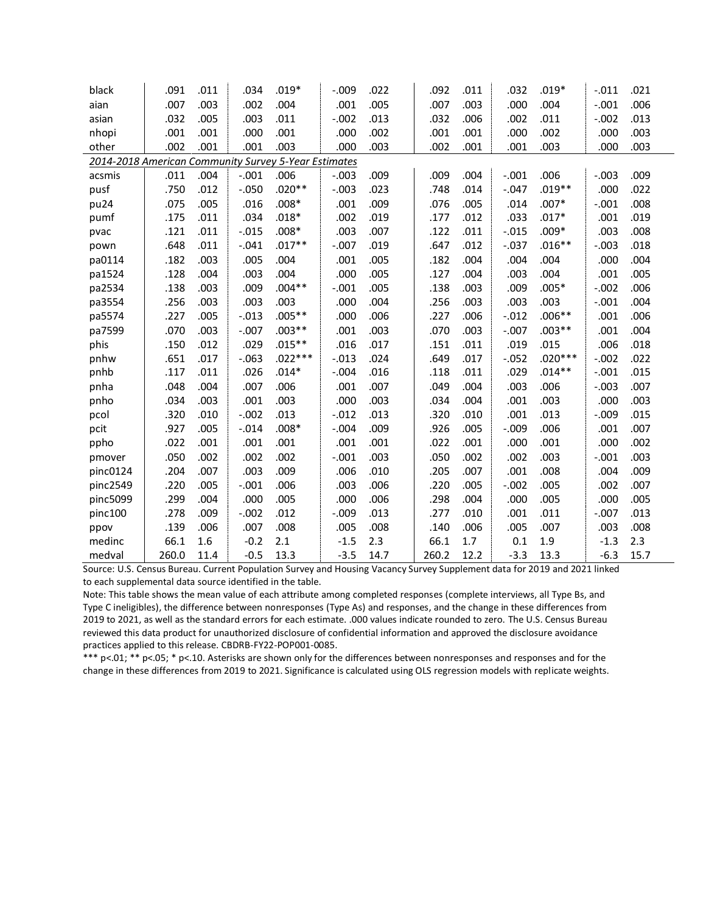| black                                                | .091  | .011 | .034    | $.019*$   | $-.009$ | .022 | .092  | .011 | .032    | $.019*$   | $-.011$ | .021 |
|------------------------------------------------------|-------|------|---------|-----------|---------|------|-------|------|---------|-----------|---------|------|
| aian                                                 | .007  | .003 | .002    | .004      | .001    | .005 | .007  | .003 | .000    | .004      | $-.001$ | .006 |
| asian                                                | .032  | .005 | .003    | .011      | $-.002$ | .013 | .032  | .006 | .002    | .011      | $-.002$ | .013 |
| nhopi                                                | .001  | .001 | .000    | .001      | .000    | .002 | .001  | .001 | .000    | .002      | .000    | .003 |
| other                                                | .002  | .001 | .001    | .003      | .000    | .003 | .002  | .001 | .001    | .003      | .000    | .003 |
| 2014-2018 American Community Survey 5-Year Estimates |       |      |         |           |         |      |       |      |         |           |         |      |
| acsmis                                               | .011  | .004 | $-.001$ | .006      | $-.003$ | .009 | .009  | .004 | $-.001$ | .006      | $-.003$ | .009 |
| pusf                                                 | .750  | .012 | $-.050$ | $.020**$  | $-.003$ | .023 | .748  | .014 | $-.047$ | $.019**$  | .000    | .022 |
| pu24                                                 | .075  | .005 | .016    | $.008*$   | .001    | .009 | .076  | .005 | .014    | $.007*$   | $-.001$ | .008 |
| pumf                                                 | .175  | .011 | .034    | $.018*$   | .002    | .019 | .177  | .012 | .033    | $.017*$   | .001    | .019 |
| pvac                                                 | .121  | .011 | $-.015$ | $.008*$   | .003    | .007 | .122  | .011 | $-.015$ | $.009*$   | .003    | .008 |
| pown                                                 | .648  | .011 | $-.041$ | $.017**$  | $-.007$ | .019 | .647  | .012 | $-.037$ | $.016**$  | $-.003$ | .018 |
| pa0114                                               | .182  | .003 | .005    | .004      | .001    | .005 | .182  | .004 | .004    | .004      | .000    | .004 |
| pa1524                                               | .128  | .004 | .003    | .004      | .000    | .005 | .127  | .004 | .003    | .004      | .001    | .005 |
| pa2534                                               | .138  | .003 | .009    | $.004**$  | $-.001$ | .005 | .138  | .003 | .009    | $.005*$   | $-.002$ | .006 |
| pa3554                                               | .256  | .003 | .003    | .003      | .000    | .004 | .256  | .003 | .003    | .003      | $-.001$ | .004 |
| pa5574                                               | .227  | .005 | $-.013$ | $.005**$  | .000    | .006 | .227  | .006 | $-.012$ | $.006**$  | .001    | .006 |
| pa7599                                               | .070  | .003 | $-.007$ | $.003**$  | .001    | .003 | .070  | .003 | $-.007$ | $.003**$  | .001    | .004 |
| phis                                                 | .150  | .012 | .029    | $.015**$  | .016    | .017 | .151  | .011 | .019    | .015      | .006    | .018 |
| pnhw                                                 | .651  | .017 | $-.063$ | $.022***$ | $-.013$ | .024 | .649  | .017 | $-.052$ | $.020***$ | $-.002$ | .022 |
| pnhb                                                 | .117  | .011 | .026    | $.014*$   | $-.004$ | .016 | .118  | .011 | .029    | $.014**$  | $-.001$ | .015 |
| pnha                                                 | .048  | .004 | .007    | .006      | .001    | .007 | .049  | .004 | .003    | .006      | $-.003$ | .007 |
| pnho                                                 | .034  | .003 | .001    | .003      | .000    | .003 | .034  | .004 | .001    | .003      | .000    | .003 |
| pcol                                                 | .320  | .010 | $-.002$ | .013      | $-.012$ | .013 | .320  | .010 | .001    | .013      | $-.009$ | .015 |
| pcit                                                 | .927  | .005 | $-.014$ | $.008*$   | $-.004$ | .009 | .926  | .005 | $-.009$ | .006      | .001    | .007 |
| ppho                                                 | .022  | .001 | .001    | .001      | .001    | .001 | .022  | .001 | .000    | .001      | .000    | .002 |
| pmover                                               | .050  | .002 | .002    | .002      | $-.001$ | .003 | .050  | .002 | .002    | .003      | $-.001$ | .003 |
| pinc0124                                             | .204  | .007 | .003    | .009      | .006    | .010 | .205  | .007 | .001    | .008      | .004    | .009 |
| pinc2549                                             | .220  | .005 | $-.001$ | .006      | .003    | .006 | .220  | .005 | $-.002$ | .005      | .002    | .007 |
| pinc5099                                             | .299  | .004 | .000    | .005      | .000    | .006 | .298  | .004 | .000    | .005      | .000    | .005 |
| pinc100                                              | .278  | .009 | $-.002$ | .012      | $-.009$ | .013 | .277  | .010 | .001    | .011      | $-.007$ | .013 |
| ppov                                                 | .139  | .006 | .007    | .008      | .005    | .008 | .140  | .006 | .005    | .007      | .003    | .008 |
| medinc                                               | 66.1  | 1.6  | $-0.2$  | 2.1       | $-1.5$  | 2.3  | 66.1  | 1.7  | 0.1     | 1.9       | $-1.3$  | 2.3  |
| medval                                               | 260.0 | 11.4 | $-0.5$  | 13.3      | $-3.5$  | 14.7 | 260.2 | 12.2 | $-3.3$  | 13.3      | $-6.3$  | 15.7 |

Source: U.S. Census Bureau. Current Population Survey and Housing Vacancy Survey Supplement data for 2019 and 2021 linked to each supplemental data source identified in the table.

Note: This table shows the mean value of each attribute among completed responses (complete interviews, all Type Bs, and Type C ineligibles), the difference between nonresponses (Type As) and responses, and the change in these differences from 2019 to 2021, as well as the standard errors for each estimate. .000 values indicate rounded to zero. The U.S. Census Bureau reviewed this data product for unauthorized disclosure of confidential information and approved the disclosure avoidance practices applied to this release. CBDRB-FY22-POP001-0085.

\*\*\* p<.01; \*\* p<.05; \* p<.10. Asterisks are shown only for the differences between nonresponses and responses and for the change in these differences from 2019 to 2021. Significance is calculated using OLS regression models with replicate weights.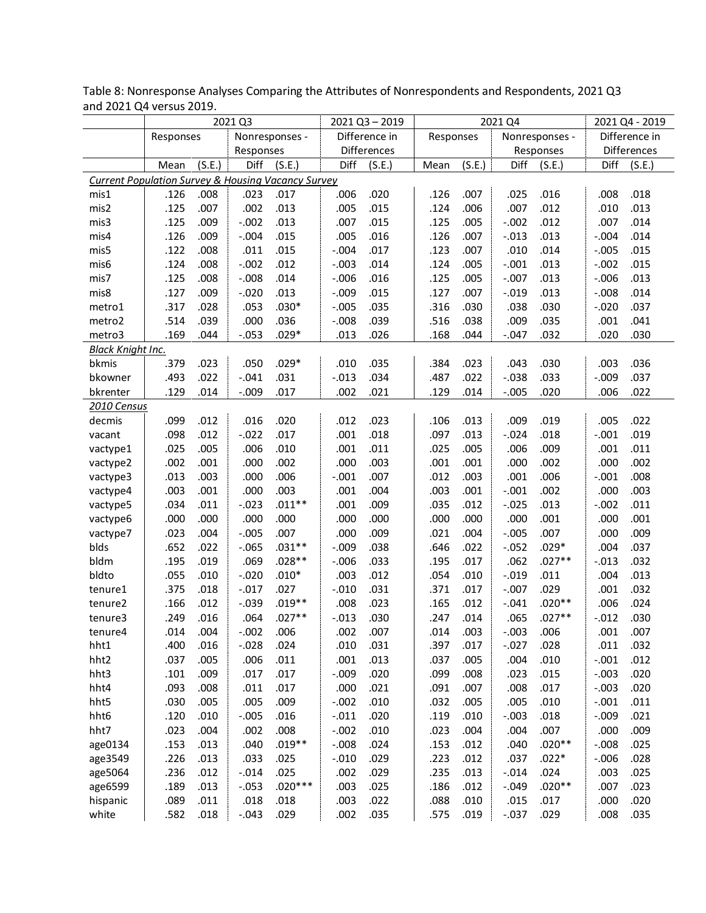| Difference in<br>Difference in<br>Nonresponses -<br>Responses<br>Nonresponses -<br>Responses<br>Differences<br>Differences<br>Responses<br>Responses<br>Diff<br>Diff<br>Diff<br>(S.E.)<br>(S.E.)<br>(S.E.)<br>(S.E.)<br>Diff<br>(S.E.)<br>(S.E.)<br>Mean<br>Mean<br><b>Current Population Survey &amp; Housing Vacancy Survey</b><br>.126<br>.023<br>.020<br>.007<br>.016<br>.018<br>mis1<br>.008<br>.017<br>.006<br>.126<br>.025<br>.008<br>.012<br>.125<br>.007<br>.002<br>.013<br>.005<br>.015<br>.124<br>.006<br>.007<br>.010<br>.013<br>mis2<br>.125<br>$-.002$<br>.013<br>.007<br>.015<br>.125<br>.005<br>.012<br>.007<br>.014<br>mis3<br>.009<br>$-.002$<br>.126<br>$-.004$<br>.015<br>.005<br>.016<br>.007<br>.013<br>mis4<br>.009<br>.126<br>$-.013$<br>$-.004$<br>.014<br>.122<br>.008<br>.011<br>.015<br>$-.004$<br>.017<br>.123<br>.007<br>.014<br>$-.005$<br>.015<br>mis5<br>.010<br>.124<br>.008<br>$-.002$<br>.012<br>$-.003$<br>.014<br>.124<br>.005<br>.013<br>.015<br>mis6<br>$-.001$<br>$-.002$<br>.125<br>$-.008$<br>.014<br>$-.006$<br>.016<br>.125<br>.005<br>.013<br>.013<br>mis7<br>.008<br>$-.007$<br>$-.006$<br>.013<br>.127<br>.013<br>.015<br>.127<br>.007<br>$-.008$<br>.014<br>mis8<br>.009<br>$-.020$<br>$-.009$<br>$-.019$<br>$.030*$<br>.035<br>.316<br>.030<br>.038<br>.030<br>$-.020$<br>.037<br>.317<br>.028<br>.053<br>$-.005$<br>metro1<br>.000<br>.036<br>.039<br>.516<br>.038<br>.009<br>.035<br>.041<br>.514<br>.039<br>$-.008$<br>.001<br>metro2<br>.169<br>.044<br>$-.053$<br>$.029*$<br>.013<br>.026<br>.168<br>.044<br>$-.047$<br>.032<br>.020<br>.030<br>metro3<br><b>Black Knight Inc.</b><br>$.029*$<br>.379<br>.023<br>.035<br>.023<br>.030<br>.036<br>bkmis<br>.050<br>.010<br>.384<br>.043<br>.003<br>.022<br>$-.041$<br>.031<br>.034<br>.487<br>.022<br>$-.038$<br>.033<br>.037<br>bkowner<br>.493<br>$-.013$<br>$-.009$<br>.021<br>.129<br>.014<br>.020<br>.022<br>bkrenter<br>.129<br>.014<br>$-.009$<br>.017<br>.002<br>$-.005$<br>.006<br>2010 Census<br>.099<br>.012<br>.020<br>.023<br>.013<br>.019<br>.022<br>.016<br>.012<br>.106<br>.009<br>.005<br>decmis<br>.018<br>.098<br>.012<br>$-.022$<br>.017<br>.001<br>.018<br>.097<br>.013<br>$-.024$<br>.019<br>$-.001$<br>vacant<br>.009<br>.005<br>.006<br>.010<br>.001<br>.011<br>.025<br>.005<br>.006<br>.001<br>.011<br>.025<br>vactype1<br>.003<br>.002<br>.002<br>.001<br>.000<br>.002<br>.000<br>.001<br>.001<br>.000<br>.000<br>.002<br>vactype2<br>.007<br>.006<br>.013<br>.003<br>.000<br>.006<br>$-.001$<br>.012<br>.003<br>.001<br>$-.001$<br>.008<br>vactype3<br>.002<br>.003<br>.001<br>.000<br>.003<br>.001<br>.004<br>.003<br>.001<br>$-.001$<br>.000<br>.003<br>vactype4<br>$.011**$<br>.009<br>.013<br>.034<br>.011<br>$-.023$<br>.001<br>.035<br>.012<br>$-0.025$<br>$-.002$<br>.011<br>vactype5<br>.001<br>.000<br>.000<br>.000<br>.000<br>.000<br>.000<br>.000<br>.000<br>.000<br>.000<br>.001<br>vactype6<br>.007<br>.009<br>.004<br>.007<br>.023<br>.004<br>$-.005$<br>.000<br>.021<br>$-.005$<br>.009<br>vactype7<br>.000<br>$.029*$<br>$.031**$<br>.038<br>.022<br>blds<br>.652<br>.022<br>$-.065$<br>.646<br>$-.052$<br>.004<br>.037<br>$-.009$<br>.033<br>$.027**$<br>bldm<br>.195<br>.069<br>$.028**$<br>.195<br>.017<br>.062<br>.032<br>.019<br>$-.006$<br>$-.013$<br>.012<br>.011<br>bldto<br>.055<br>$-.020$<br>$.010*$<br>.003<br>.054<br>.010<br>$-.019$<br>.004<br>.013<br>.010<br>.029<br>.375<br>.027<br>$-.010$<br>.031<br>.371<br>.017<br>$-.007$<br>.032<br>.018<br>$-.017$<br>.001<br>tenure1<br>$.020**$<br>$.019**$<br>.023<br>.166<br>.012<br>$-.039$<br>.008<br>.165<br>.012<br>$-.041$<br>.006<br>.024<br>tenure2<br>$.027**$<br>.030<br>.247<br>$.027**$<br>.064<br>$-.013$<br>.014<br>.065<br>.030<br>.249<br>.016<br>$-.012$<br>tenure3<br>$-.002$<br>.002<br>.007<br>.014<br>.003<br>$-.003$<br>.006<br>.007<br>.014<br>.004<br>.006<br>.001<br>tenure4<br>.031<br>.016<br>$-.028$<br>.024<br>.397<br>.017<br>$-.027$<br>.028<br>.011<br>.032<br>hht1<br>.400<br>.010<br>hht2<br>.013<br>.010<br>.012<br>.037<br>.005<br>.006<br>.011<br>.001<br>.037<br>.005<br>.004<br>$-.001$<br>.020<br>hht3<br>.101<br>.009<br>.017<br>.017<br>$-.009$<br>.099<br>.008<br>.023<br>.015<br>$-.003$<br>.020<br>.017<br>.021<br>.007<br>.017<br>.020<br>hht4<br>.093<br>.008<br>.011<br>.000<br>.091<br>.008<br>$-.003$<br>.005<br>.009<br>.010<br>.005<br>.010<br>.011<br>hht5<br>.030<br>.005<br>$-.002$<br>.032<br>.005<br>$-.001$<br>.016<br>.020<br>.018<br>.021<br>hht6<br>.120<br>.010<br>$-.005$<br>$-.011$<br>.119<br>.010<br>$-.003$<br>$-.009$<br>.004<br>.007<br>hht7<br>.023<br>.004<br>.002<br>.008<br>$-.002$<br>.010<br>.023<br>.004<br>.000<br>.009<br>$.020**$<br>$.019**$<br>.024<br>.153<br>.013<br>.040<br>$-.008$<br>.153<br>.012<br>.040<br>$-.008$<br>.025<br>age0134<br>$.022*$<br>.226<br>.013<br>.033<br>.025<br>$-.010$<br>.029<br>.223<br>.012<br>.037<br>$-.006$<br>.028<br>age3549 |         |      |      | 2021 Q3 |      |      | $2021$ Q3 - 2019 |      |      | 2021 Q4 |      |      | 2021 Q4 - 2019 |
|----------------------------------------------------------------------------------------------------------------------------------------------------------------------------------------------------------------------------------------------------------------------------------------------------------------------------------------------------------------------------------------------------------------------------------------------------------------------------------------------------------------------------------------------------------------------------------------------------------------------------------------------------------------------------------------------------------------------------------------------------------------------------------------------------------------------------------------------------------------------------------------------------------------------------------------------------------------------------------------------------------------------------------------------------------------------------------------------------------------------------------------------------------------------------------------------------------------------------------------------------------------------------------------------------------------------------------------------------------------------------------------------------------------------------------------------------------------------------------------------------------------------------------------------------------------------------------------------------------------------------------------------------------------------------------------------------------------------------------------------------------------------------------------------------------------------------------------------------------------------------------------------------------------------------------------------------------------------------------------------------------------------------------------------------------------------------------------------------------------------------------------------------------------------------------------------------------------------------------------------------------------------------------------------------------------------------------------------------------------------------------------------------------------------------------------------------------------------------------------------------------------------------------------------------------------------------------------------------------------------------------------------------------------------------------------------------------------------------------------------------------------------------------------------------------------------------------------------------------------------------------------------------------------------------------------------------------------------------------------------------------------------------------------------------------------------------------------------------------------------------------------------------------------------------------------------------------------------------------------------------------------------------------------------------------------------------------------------------------------------------------------------------------------------------------------------------------------------------------------------------------------------------------------------------------------------------------------------------------------------------------------------------------------------------------------------------------------------------------------------------------------------------------------------------------------------------------------------------------------------------------------------------------------------------------------------------------------------------------------------------------------------------------------------------------------------------------------------------------------------------------------------------------------------------------------------------------------------------------------------------------------------------------------------------------------------------------------------------------------------------------------------------------------------------------------------------------------------------------------------------------------------------------------------------------------------------------------------------------------------------------------------------------------------------------------------------------------------------------------------------------------------------------------------------------------------------------------------------------------------------------------------------------------------------------------------------------------|---------|------|------|---------|------|------|------------------|------|------|---------|------|------|----------------|
|                                                                                                                                                                                                                                                                                                                                                                                                                                                                                                                                                                                                                                                                                                                                                                                                                                                                                                                                                                                                                                                                                                                                                                                                                                                                                                                                                                                                                                                                                                                                                                                                                                                                                                                                                                                                                                                                                                                                                                                                                                                                                                                                                                                                                                                                                                                                                                                                                                                                                                                                                                                                                                                                                                                                                                                                                                                                                                                                                                                                                                                                                                                                                                                                                                                                                                                                                                                                                                                                                                                                                                                                                                                                                                                                                                                                                                                                                                                                                                                                                                                                                                                                                                                                                                                                                                                                                                                                                                                                                                                                                                                                                                                                                                                                                                                                                                                                                                                                                                |         |      |      |         |      |      |                  |      |      |         |      |      |                |
|                                                                                                                                                                                                                                                                                                                                                                                                                                                                                                                                                                                                                                                                                                                                                                                                                                                                                                                                                                                                                                                                                                                                                                                                                                                                                                                                                                                                                                                                                                                                                                                                                                                                                                                                                                                                                                                                                                                                                                                                                                                                                                                                                                                                                                                                                                                                                                                                                                                                                                                                                                                                                                                                                                                                                                                                                                                                                                                                                                                                                                                                                                                                                                                                                                                                                                                                                                                                                                                                                                                                                                                                                                                                                                                                                                                                                                                                                                                                                                                                                                                                                                                                                                                                                                                                                                                                                                                                                                                                                                                                                                                                                                                                                                                                                                                                                                                                                                                                                                |         |      |      |         |      |      |                  |      |      |         |      |      |                |
|                                                                                                                                                                                                                                                                                                                                                                                                                                                                                                                                                                                                                                                                                                                                                                                                                                                                                                                                                                                                                                                                                                                                                                                                                                                                                                                                                                                                                                                                                                                                                                                                                                                                                                                                                                                                                                                                                                                                                                                                                                                                                                                                                                                                                                                                                                                                                                                                                                                                                                                                                                                                                                                                                                                                                                                                                                                                                                                                                                                                                                                                                                                                                                                                                                                                                                                                                                                                                                                                                                                                                                                                                                                                                                                                                                                                                                                                                                                                                                                                                                                                                                                                                                                                                                                                                                                                                                                                                                                                                                                                                                                                                                                                                                                                                                                                                                                                                                                                                                |         |      |      |         |      |      |                  |      |      |         |      |      |                |
|                                                                                                                                                                                                                                                                                                                                                                                                                                                                                                                                                                                                                                                                                                                                                                                                                                                                                                                                                                                                                                                                                                                                                                                                                                                                                                                                                                                                                                                                                                                                                                                                                                                                                                                                                                                                                                                                                                                                                                                                                                                                                                                                                                                                                                                                                                                                                                                                                                                                                                                                                                                                                                                                                                                                                                                                                                                                                                                                                                                                                                                                                                                                                                                                                                                                                                                                                                                                                                                                                                                                                                                                                                                                                                                                                                                                                                                                                                                                                                                                                                                                                                                                                                                                                                                                                                                                                                                                                                                                                                                                                                                                                                                                                                                                                                                                                                                                                                                                                                |         |      |      |         |      |      |                  |      |      |         |      |      |                |
|                                                                                                                                                                                                                                                                                                                                                                                                                                                                                                                                                                                                                                                                                                                                                                                                                                                                                                                                                                                                                                                                                                                                                                                                                                                                                                                                                                                                                                                                                                                                                                                                                                                                                                                                                                                                                                                                                                                                                                                                                                                                                                                                                                                                                                                                                                                                                                                                                                                                                                                                                                                                                                                                                                                                                                                                                                                                                                                                                                                                                                                                                                                                                                                                                                                                                                                                                                                                                                                                                                                                                                                                                                                                                                                                                                                                                                                                                                                                                                                                                                                                                                                                                                                                                                                                                                                                                                                                                                                                                                                                                                                                                                                                                                                                                                                                                                                                                                                                                                |         |      |      |         |      |      |                  |      |      |         |      |      |                |
|                                                                                                                                                                                                                                                                                                                                                                                                                                                                                                                                                                                                                                                                                                                                                                                                                                                                                                                                                                                                                                                                                                                                                                                                                                                                                                                                                                                                                                                                                                                                                                                                                                                                                                                                                                                                                                                                                                                                                                                                                                                                                                                                                                                                                                                                                                                                                                                                                                                                                                                                                                                                                                                                                                                                                                                                                                                                                                                                                                                                                                                                                                                                                                                                                                                                                                                                                                                                                                                                                                                                                                                                                                                                                                                                                                                                                                                                                                                                                                                                                                                                                                                                                                                                                                                                                                                                                                                                                                                                                                                                                                                                                                                                                                                                                                                                                                                                                                                                                                |         |      |      |         |      |      |                  |      |      |         |      |      |                |
|                                                                                                                                                                                                                                                                                                                                                                                                                                                                                                                                                                                                                                                                                                                                                                                                                                                                                                                                                                                                                                                                                                                                                                                                                                                                                                                                                                                                                                                                                                                                                                                                                                                                                                                                                                                                                                                                                                                                                                                                                                                                                                                                                                                                                                                                                                                                                                                                                                                                                                                                                                                                                                                                                                                                                                                                                                                                                                                                                                                                                                                                                                                                                                                                                                                                                                                                                                                                                                                                                                                                                                                                                                                                                                                                                                                                                                                                                                                                                                                                                                                                                                                                                                                                                                                                                                                                                                                                                                                                                                                                                                                                                                                                                                                                                                                                                                                                                                                                                                |         |      |      |         |      |      |                  |      |      |         |      |      |                |
|                                                                                                                                                                                                                                                                                                                                                                                                                                                                                                                                                                                                                                                                                                                                                                                                                                                                                                                                                                                                                                                                                                                                                                                                                                                                                                                                                                                                                                                                                                                                                                                                                                                                                                                                                                                                                                                                                                                                                                                                                                                                                                                                                                                                                                                                                                                                                                                                                                                                                                                                                                                                                                                                                                                                                                                                                                                                                                                                                                                                                                                                                                                                                                                                                                                                                                                                                                                                                                                                                                                                                                                                                                                                                                                                                                                                                                                                                                                                                                                                                                                                                                                                                                                                                                                                                                                                                                                                                                                                                                                                                                                                                                                                                                                                                                                                                                                                                                                                                                |         |      |      |         |      |      |                  |      |      |         |      |      |                |
|                                                                                                                                                                                                                                                                                                                                                                                                                                                                                                                                                                                                                                                                                                                                                                                                                                                                                                                                                                                                                                                                                                                                                                                                                                                                                                                                                                                                                                                                                                                                                                                                                                                                                                                                                                                                                                                                                                                                                                                                                                                                                                                                                                                                                                                                                                                                                                                                                                                                                                                                                                                                                                                                                                                                                                                                                                                                                                                                                                                                                                                                                                                                                                                                                                                                                                                                                                                                                                                                                                                                                                                                                                                                                                                                                                                                                                                                                                                                                                                                                                                                                                                                                                                                                                                                                                                                                                                                                                                                                                                                                                                                                                                                                                                                                                                                                                                                                                                                                                |         |      |      |         |      |      |                  |      |      |         |      |      |                |
|                                                                                                                                                                                                                                                                                                                                                                                                                                                                                                                                                                                                                                                                                                                                                                                                                                                                                                                                                                                                                                                                                                                                                                                                                                                                                                                                                                                                                                                                                                                                                                                                                                                                                                                                                                                                                                                                                                                                                                                                                                                                                                                                                                                                                                                                                                                                                                                                                                                                                                                                                                                                                                                                                                                                                                                                                                                                                                                                                                                                                                                                                                                                                                                                                                                                                                                                                                                                                                                                                                                                                                                                                                                                                                                                                                                                                                                                                                                                                                                                                                                                                                                                                                                                                                                                                                                                                                                                                                                                                                                                                                                                                                                                                                                                                                                                                                                                                                                                                                |         |      |      |         |      |      |                  |      |      |         |      |      |                |
|                                                                                                                                                                                                                                                                                                                                                                                                                                                                                                                                                                                                                                                                                                                                                                                                                                                                                                                                                                                                                                                                                                                                                                                                                                                                                                                                                                                                                                                                                                                                                                                                                                                                                                                                                                                                                                                                                                                                                                                                                                                                                                                                                                                                                                                                                                                                                                                                                                                                                                                                                                                                                                                                                                                                                                                                                                                                                                                                                                                                                                                                                                                                                                                                                                                                                                                                                                                                                                                                                                                                                                                                                                                                                                                                                                                                                                                                                                                                                                                                                                                                                                                                                                                                                                                                                                                                                                                                                                                                                                                                                                                                                                                                                                                                                                                                                                                                                                                                                                |         |      |      |         |      |      |                  |      |      |         |      |      |                |
|                                                                                                                                                                                                                                                                                                                                                                                                                                                                                                                                                                                                                                                                                                                                                                                                                                                                                                                                                                                                                                                                                                                                                                                                                                                                                                                                                                                                                                                                                                                                                                                                                                                                                                                                                                                                                                                                                                                                                                                                                                                                                                                                                                                                                                                                                                                                                                                                                                                                                                                                                                                                                                                                                                                                                                                                                                                                                                                                                                                                                                                                                                                                                                                                                                                                                                                                                                                                                                                                                                                                                                                                                                                                                                                                                                                                                                                                                                                                                                                                                                                                                                                                                                                                                                                                                                                                                                                                                                                                                                                                                                                                                                                                                                                                                                                                                                                                                                                                                                |         |      |      |         |      |      |                  |      |      |         |      |      |                |
|                                                                                                                                                                                                                                                                                                                                                                                                                                                                                                                                                                                                                                                                                                                                                                                                                                                                                                                                                                                                                                                                                                                                                                                                                                                                                                                                                                                                                                                                                                                                                                                                                                                                                                                                                                                                                                                                                                                                                                                                                                                                                                                                                                                                                                                                                                                                                                                                                                                                                                                                                                                                                                                                                                                                                                                                                                                                                                                                                                                                                                                                                                                                                                                                                                                                                                                                                                                                                                                                                                                                                                                                                                                                                                                                                                                                                                                                                                                                                                                                                                                                                                                                                                                                                                                                                                                                                                                                                                                                                                                                                                                                                                                                                                                                                                                                                                                                                                                                                                |         |      |      |         |      |      |                  |      |      |         |      |      |                |
|                                                                                                                                                                                                                                                                                                                                                                                                                                                                                                                                                                                                                                                                                                                                                                                                                                                                                                                                                                                                                                                                                                                                                                                                                                                                                                                                                                                                                                                                                                                                                                                                                                                                                                                                                                                                                                                                                                                                                                                                                                                                                                                                                                                                                                                                                                                                                                                                                                                                                                                                                                                                                                                                                                                                                                                                                                                                                                                                                                                                                                                                                                                                                                                                                                                                                                                                                                                                                                                                                                                                                                                                                                                                                                                                                                                                                                                                                                                                                                                                                                                                                                                                                                                                                                                                                                                                                                                                                                                                                                                                                                                                                                                                                                                                                                                                                                                                                                                                                                |         |      |      |         |      |      |                  |      |      |         |      |      |                |
|                                                                                                                                                                                                                                                                                                                                                                                                                                                                                                                                                                                                                                                                                                                                                                                                                                                                                                                                                                                                                                                                                                                                                                                                                                                                                                                                                                                                                                                                                                                                                                                                                                                                                                                                                                                                                                                                                                                                                                                                                                                                                                                                                                                                                                                                                                                                                                                                                                                                                                                                                                                                                                                                                                                                                                                                                                                                                                                                                                                                                                                                                                                                                                                                                                                                                                                                                                                                                                                                                                                                                                                                                                                                                                                                                                                                                                                                                                                                                                                                                                                                                                                                                                                                                                                                                                                                                                                                                                                                                                                                                                                                                                                                                                                                                                                                                                                                                                                                                                |         |      |      |         |      |      |                  |      |      |         |      |      |                |
|                                                                                                                                                                                                                                                                                                                                                                                                                                                                                                                                                                                                                                                                                                                                                                                                                                                                                                                                                                                                                                                                                                                                                                                                                                                                                                                                                                                                                                                                                                                                                                                                                                                                                                                                                                                                                                                                                                                                                                                                                                                                                                                                                                                                                                                                                                                                                                                                                                                                                                                                                                                                                                                                                                                                                                                                                                                                                                                                                                                                                                                                                                                                                                                                                                                                                                                                                                                                                                                                                                                                                                                                                                                                                                                                                                                                                                                                                                                                                                                                                                                                                                                                                                                                                                                                                                                                                                                                                                                                                                                                                                                                                                                                                                                                                                                                                                                                                                                                                                |         |      |      |         |      |      |                  |      |      |         |      |      |                |
|                                                                                                                                                                                                                                                                                                                                                                                                                                                                                                                                                                                                                                                                                                                                                                                                                                                                                                                                                                                                                                                                                                                                                                                                                                                                                                                                                                                                                                                                                                                                                                                                                                                                                                                                                                                                                                                                                                                                                                                                                                                                                                                                                                                                                                                                                                                                                                                                                                                                                                                                                                                                                                                                                                                                                                                                                                                                                                                                                                                                                                                                                                                                                                                                                                                                                                                                                                                                                                                                                                                                                                                                                                                                                                                                                                                                                                                                                                                                                                                                                                                                                                                                                                                                                                                                                                                                                                                                                                                                                                                                                                                                                                                                                                                                                                                                                                                                                                                                                                |         |      |      |         |      |      |                  |      |      |         |      |      |                |
|                                                                                                                                                                                                                                                                                                                                                                                                                                                                                                                                                                                                                                                                                                                                                                                                                                                                                                                                                                                                                                                                                                                                                                                                                                                                                                                                                                                                                                                                                                                                                                                                                                                                                                                                                                                                                                                                                                                                                                                                                                                                                                                                                                                                                                                                                                                                                                                                                                                                                                                                                                                                                                                                                                                                                                                                                                                                                                                                                                                                                                                                                                                                                                                                                                                                                                                                                                                                                                                                                                                                                                                                                                                                                                                                                                                                                                                                                                                                                                                                                                                                                                                                                                                                                                                                                                                                                                                                                                                                                                                                                                                                                                                                                                                                                                                                                                                                                                                                                                |         |      |      |         |      |      |                  |      |      |         |      |      |                |
|                                                                                                                                                                                                                                                                                                                                                                                                                                                                                                                                                                                                                                                                                                                                                                                                                                                                                                                                                                                                                                                                                                                                                                                                                                                                                                                                                                                                                                                                                                                                                                                                                                                                                                                                                                                                                                                                                                                                                                                                                                                                                                                                                                                                                                                                                                                                                                                                                                                                                                                                                                                                                                                                                                                                                                                                                                                                                                                                                                                                                                                                                                                                                                                                                                                                                                                                                                                                                                                                                                                                                                                                                                                                                                                                                                                                                                                                                                                                                                                                                                                                                                                                                                                                                                                                                                                                                                                                                                                                                                                                                                                                                                                                                                                                                                                                                                                                                                                                                                |         |      |      |         |      |      |                  |      |      |         |      |      |                |
|                                                                                                                                                                                                                                                                                                                                                                                                                                                                                                                                                                                                                                                                                                                                                                                                                                                                                                                                                                                                                                                                                                                                                                                                                                                                                                                                                                                                                                                                                                                                                                                                                                                                                                                                                                                                                                                                                                                                                                                                                                                                                                                                                                                                                                                                                                                                                                                                                                                                                                                                                                                                                                                                                                                                                                                                                                                                                                                                                                                                                                                                                                                                                                                                                                                                                                                                                                                                                                                                                                                                                                                                                                                                                                                                                                                                                                                                                                                                                                                                                                                                                                                                                                                                                                                                                                                                                                                                                                                                                                                                                                                                                                                                                                                                                                                                                                                                                                                                                                |         |      |      |         |      |      |                  |      |      |         |      |      |                |
|                                                                                                                                                                                                                                                                                                                                                                                                                                                                                                                                                                                                                                                                                                                                                                                                                                                                                                                                                                                                                                                                                                                                                                                                                                                                                                                                                                                                                                                                                                                                                                                                                                                                                                                                                                                                                                                                                                                                                                                                                                                                                                                                                                                                                                                                                                                                                                                                                                                                                                                                                                                                                                                                                                                                                                                                                                                                                                                                                                                                                                                                                                                                                                                                                                                                                                                                                                                                                                                                                                                                                                                                                                                                                                                                                                                                                                                                                                                                                                                                                                                                                                                                                                                                                                                                                                                                                                                                                                                                                                                                                                                                                                                                                                                                                                                                                                                                                                                                                                |         |      |      |         |      |      |                  |      |      |         |      |      |                |
|                                                                                                                                                                                                                                                                                                                                                                                                                                                                                                                                                                                                                                                                                                                                                                                                                                                                                                                                                                                                                                                                                                                                                                                                                                                                                                                                                                                                                                                                                                                                                                                                                                                                                                                                                                                                                                                                                                                                                                                                                                                                                                                                                                                                                                                                                                                                                                                                                                                                                                                                                                                                                                                                                                                                                                                                                                                                                                                                                                                                                                                                                                                                                                                                                                                                                                                                                                                                                                                                                                                                                                                                                                                                                                                                                                                                                                                                                                                                                                                                                                                                                                                                                                                                                                                                                                                                                                                                                                                                                                                                                                                                                                                                                                                                                                                                                                                                                                                                                                |         |      |      |         |      |      |                  |      |      |         |      |      |                |
|                                                                                                                                                                                                                                                                                                                                                                                                                                                                                                                                                                                                                                                                                                                                                                                                                                                                                                                                                                                                                                                                                                                                                                                                                                                                                                                                                                                                                                                                                                                                                                                                                                                                                                                                                                                                                                                                                                                                                                                                                                                                                                                                                                                                                                                                                                                                                                                                                                                                                                                                                                                                                                                                                                                                                                                                                                                                                                                                                                                                                                                                                                                                                                                                                                                                                                                                                                                                                                                                                                                                                                                                                                                                                                                                                                                                                                                                                                                                                                                                                                                                                                                                                                                                                                                                                                                                                                                                                                                                                                                                                                                                                                                                                                                                                                                                                                                                                                                                                                |         |      |      |         |      |      |                  |      |      |         |      |      |                |
|                                                                                                                                                                                                                                                                                                                                                                                                                                                                                                                                                                                                                                                                                                                                                                                                                                                                                                                                                                                                                                                                                                                                                                                                                                                                                                                                                                                                                                                                                                                                                                                                                                                                                                                                                                                                                                                                                                                                                                                                                                                                                                                                                                                                                                                                                                                                                                                                                                                                                                                                                                                                                                                                                                                                                                                                                                                                                                                                                                                                                                                                                                                                                                                                                                                                                                                                                                                                                                                                                                                                                                                                                                                                                                                                                                                                                                                                                                                                                                                                                                                                                                                                                                                                                                                                                                                                                                                                                                                                                                                                                                                                                                                                                                                                                                                                                                                                                                                                                                |         |      |      |         |      |      |                  |      |      |         |      |      |                |
|                                                                                                                                                                                                                                                                                                                                                                                                                                                                                                                                                                                                                                                                                                                                                                                                                                                                                                                                                                                                                                                                                                                                                                                                                                                                                                                                                                                                                                                                                                                                                                                                                                                                                                                                                                                                                                                                                                                                                                                                                                                                                                                                                                                                                                                                                                                                                                                                                                                                                                                                                                                                                                                                                                                                                                                                                                                                                                                                                                                                                                                                                                                                                                                                                                                                                                                                                                                                                                                                                                                                                                                                                                                                                                                                                                                                                                                                                                                                                                                                                                                                                                                                                                                                                                                                                                                                                                                                                                                                                                                                                                                                                                                                                                                                                                                                                                                                                                                                                                |         |      |      |         |      |      |                  |      |      |         |      |      |                |
|                                                                                                                                                                                                                                                                                                                                                                                                                                                                                                                                                                                                                                                                                                                                                                                                                                                                                                                                                                                                                                                                                                                                                                                                                                                                                                                                                                                                                                                                                                                                                                                                                                                                                                                                                                                                                                                                                                                                                                                                                                                                                                                                                                                                                                                                                                                                                                                                                                                                                                                                                                                                                                                                                                                                                                                                                                                                                                                                                                                                                                                                                                                                                                                                                                                                                                                                                                                                                                                                                                                                                                                                                                                                                                                                                                                                                                                                                                                                                                                                                                                                                                                                                                                                                                                                                                                                                                                                                                                                                                                                                                                                                                                                                                                                                                                                                                                                                                                                                                |         |      |      |         |      |      |                  |      |      |         |      |      |                |
|                                                                                                                                                                                                                                                                                                                                                                                                                                                                                                                                                                                                                                                                                                                                                                                                                                                                                                                                                                                                                                                                                                                                                                                                                                                                                                                                                                                                                                                                                                                                                                                                                                                                                                                                                                                                                                                                                                                                                                                                                                                                                                                                                                                                                                                                                                                                                                                                                                                                                                                                                                                                                                                                                                                                                                                                                                                                                                                                                                                                                                                                                                                                                                                                                                                                                                                                                                                                                                                                                                                                                                                                                                                                                                                                                                                                                                                                                                                                                                                                                                                                                                                                                                                                                                                                                                                                                                                                                                                                                                                                                                                                                                                                                                                                                                                                                                                                                                                                                                |         |      |      |         |      |      |                  |      |      |         |      |      |                |
|                                                                                                                                                                                                                                                                                                                                                                                                                                                                                                                                                                                                                                                                                                                                                                                                                                                                                                                                                                                                                                                                                                                                                                                                                                                                                                                                                                                                                                                                                                                                                                                                                                                                                                                                                                                                                                                                                                                                                                                                                                                                                                                                                                                                                                                                                                                                                                                                                                                                                                                                                                                                                                                                                                                                                                                                                                                                                                                                                                                                                                                                                                                                                                                                                                                                                                                                                                                                                                                                                                                                                                                                                                                                                                                                                                                                                                                                                                                                                                                                                                                                                                                                                                                                                                                                                                                                                                                                                                                                                                                                                                                                                                                                                                                                                                                                                                                                                                                                                                |         |      |      |         |      |      |                  |      |      |         |      |      |                |
|                                                                                                                                                                                                                                                                                                                                                                                                                                                                                                                                                                                                                                                                                                                                                                                                                                                                                                                                                                                                                                                                                                                                                                                                                                                                                                                                                                                                                                                                                                                                                                                                                                                                                                                                                                                                                                                                                                                                                                                                                                                                                                                                                                                                                                                                                                                                                                                                                                                                                                                                                                                                                                                                                                                                                                                                                                                                                                                                                                                                                                                                                                                                                                                                                                                                                                                                                                                                                                                                                                                                                                                                                                                                                                                                                                                                                                                                                                                                                                                                                                                                                                                                                                                                                                                                                                                                                                                                                                                                                                                                                                                                                                                                                                                                                                                                                                                                                                                                                                |         |      |      |         |      |      |                  |      |      |         |      |      |                |
|                                                                                                                                                                                                                                                                                                                                                                                                                                                                                                                                                                                                                                                                                                                                                                                                                                                                                                                                                                                                                                                                                                                                                                                                                                                                                                                                                                                                                                                                                                                                                                                                                                                                                                                                                                                                                                                                                                                                                                                                                                                                                                                                                                                                                                                                                                                                                                                                                                                                                                                                                                                                                                                                                                                                                                                                                                                                                                                                                                                                                                                                                                                                                                                                                                                                                                                                                                                                                                                                                                                                                                                                                                                                                                                                                                                                                                                                                                                                                                                                                                                                                                                                                                                                                                                                                                                                                                                                                                                                                                                                                                                                                                                                                                                                                                                                                                                                                                                                                                |         |      |      |         |      |      |                  |      |      |         |      |      |                |
|                                                                                                                                                                                                                                                                                                                                                                                                                                                                                                                                                                                                                                                                                                                                                                                                                                                                                                                                                                                                                                                                                                                                                                                                                                                                                                                                                                                                                                                                                                                                                                                                                                                                                                                                                                                                                                                                                                                                                                                                                                                                                                                                                                                                                                                                                                                                                                                                                                                                                                                                                                                                                                                                                                                                                                                                                                                                                                                                                                                                                                                                                                                                                                                                                                                                                                                                                                                                                                                                                                                                                                                                                                                                                                                                                                                                                                                                                                                                                                                                                                                                                                                                                                                                                                                                                                                                                                                                                                                                                                                                                                                                                                                                                                                                                                                                                                                                                                                                                                |         |      |      |         |      |      |                  |      |      |         |      |      |                |
|                                                                                                                                                                                                                                                                                                                                                                                                                                                                                                                                                                                                                                                                                                                                                                                                                                                                                                                                                                                                                                                                                                                                                                                                                                                                                                                                                                                                                                                                                                                                                                                                                                                                                                                                                                                                                                                                                                                                                                                                                                                                                                                                                                                                                                                                                                                                                                                                                                                                                                                                                                                                                                                                                                                                                                                                                                                                                                                                                                                                                                                                                                                                                                                                                                                                                                                                                                                                                                                                                                                                                                                                                                                                                                                                                                                                                                                                                                                                                                                                                                                                                                                                                                                                                                                                                                                                                                                                                                                                                                                                                                                                                                                                                                                                                                                                                                                                                                                                                                |         |      |      |         |      |      |                  |      |      |         |      |      |                |
|                                                                                                                                                                                                                                                                                                                                                                                                                                                                                                                                                                                                                                                                                                                                                                                                                                                                                                                                                                                                                                                                                                                                                                                                                                                                                                                                                                                                                                                                                                                                                                                                                                                                                                                                                                                                                                                                                                                                                                                                                                                                                                                                                                                                                                                                                                                                                                                                                                                                                                                                                                                                                                                                                                                                                                                                                                                                                                                                                                                                                                                                                                                                                                                                                                                                                                                                                                                                                                                                                                                                                                                                                                                                                                                                                                                                                                                                                                                                                                                                                                                                                                                                                                                                                                                                                                                                                                                                                                                                                                                                                                                                                                                                                                                                                                                                                                                                                                                                                                |         |      |      |         |      |      |                  |      |      |         |      |      |                |
|                                                                                                                                                                                                                                                                                                                                                                                                                                                                                                                                                                                                                                                                                                                                                                                                                                                                                                                                                                                                                                                                                                                                                                                                                                                                                                                                                                                                                                                                                                                                                                                                                                                                                                                                                                                                                                                                                                                                                                                                                                                                                                                                                                                                                                                                                                                                                                                                                                                                                                                                                                                                                                                                                                                                                                                                                                                                                                                                                                                                                                                                                                                                                                                                                                                                                                                                                                                                                                                                                                                                                                                                                                                                                                                                                                                                                                                                                                                                                                                                                                                                                                                                                                                                                                                                                                                                                                                                                                                                                                                                                                                                                                                                                                                                                                                                                                                                                                                                                                |         |      |      |         |      |      |                  |      |      |         |      |      |                |
|                                                                                                                                                                                                                                                                                                                                                                                                                                                                                                                                                                                                                                                                                                                                                                                                                                                                                                                                                                                                                                                                                                                                                                                                                                                                                                                                                                                                                                                                                                                                                                                                                                                                                                                                                                                                                                                                                                                                                                                                                                                                                                                                                                                                                                                                                                                                                                                                                                                                                                                                                                                                                                                                                                                                                                                                                                                                                                                                                                                                                                                                                                                                                                                                                                                                                                                                                                                                                                                                                                                                                                                                                                                                                                                                                                                                                                                                                                                                                                                                                                                                                                                                                                                                                                                                                                                                                                                                                                                                                                                                                                                                                                                                                                                                                                                                                                                                                                                                                                |         |      |      |         |      |      |                  |      |      |         |      |      |                |
|                                                                                                                                                                                                                                                                                                                                                                                                                                                                                                                                                                                                                                                                                                                                                                                                                                                                                                                                                                                                                                                                                                                                                                                                                                                                                                                                                                                                                                                                                                                                                                                                                                                                                                                                                                                                                                                                                                                                                                                                                                                                                                                                                                                                                                                                                                                                                                                                                                                                                                                                                                                                                                                                                                                                                                                                                                                                                                                                                                                                                                                                                                                                                                                                                                                                                                                                                                                                                                                                                                                                                                                                                                                                                                                                                                                                                                                                                                                                                                                                                                                                                                                                                                                                                                                                                                                                                                                                                                                                                                                                                                                                                                                                                                                                                                                                                                                                                                                                                                |         |      |      |         |      |      |                  |      |      |         |      |      |                |
|                                                                                                                                                                                                                                                                                                                                                                                                                                                                                                                                                                                                                                                                                                                                                                                                                                                                                                                                                                                                                                                                                                                                                                                                                                                                                                                                                                                                                                                                                                                                                                                                                                                                                                                                                                                                                                                                                                                                                                                                                                                                                                                                                                                                                                                                                                                                                                                                                                                                                                                                                                                                                                                                                                                                                                                                                                                                                                                                                                                                                                                                                                                                                                                                                                                                                                                                                                                                                                                                                                                                                                                                                                                                                                                                                                                                                                                                                                                                                                                                                                                                                                                                                                                                                                                                                                                                                                                                                                                                                                                                                                                                                                                                                                                                                                                                                                                                                                                                                                |         |      |      |         |      |      |                  |      |      |         |      |      |                |
|                                                                                                                                                                                                                                                                                                                                                                                                                                                                                                                                                                                                                                                                                                                                                                                                                                                                                                                                                                                                                                                                                                                                                                                                                                                                                                                                                                                                                                                                                                                                                                                                                                                                                                                                                                                                                                                                                                                                                                                                                                                                                                                                                                                                                                                                                                                                                                                                                                                                                                                                                                                                                                                                                                                                                                                                                                                                                                                                                                                                                                                                                                                                                                                                                                                                                                                                                                                                                                                                                                                                                                                                                                                                                                                                                                                                                                                                                                                                                                                                                                                                                                                                                                                                                                                                                                                                                                                                                                                                                                                                                                                                                                                                                                                                                                                                                                                                                                                                                                |         |      |      |         |      |      |                  |      |      |         |      |      |                |
|                                                                                                                                                                                                                                                                                                                                                                                                                                                                                                                                                                                                                                                                                                                                                                                                                                                                                                                                                                                                                                                                                                                                                                                                                                                                                                                                                                                                                                                                                                                                                                                                                                                                                                                                                                                                                                                                                                                                                                                                                                                                                                                                                                                                                                                                                                                                                                                                                                                                                                                                                                                                                                                                                                                                                                                                                                                                                                                                                                                                                                                                                                                                                                                                                                                                                                                                                                                                                                                                                                                                                                                                                                                                                                                                                                                                                                                                                                                                                                                                                                                                                                                                                                                                                                                                                                                                                                                                                                                                                                                                                                                                                                                                                                                                                                                                                                                                                                                                                                |         |      |      |         |      |      |                  |      |      |         |      |      |                |
|                                                                                                                                                                                                                                                                                                                                                                                                                                                                                                                                                                                                                                                                                                                                                                                                                                                                                                                                                                                                                                                                                                                                                                                                                                                                                                                                                                                                                                                                                                                                                                                                                                                                                                                                                                                                                                                                                                                                                                                                                                                                                                                                                                                                                                                                                                                                                                                                                                                                                                                                                                                                                                                                                                                                                                                                                                                                                                                                                                                                                                                                                                                                                                                                                                                                                                                                                                                                                                                                                                                                                                                                                                                                                                                                                                                                                                                                                                                                                                                                                                                                                                                                                                                                                                                                                                                                                                                                                                                                                                                                                                                                                                                                                                                                                                                                                                                                                                                                                                |         |      |      |         |      |      |                  |      |      |         |      |      |                |
|                                                                                                                                                                                                                                                                                                                                                                                                                                                                                                                                                                                                                                                                                                                                                                                                                                                                                                                                                                                                                                                                                                                                                                                                                                                                                                                                                                                                                                                                                                                                                                                                                                                                                                                                                                                                                                                                                                                                                                                                                                                                                                                                                                                                                                                                                                                                                                                                                                                                                                                                                                                                                                                                                                                                                                                                                                                                                                                                                                                                                                                                                                                                                                                                                                                                                                                                                                                                                                                                                                                                                                                                                                                                                                                                                                                                                                                                                                                                                                                                                                                                                                                                                                                                                                                                                                                                                                                                                                                                                                                                                                                                                                                                                                                                                                                                                                                                                                                                                                |         |      |      |         |      |      |                  |      |      |         |      |      |                |
|                                                                                                                                                                                                                                                                                                                                                                                                                                                                                                                                                                                                                                                                                                                                                                                                                                                                                                                                                                                                                                                                                                                                                                                                                                                                                                                                                                                                                                                                                                                                                                                                                                                                                                                                                                                                                                                                                                                                                                                                                                                                                                                                                                                                                                                                                                                                                                                                                                                                                                                                                                                                                                                                                                                                                                                                                                                                                                                                                                                                                                                                                                                                                                                                                                                                                                                                                                                                                                                                                                                                                                                                                                                                                                                                                                                                                                                                                                                                                                                                                                                                                                                                                                                                                                                                                                                                                                                                                                                                                                                                                                                                                                                                                                                                                                                                                                                                                                                                                                |         |      |      |         |      |      |                  |      |      |         |      |      |                |
|                                                                                                                                                                                                                                                                                                                                                                                                                                                                                                                                                                                                                                                                                                                                                                                                                                                                                                                                                                                                                                                                                                                                                                                                                                                                                                                                                                                                                                                                                                                                                                                                                                                                                                                                                                                                                                                                                                                                                                                                                                                                                                                                                                                                                                                                                                                                                                                                                                                                                                                                                                                                                                                                                                                                                                                                                                                                                                                                                                                                                                                                                                                                                                                                                                                                                                                                                                                                                                                                                                                                                                                                                                                                                                                                                                                                                                                                                                                                                                                                                                                                                                                                                                                                                                                                                                                                                                                                                                                                                                                                                                                                                                                                                                                                                                                                                                                                                                                                                                |         |      |      |         |      |      |                  |      |      |         |      |      |                |
|                                                                                                                                                                                                                                                                                                                                                                                                                                                                                                                                                                                                                                                                                                                                                                                                                                                                                                                                                                                                                                                                                                                                                                                                                                                                                                                                                                                                                                                                                                                                                                                                                                                                                                                                                                                                                                                                                                                                                                                                                                                                                                                                                                                                                                                                                                                                                                                                                                                                                                                                                                                                                                                                                                                                                                                                                                                                                                                                                                                                                                                                                                                                                                                                                                                                                                                                                                                                                                                                                                                                                                                                                                                                                                                                                                                                                                                                                                                                                                                                                                                                                                                                                                                                                                                                                                                                                                                                                                                                                                                                                                                                                                                                                                                                                                                                                                                                                                                                                                |         |      |      |         |      |      |                  |      |      |         |      |      |                |
|                                                                                                                                                                                                                                                                                                                                                                                                                                                                                                                                                                                                                                                                                                                                                                                                                                                                                                                                                                                                                                                                                                                                                                                                                                                                                                                                                                                                                                                                                                                                                                                                                                                                                                                                                                                                                                                                                                                                                                                                                                                                                                                                                                                                                                                                                                                                                                                                                                                                                                                                                                                                                                                                                                                                                                                                                                                                                                                                                                                                                                                                                                                                                                                                                                                                                                                                                                                                                                                                                                                                                                                                                                                                                                                                                                                                                                                                                                                                                                                                                                                                                                                                                                                                                                                                                                                                                                                                                                                                                                                                                                                                                                                                                                                                                                                                                                                                                                                                                                |         |      |      |         |      |      |                  |      |      |         |      |      |                |
|                                                                                                                                                                                                                                                                                                                                                                                                                                                                                                                                                                                                                                                                                                                                                                                                                                                                                                                                                                                                                                                                                                                                                                                                                                                                                                                                                                                                                                                                                                                                                                                                                                                                                                                                                                                                                                                                                                                                                                                                                                                                                                                                                                                                                                                                                                                                                                                                                                                                                                                                                                                                                                                                                                                                                                                                                                                                                                                                                                                                                                                                                                                                                                                                                                                                                                                                                                                                                                                                                                                                                                                                                                                                                                                                                                                                                                                                                                                                                                                                                                                                                                                                                                                                                                                                                                                                                                                                                                                                                                                                                                                                                                                                                                                                                                                                                                                                                                                                                                | age5064 | .236 | .012 | $-.014$ | .025 | .002 | .029             | .235 | .013 | $-.014$ | .024 | .003 | .025           |
| $.020***$<br>$.020**$<br>.003<br>.025<br>.186<br>.023<br>age6599<br>.189<br>.013<br>$-.053$<br>.012<br>$-.049$<br>.007                                                                                                                                                                                                                                                                                                                                                                                                                                                                                                                                                                                                                                                                                                                                                                                                                                                                                                                                                                                                                                                                                                                                                                                                                                                                                                                                                                                                                                                                                                                                                                                                                                                                                                                                                                                                                                                                                                                                                                                                                                                                                                                                                                                                                                                                                                                                                                                                                                                                                                                                                                                                                                                                                                                                                                                                                                                                                                                                                                                                                                                                                                                                                                                                                                                                                                                                                                                                                                                                                                                                                                                                                                                                                                                                                                                                                                                                                                                                                                                                                                                                                                                                                                                                                                                                                                                                                                                                                                                                                                                                                                                                                                                                                                                                                                                                                                         |         |      |      |         |      |      |                  |      |      |         |      |      |                |
| .003<br>.022<br>.010<br>.020<br>.089<br>.011<br>.018<br>.018<br>.088<br>.015<br>.017<br>.000<br>hispanic                                                                                                                                                                                                                                                                                                                                                                                                                                                                                                                                                                                                                                                                                                                                                                                                                                                                                                                                                                                                                                                                                                                                                                                                                                                                                                                                                                                                                                                                                                                                                                                                                                                                                                                                                                                                                                                                                                                                                                                                                                                                                                                                                                                                                                                                                                                                                                                                                                                                                                                                                                                                                                                                                                                                                                                                                                                                                                                                                                                                                                                                                                                                                                                                                                                                                                                                                                                                                                                                                                                                                                                                                                                                                                                                                                                                                                                                                                                                                                                                                                                                                                                                                                                                                                                                                                                                                                                                                                                                                                                                                                                                                                                                                                                                                                                                                                                       |         |      |      |         |      |      |                  |      |      |         |      |      |                |
| .582<br>.029<br>.002<br>.035<br>.019<br>$-.037$<br>.029<br>.035<br>white<br>.018<br>$-.043$<br>.575<br>.008                                                                                                                                                                                                                                                                                                                                                                                                                                                                                                                                                                                                                                                                                                                                                                                                                                                                                                                                                                                                                                                                                                                                                                                                                                                                                                                                                                                                                                                                                                                                                                                                                                                                                                                                                                                                                                                                                                                                                                                                                                                                                                                                                                                                                                                                                                                                                                                                                                                                                                                                                                                                                                                                                                                                                                                                                                                                                                                                                                                                                                                                                                                                                                                                                                                                                                                                                                                                                                                                                                                                                                                                                                                                                                                                                                                                                                                                                                                                                                                                                                                                                                                                                                                                                                                                                                                                                                                                                                                                                                                                                                                                                                                                                                                                                                                                                                                    |         |      |      |         |      |      |                  |      |      |         |      |      |                |

Table 8: Nonresponse Analyses Comparing the Attributes of Nonrespondents and Respondents, 2021 Q3 and 2021 Q4 versus 2019.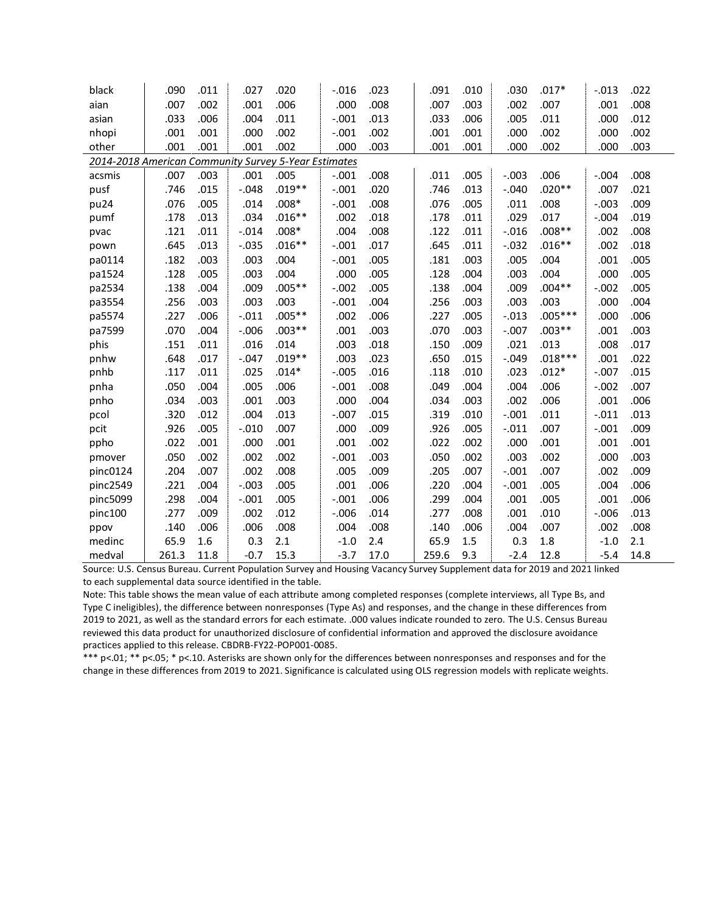| black                                                | .090  | .011 | .027    | .020     | $-0.016$ | .023 | .091  | .010 | .030     | $.017*$   | $-.013$ | .022 |
|------------------------------------------------------|-------|------|---------|----------|----------|------|-------|------|----------|-----------|---------|------|
| aian                                                 | .007  | .002 | .001    | .006     | .000     | .008 | .007  | .003 | .002     | .007      | .001    | .008 |
| asian                                                | .033  | .006 | .004    | .011     | $-.001$  | .013 | .033  | .006 | .005     | .011      | .000    | .012 |
| nhopi                                                | .001  | .001 | .000    | .002     | $-.001$  | .002 | .001  | .001 | .000     | .002      | .000    | .002 |
| other                                                | .001  | .001 | .001    | .002     | .000     | .003 | .001  | .001 | .000     | .002      | .000    | .003 |
| 2014-2018 American Community Survey 5-Year Estimates |       |      |         |          |          |      |       |      |          |           |         |      |
| acsmis                                               | .007  | .003 | .001    | .005     | $-.001$  | .008 | .011  | .005 | $-.003$  | .006      | $-.004$ | .008 |
| pusf                                                 | .746  | .015 | $-.048$ | $.019**$ | $-.001$  | .020 | .746  | .013 | $-.040$  | $.020**$  | .007    | .021 |
| pu24                                                 | .076  | .005 | .014    | $.008*$  | $-.001$  | .008 | .076  | .005 | .011     | .008      | $-.003$ | .009 |
| pumf                                                 | .178  | .013 | .034    | $.016**$ | .002     | .018 | .178  | .011 | .029     | .017      | $-.004$ | .019 |
| pvac                                                 | .121  | .011 | $-.014$ | $.008*$  | .004     | .008 | .122  | .011 | $-.016$  | $.008**$  | .002    | .008 |
| pown                                                 | .645  | .013 | $-.035$ | $.016**$ | $-.001$  | .017 | .645  | .011 | $-.032$  | $.016**$  | .002    | .018 |
| pa0114                                               | .182  | .003 | .003    | .004     | $-.001$  | .005 | .181  | .003 | .005     | .004      | .001    | .005 |
| pa1524                                               | .128  | .005 | .003    | .004     | .000     | .005 | .128  | .004 | .003     | .004      | .000    | .005 |
| pa2534                                               | .138  | .004 | .009    | $.005**$ | $-.002$  | .005 | .138  | .004 | .009     | $.004**$  | $-.002$ | .005 |
| pa3554                                               | .256  | .003 | .003    | .003     | $-.001$  | .004 | .256  | .003 | .003     | .003      | .000    | .004 |
| pa5574                                               | .227  | .006 | $-.011$ | $.005**$ | .002     | .006 | .227  | .005 | $-.013$  | $.005***$ | .000    | .006 |
| pa7599                                               | .070  | .004 | $-.006$ | $.003**$ | .001     | .003 | .070  | .003 | $-.007$  | $.003**$  | .001    | .003 |
| phis                                                 | .151  | .011 | .016    | .014     | .003     | .018 | .150  | .009 | .021     | .013      | .008    | .017 |
| pnhw                                                 | .648  | .017 | $-.047$ | $.019**$ | .003     | .023 | .650  | .015 | $-0.049$ | $.018***$ | .001    | .022 |
| pnhb                                                 | .117  | .011 | .025    | $.014*$  | $-.005$  | .016 | .118  | .010 | .023     | $.012*$   | $-.007$ | .015 |
| pnha                                                 | .050  | .004 | .005    | .006     | $-.001$  | .008 | .049  | .004 | .004     | .006      | $-.002$ | .007 |
| pnho                                                 | .034  | .003 | .001    | .003     | .000     | .004 | .034  | .003 | .002     | .006      | .001    | .006 |
| pcol                                                 | .320  | .012 | .004    | .013     | $-.007$  | .015 | .319  | .010 | $-.001$  | .011      | $-.011$ | .013 |
| pcit                                                 | .926  | .005 | $-.010$ | .007     | .000     | .009 | .926  | .005 | $-.011$  | .007      | $-.001$ | .009 |
| ppho                                                 | .022  | .001 | .000    | .001     | .001     | .002 | .022  | .002 | .000     | .001      | .001    | .001 |
| pmover                                               | .050  | .002 | .002    | .002     | $-.001$  | .003 | .050  | .002 | .003     | .002      | .000    | .003 |
| pinc0124                                             | .204  | .007 | .002    | .008     | .005     | .009 | .205  | .007 | $-.001$  | .007      | .002    | .009 |
| pinc2549                                             | .221  | .004 | $-.003$ | .005     | .001     | .006 | .220  | .004 | $-.001$  | .005      | .004    | .006 |
| pinc5099                                             | .298  | .004 | $-.001$ | .005     | $-.001$  | .006 | .299  | .004 | .001     | .005      | .001    | .006 |
| pinc100                                              | .277  | .009 | .002    | .012     | $-.006$  | .014 | .277  | .008 | .001     | .010      | $-.006$ | .013 |
| ppov                                                 | .140  | .006 | .006    | .008     | .004     | .008 | .140  | .006 | .004     | .007      | .002    | .008 |
| medinc                                               | 65.9  | 1.6  | 0.3     | 2.1      | $-1.0$   | 2.4  | 65.9  | 1.5  | 0.3      | 1.8       | $-1.0$  | 2.1  |
| medval                                               | 261.3 | 11.8 | $-0.7$  | 15.3     | $-3.7$   | 17.0 | 259.6 | 9.3  | $-2.4$   | 12.8      | $-5.4$  | 14.8 |

Source: U.S. Census Bureau. Current Population Survey and Housing Vacancy Survey Supplement data for 2019 and 2021 linked to each supplemental data source identified in the table.

Note: This table shows the mean value of each attribute among completed responses (complete interviews, all Type Bs, and Type C ineligibles), the difference between nonresponses (Type As) and responses, and the change in these differences from 2019 to 2021, as well as the standard errors for each estimate. .000 values indicate rounded to zero. The U.S. Census Bureau reviewed this data product for unauthorized disclosure of confidential information and approved the disclosure avoidance practices applied to this release. CBDRB-FY22-POP001-0085.

\*\*\* p<.01; \*\* p<.05; \* p<.10. Asterisks are shown only for the differences between nonresponses and responses and for the change in these differences from 2019 to 2021. Significance is calculated using OLS regression models with replicate weights.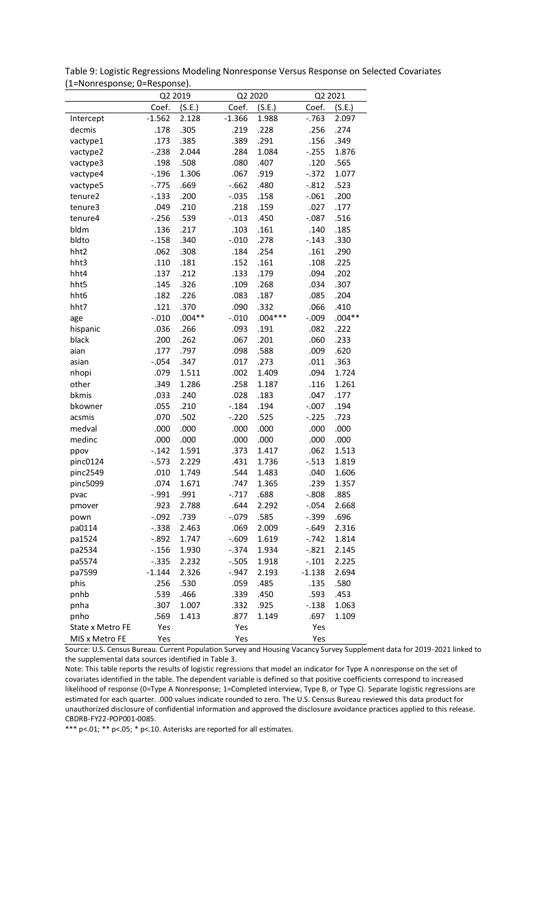| Table 9: Logistic Regressions Modeling Nonresponse Versus Response on Selected Covariates |  |
|-------------------------------------------------------------------------------------------|--|
| (1=Nonresponse; 0=Response).                                                              |  |

|                  |          | Q2 2019  | Q2 2020  |           | Q2 2021  |          |
|------------------|----------|----------|----------|-----------|----------|----------|
|                  | Coef.    | (S.E.)   | Coef.    | (S.E.)    | Coef.    | (S.E.)   |
| Intercept        | $-1.562$ | 2.128    | $-1.366$ | 1.988     | $-.763$  | 2.097    |
| decmis           | .178     | .305     | .219     | .228      | .256     | .274     |
| vactype1         | .173     | .385     | .389     | .291      | .156     | .349     |
| vactype2         | $-.238$  | 2.044    | .284     | 1.084     | $-.255$  | 1.876    |
| vactype3         | .198     | .508     | .080     | .407      | .120     | .565     |
| vactype4         | $-.196$  | 1.306    | .067     | .919      | $-.372$  | 1.077    |
| vactype5         | $-.775$  | .669     | $-0.662$ | .480      | $-.812$  | .523     |
| tenure2          | $-.133$  | .200     | $-.035$  | .158      | $-.061$  | .200     |
| tenure3          | .049     | .210     | .218     | .159      | .027     | .177     |
| tenure4          | $-.256$  | .539     | $-.013$  | .450      | $-.087$  | .516     |
| bldm             | .136     | .217     | .103     | .161      | .140     | .185     |
| bldto            | $-.158$  | .340     | $-.010$  | .278      | $-.143$  | .330     |
| hht2             | .062     | .308     | .184     | .254      | .161     | .290     |
| hht3             | .110     | .181     | .152     | .161      | .108     | .225     |
| hht4             | .137     | .212     | .133     | .179      | .094     | .202     |
| hht5             | .145     | .326     | .109     | .268      | .034     | .307     |
| hht6             | .182     | .226     | .083     | .187      | .085     | .204     |
| hht7             | .121     | .370     | .090     | .332      | .066     | .410     |
| age              | $-.010$  | $.004**$ | $-.010$  | $.004***$ | $-0.09$  | $.004**$ |
| hispanic         | .036     | .266     | .093     | .191      | .082     | .222     |
| black            | .200     | .262     | .067     | .201      | .060     | .233     |
| aian             | .177     | .797     | .098     | .588      | .009     | .620     |
| asian            | $-.054$  | .347     | .017     | .273      | .011     | .363     |
| nhopi            | .079     | 1.511    | .002     | 1.409     | .094     | 1.724    |
| other            | .349     | 1.286    | .258     | 1.187     | .116     | 1.261    |
| bkmis            | .033     | .240     | .028     | .183      | .047     | .177     |
| bkowner          | .055     | .210     | $-.184$  | .194      | $-.007$  | .194     |
| acsmis           | .070     | .502     | $-.220$  | .525      | $-.225$  | .723     |
| medval           | .000     | .000     | .000     | .000      | .000     | .000     |
| medinc           | .000     | .000     | .000     | .000      | .000     | .000     |
| ppov             | $-.142$  | 1.591    | .373     | 1.417     | .062     | 1.513    |
| pinc0124         | $-.573$  | 2.229    | .431     | 1.736     | $-.513$  | 1.819    |
| pinc2549         | .010     | 1.749    | .544     | 1.483     | .040     | 1.606    |
| pinc5099         | .074     | 1.671    | .747     | 1.365     | .239     | 1.357    |
| pvac             | $-.991$  | .991     | $-.717$  | .688      | $-.808$  | .885     |
| pmover           | .923     | 2.788    | .644     | 2.292     | $-.054$  | 2.668    |
| pown             | $-.092$  | .739     | $-.079$  | .585      | $-.399$  | .696     |
| pa0114           | $-.338$  | 2.463    | .069     | 2.009     | $-.649$  | 2.316    |
| pa1524           | $-.892$  | 1.747    | $-.609$  | 1.619     | $-.742$  | 1.814    |
| pa2534           | $-.156$  | 1.930    | $-.374$  | 1.934     | $-.821$  | 2.145    |
| pa5574           | $-.335$  | 2.232    | $-.505$  | 1.918     | $-.101$  | 2.225    |
| pa7599           | $-1.144$ | 2.326    | $-.947$  | 2.193     | $-1.138$ | 2.694    |
| phis             | .256     | .530     | .059     | .485      | .135     | .580     |
| pnhb             | .539     | .466     | .339     | .450      | .593     | .453     |
| pnha             | .307     | 1.007    | .332     | .925      | $-.138$  | 1.063    |
| pnho             | .569     | 1.413    | .877     | 1.149     | .697     | 1.109    |
| State x Metro FE | Yes      |          | Yes      |           | Yes      |          |
| MIS x Metro FE   | Yes      |          | Yes      |           | Yes      |          |

Source: U.S. Census Bureau. Current Population Survey and Housing Vacancy Survey Supplement data for 2019-2021 linked to the supplemental data sources identified in Table 3.

Note: This table reports the results of logistic regressions that model an indicator for Type A nonresponse on the set of covariates identified in the table. The dependent variable is defined so that positive coefficients correspond to increased likelihood of response (0=Type A Nonresponse; 1=Completed interview, Type B, or Type C). Separate logistic regressions are estimated for each quarter. .000 values indicate rounded to zero. The U.S. Census Bureau reviewed this data product for unauthorized disclosure of confidential information and approved the disclosure avoidance practices applied to this release. CBDRB-FY22-POP001-0085.<br>\*\*\* p<.01; \*\* p<.05; \* p<.10. Asterisks are reported for all estimates.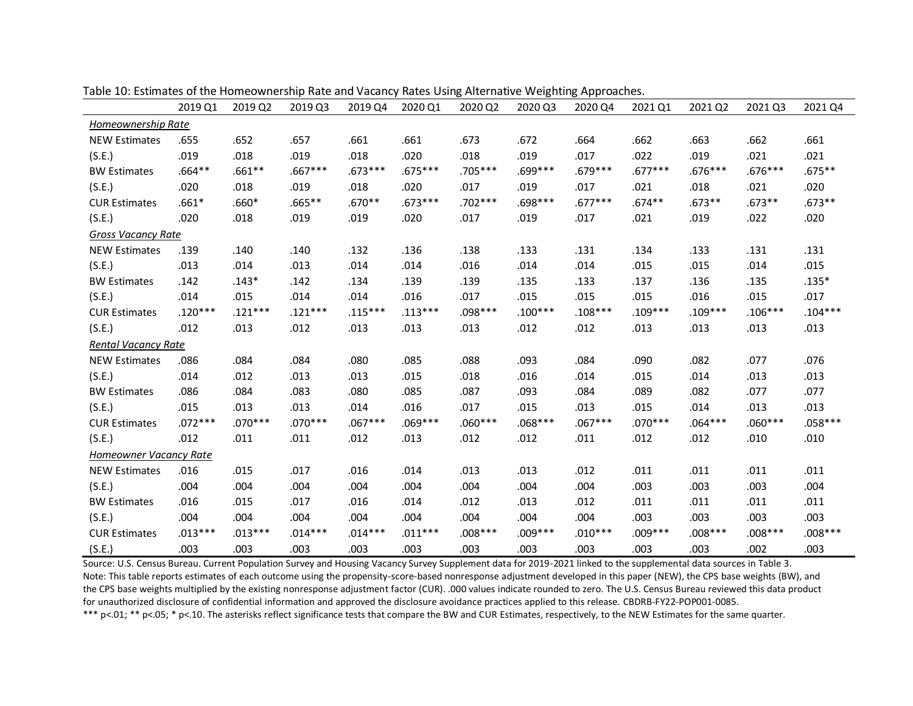|                        | 2019 Q1   | 2019 Q2   | 2019 Q3   | 2019 Q4   | 2020 Q1   | 2020 Q2   | 2020 Q3   | 2020 Q4   | 2021 Q1   | 2021 Q2   | 2021 Q3   | 2021 Q4   |
|------------------------|-----------|-----------|-----------|-----------|-----------|-----------|-----------|-----------|-----------|-----------|-----------|-----------|
| Homeownership Rate     |           |           |           |           |           |           |           |           |           |           |           |           |
| <b>NEW Estimates</b>   | .655      | .652      | .657      | .661      | .661      | .673      | .672      | .664      | .662      | .663      | .662      | .661      |
| (S.E.)                 | .019      | .018      | .019      | .018      | .020      | .018      | .019      | .017      | .022      | .019      | .021      | .021      |
| <b>BW Estimates</b>    | $.664**$  | $.661**$  | $.667***$ | $.673***$ | $.675***$ | .705***   | .699***   | .679 ***  | $.677***$ | $.676***$ | $.676***$ | $.675**$  |
| (S.E.)                 | .020      | .018      | .019      | .018      | .020      | .017      | .019      | .017      | .021      | .018      | .021      | .020      |
| <b>CUR Estimates</b>   | $.661*$   | $.660*$   | $.665**$  | $.670**$  | $.673***$ | $.702***$ | .698***   | $.677***$ | $.674**$  | $.673**$  | $.673**$  | $.673**$  |
| (S.E.)                 | .020      | .018      | .019      | .019      | .020      | .017      | .019      | .017      | .021      | .019      | .022      | .020      |
| Gross Vacancy Rate     |           |           |           |           |           |           |           |           |           |           |           |           |
| <b>NEW Estimates</b>   | .139      | .140      | .140      | .132      | .136      | .138      | .133      | .131      | .134      | .133      | .131      | .131      |
| (S.E.)                 | .013      | .014      | .013      | .014      | .014      | .016      | .014      | .014      | .015      | .015      | .014      | .015      |
| <b>BW Estimates</b>    | .142      | $.143*$   | .142      | .134      | .139      | .139      | .135      | .133      | .137      | .136      | .135      | $.135*$   |
| (S.E.)                 | .014      | .015      | .014      | .014      | .016      | .017      | .015      | .015      | .015      | .016      | .015      | .017      |
| <b>CUR Estimates</b>   | $.120***$ | $.121***$ | $.121***$ | $.115***$ | $.113***$ | $.098***$ | $.100***$ | $.108***$ | $.109***$ | $.109***$ | $.106***$ | $.104***$ |
| (S.E.)                 | .012      | .013      | .012      | .013      | .013      | .013      | .012      | .012      | .013      | .013      | .013      | .013      |
| Rental Vacancy Rate    |           |           |           |           |           |           |           |           |           |           |           |           |
| <b>NEW Estimates</b>   | .086      | .084      | .084      | .080      | .085      | .088      | .093      | .084      | .090      | .082      | .077      | .076      |
| (S.E.)                 | .014      | .012      | .013      | .013      | .015      | .018      | .016      | .014      | .015      | .014      | .013      | .013      |
| <b>BW Estimates</b>    | .086      | .084      | .083      | .080      | .085      | .087      | .093      | .084      | .089      | .082      | .077      | .077      |
| (S.E.)                 | .015      | .013      | .013      | .014      | .016      | .017      | .015      | .013      | .015      | .014      | .013      | .013      |
| <b>CUR Estimates</b>   | $.072***$ | $.070***$ | $.070***$ | $.067***$ | $.069***$ | $.060***$ | $.068***$ | $.067***$ | $.070***$ | $.064***$ | $.060***$ | $.058***$ |
| (S.E.)                 | .012      | .011      | .011      | .012      | .013      | .012      | .012      | .011      | .012      | .012      | .010      | .010      |
| Homeowner Vacancy Rate |           |           |           |           |           |           |           |           |           |           |           |           |
| <b>NEW Estimates</b>   | .016      | .015      | .017      | .016      | .014      | .013      | .013      | .012      | .011      | .011      | .011      | .011      |
| (S.E.)                 | .004      | .004      | .004      | .004      | .004      | .004      | .004      | .004      | .003      | .003      | .003      | .004      |
| <b>BW Estimates</b>    | .016      | .015      | .017      | .016      | .014      | .012      | .013      | .012      | .011      | .011      | .011      | .011      |
| (S.E.)                 | .004      | .004      | .004      | .004      | .004      | .004      | .004      | .004      | .003      | .003      | .003      | .003      |
| <b>CUR Estimates</b>   | $.013***$ | $.013***$ | $.014***$ | $.014***$ | $.011***$ | $.008***$ | .009 ***  | $.010***$ | $.009***$ | $.008***$ | $.008***$ | $.008***$ |
| (S.E.)                 | .003      | .003      | .003      | .003      | .003      | .003      | .003      | .003      | .003      | .003      | .002      | .003      |

Table 10: Estimates of the Homeownership Rate and Vacancy Rates Using Alternative Weighting Approaches.

Source: U.S. Census Bureau. Current Population Survey and Housing Vacancy Survey Supplement data for 2019-2021 linked to the supplemental data sources in Table 3. Note: This table reports estimates of each outcome using the propensity-score-based nonresponse adjustment developed in this paper (NEW), the CPS base weights (BW), and the CPS base weights multiplied by the existing nonresponse adjustment factor (CUR). .000 values indicate rounded to zero. The U.S. Census Bureau reviewed this data product for unauthorized disclosure of confidential information and approved the disclosure avoidance practices applied to this release. CBDRB-FY22-POP001-0085.

\*\*\* p<.01; \*\* p<.05; \* p<.10. The asterisks reflect significance tests that compare the BW and CUR Estimates, respectively, to the NEW Estimates for the same quarter.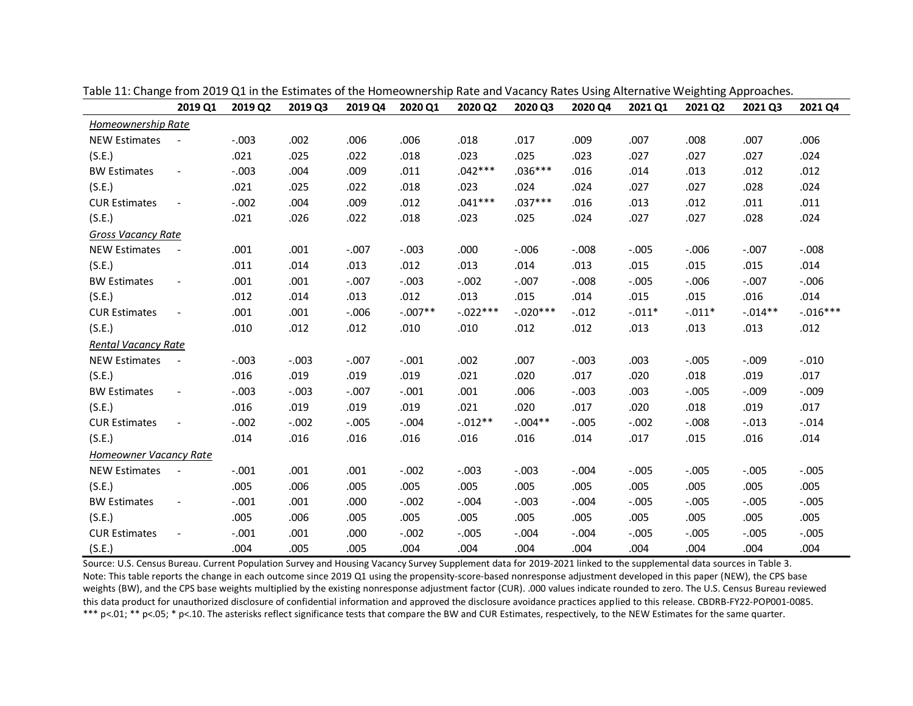|                        | 2019 Q1                  | 2019 Q2 | 2019 Q3 | 2019 Q4 | 2020 Q1   | 2020 Q2     | 2020 Q3    | 2020 Q4  | 2021 Q1  | 2021 Q2  | 2021 Q3   | 2021 Q4    |
|------------------------|--------------------------|---------|---------|---------|-----------|-------------|------------|----------|----------|----------|-----------|------------|
| Homeownership Rate     |                          |         |         |         |           |             |            |          |          |          |           |            |
| <b>NEW Estimates</b>   |                          | $-.003$ | .002    | .006    | .006      | .018        | .017       | .009     | .007     | .008     | .007      | .006       |
| (S.E.)                 |                          | .021    | .025    | .022    | .018      | .023        | .025       | .023     | .027     | .027     | .027      | .024       |
| <b>BW Estimates</b>    | $\overline{\phantom{a}}$ | $-.003$ | .004    | .009    | .011      | $.042***$   | $.036***$  | .016     | .014     | .013     | .012      | .012       |
| (S.E.)                 |                          | .021    | .025    | .022    | .018      | .023        | .024       | .024     | .027     | .027     | .028      | .024       |
| <b>CUR Estimates</b>   | $\overline{\phantom{a}}$ | $-.002$ | .004    | .009    | .012      | $.041***$   | $.037***$  | .016     | .013     | .012     | .011      | .011       |
| (S.E.)                 |                          | .021    | .026    | .022    | .018      | .023        | .025       | .024     | .027     | .027     | .028      | .024       |
| Gross Vacancy Rate     |                          |         |         |         |           |             |            |          |          |          |           |            |
| <b>NEW Estimates</b>   | $\overline{\phantom{a}}$ | .001    | .001    | $-.007$ | $-.003$   | .000        | $-.006$    | $-0.008$ | $-.005$  | $-.006$  | $-.007$   | $-.008$    |
| (S.E.)                 |                          | .011    | .014    | .013    | .012      | .013        | .014       | .013     | .015     | .015     | .015      | .014       |
| <b>BW Estimates</b>    | $\overline{\phantom{a}}$ | .001    | .001    | $-.007$ | $-.003$   | $-.002$     | $-.007$    | $-.008$  | $-.005$  | $-.006$  | $-.007$   | $-.006$    |
| (S.E.)                 |                          | .012    | .014    | .013    | .012      | .013        | .015       | .014     | .015     | .015     | .016      | .014       |
| <b>CUR Estimates</b>   | $\overline{\phantom{a}}$ | .001    | .001    | $-.006$ | $-.007**$ | $-0.022***$ | $-.020***$ | $-.012$  | $-.011*$ | $-.011*$ | $-.014**$ | $-.016***$ |
| (S.E.)                 |                          | .010    | .012    | .012    | .010      | .010        | .012       | .012     | .013     | .013     | .013      | .012       |
| Rental Vacancy Rate    |                          |         |         |         |           |             |            |          |          |          |           |            |
| <b>NEW Estimates</b>   | $\overline{\phantom{a}}$ | $-.003$ | $-.003$ | $-.007$ | $-.001$   | .002        | .007       | $-.003$  | .003     | $-.005$  | $-.009$   | $-.010$    |
| (S.E.)                 |                          | .016    | .019    | .019    | .019      | .021        | .020       | .017     | .020     | .018     | .019      | .017       |
| <b>BW Estimates</b>    | $\overline{\phantom{a}}$ | $-.003$ | $-.003$ | $-.007$ | $-.001$   | .001        | .006       | $-.003$  | .003     | $-.005$  | $-.009$   | $-.009$    |
| (S.E.)                 |                          | .016    | .019    | .019    | .019      | .021        | .020       | .017     | .020     | .018     | .019      | .017       |
| <b>CUR Estimates</b>   | $\overline{\phantom{a}}$ | $-.002$ | $-.002$ | $-.005$ | $-.004$   | $-.012**$   | $-.004**$  | $-.005$  | $-.002$  | $-.008$  | $-.013$   | $-.014$    |
| (S.E.)                 |                          | .014    | .016    | .016    | .016      | .016        | .016       | .014     | .017     | .015     | .016      | .014       |
| Homeowner Vacancy Rate |                          |         |         |         |           |             |            |          |          |          |           |            |
| <b>NEW Estimates</b>   | $\overline{\phantom{a}}$ | $-.001$ | .001    | .001    | $-.002$   | $-.003$     | $-.003$    | $-.004$  | $-.005$  | $-.005$  | $-.005$   | $-.005$    |
| (S.E.)                 |                          | .005    | .006    | .005    | .005      | .005        | .005       | .005     | .005     | .005     | .005      | .005       |
| <b>BW Estimates</b>    | $\overline{\phantom{a}}$ | $-.001$ | .001    | .000    | $-.002$   | $-.004$     | $-.003$    | $-.004$  | $-.005$  | $-.005$  | $-.005$   | $-.005$    |
| (S.E.)                 |                          | .005    | .006    | .005    | .005      | .005        | .005       | .005     | .005     | .005     | .005      | .005       |
| <b>CUR Estimates</b>   | $\blacksquare$           | $-.001$ | .001    | .000    | $-.002$   | $-.005$     | $-.004$    | $-.004$  | $-.005$  | $-.005$  | $-.005$   | $-.005$    |
| (S.E.)                 |                          | .004    | .005    | .005    | .004      | .004        | .004       | .004     | .004     | .004     | .004      | .004       |

Table 11: Change from 2019 Q1 in the Estimates of the Homeownership Rate and Vacancy Rates Using Alternative Weighting Approaches.

Source: U.S. Census Bureau. Current Population Survey and Housing Vacancy Survey Supplement data for 2019-2021 linked to the supplemental data sources in Table 3. Note: This table reports the change in each outcome since 2019 Q1 using the propensity-score-based nonresponse adjustment developed in this paper (NEW), the CPS base weights (BW), and the CPS base weights multiplied by the existing nonresponse adjustment factor (CUR). .000 values indicate rounded to zero. The U.S. Census Bureau reviewed this data product for unauthorized disclosure of confidential information and approved the disclosure avoidance practices applied to this release. CBDRB-FY22-POP001-0085. \*\*\* p<.01; \*\* p<.05; \* p<.10. The asterisks reflect significance tests that compare the BW and CUR Estimates, respectively, to the NEW Estimates for the same quarter.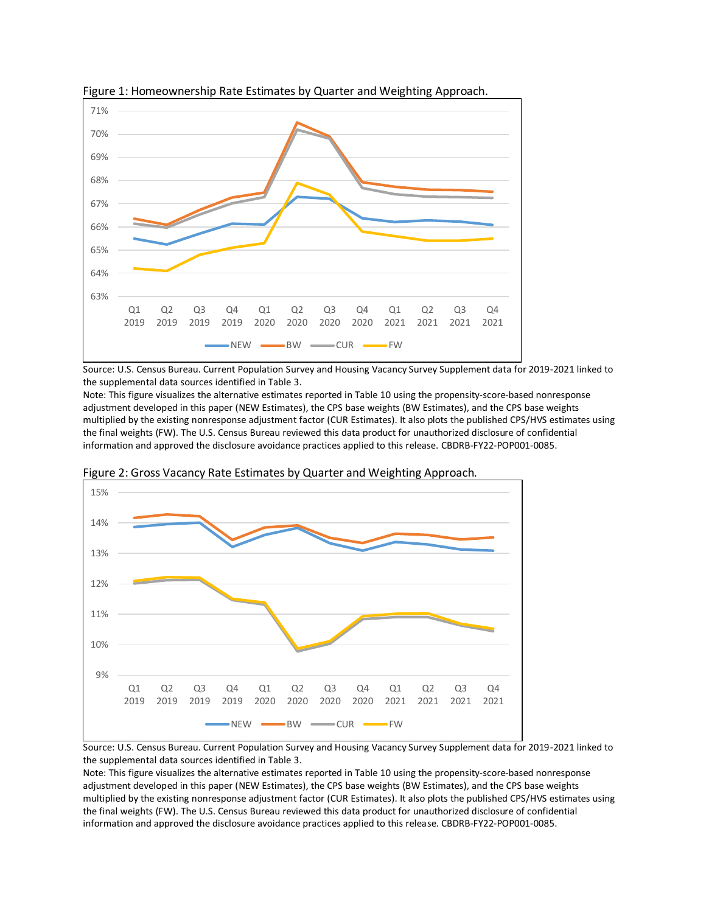



Source: U.S. Census Bureau. Current Population Survey and Housing Vacancy Survey Supplement data for 2019-2021 linked to the supplemental data sources identified in Table 3.

Note: This figure visualizes the alternative estimates reported in Table 10 using the propensity-score-based nonresponse adjustment developed in this paper (NEW Estimates), the CPS base weights (BW Estimates), and the CPS base weights multiplied by the existing nonresponse adjustment factor (CUR Estimates). It also plots the published CPS/HVS estimates using the final weights (FW). The U.S. Census Bureau reviewed this data product for unauthorized disclosure of confidential information and approved the disclosure avoidance practices applied to this release. CBDRB-FY22-POP001-0085.



Figure 2: Gross Vacancy Rate Estimates by Quarter and Weighting Approach.

Source: U.S. Census Bureau. Current Population Survey and Housing Vacancy Survey Supplement data for 2019-2021 linked to the supplemental data sources identified in Table 3.

Note: This figure visualizes the alternative estimates reported in Table 10 using the propensity-score-based nonresponse adjustment developed in this paper (NEW Estimates), the CPS base weights (BW Estimates), and the CPS base weights multiplied by the existing nonresponse adjustment factor (CUR Estimates). It also plots the published CPS/HVS estimates using the final weights (FW). The U.S. Census Bureau reviewed this data product for unauthorized disclosure of confidential information and approved the disclosure avoidance practices applied to this release. CBDRB-FY22-POP001-0085.